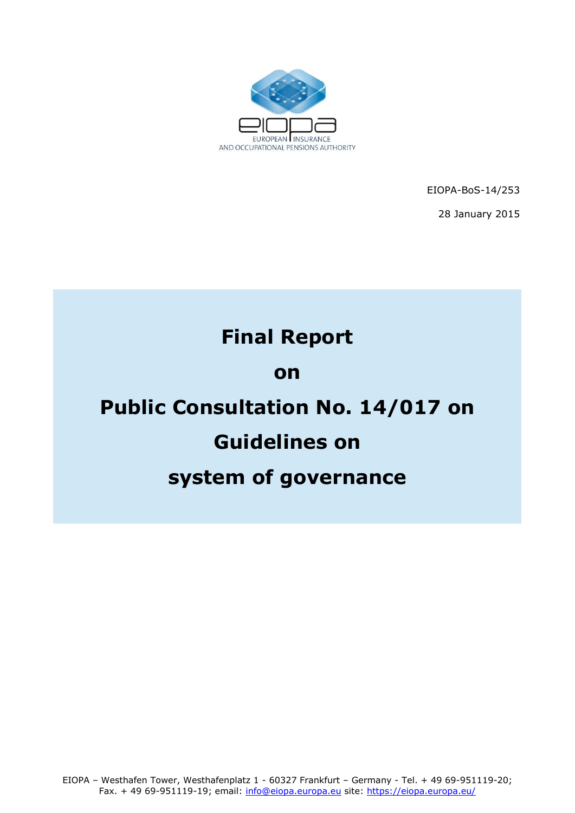

EIOPA-BoS-14/253 28 January 2015

# **Final Report**

## **on**

# **Public Consultation No. 14/017 on**

# **Guidelines on**

# **system of governance**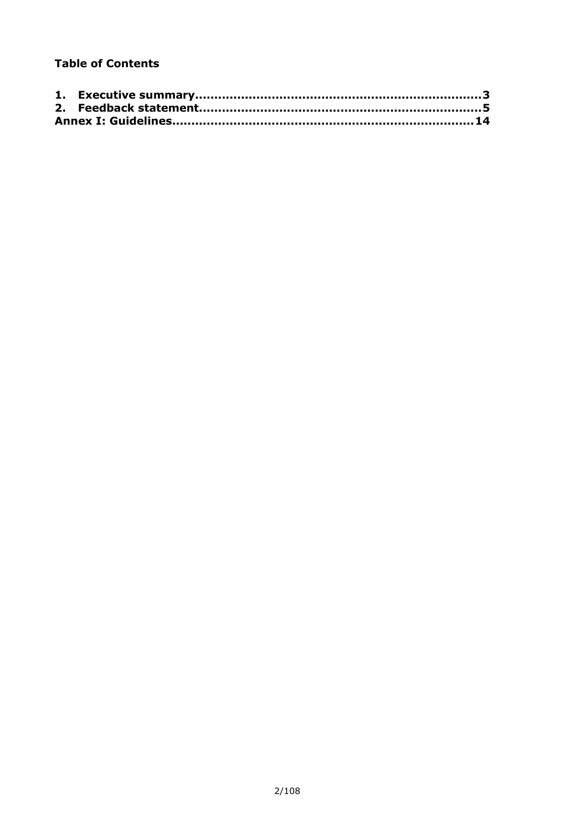#### **Table of Contents**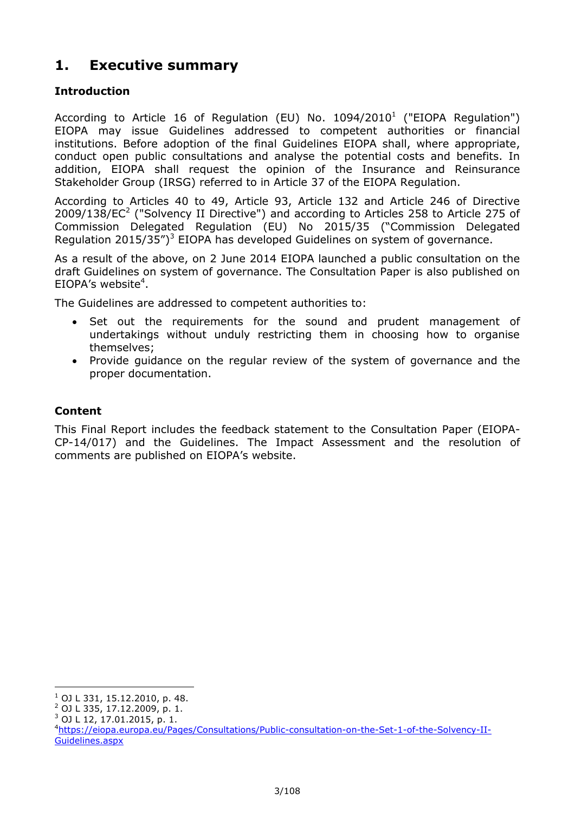### <span id="page-2-0"></span>**1. Executive summary**

#### **Introduction**

According to Article 16 of Regulation (EU) No.  $1094/2010<sup>1</sup>$  ("EIOPA Regulation") EIOPA may issue Guidelines addressed to competent authorities or financial institutions. Before adoption of the final Guidelines EIOPA shall, where appropriate, conduct open public consultations and analyse the potential costs and benefits. In addition, EIOPA shall request the opinion of the Insurance and Reinsurance Stakeholder Group (IRSG) referred to in Article 37 of the EIOPA Regulation.

According to Articles 40 to 49, Article 93, Article 132 and Article 246 of Directive  $2009/138/EC<sup>2</sup>$  ("Solvency II Directive") and according to Articles 258 to Article 275 of Commission Delegated Regulation (EU) No 2015/35 ("Commission Delegated Regulation  $2015/35")^3$  EIOPA has developed Guidelines on system of governance.

As a result of the above, on 2 June 2014 EIOPA launched a public consultation on the draft Guidelines on system of governance. The Consultation Paper is also published on EIOPA's website<sup>4</sup>.

The Guidelines are addressed to competent authorities to:

- Set out the requirements for the sound and prudent management of undertakings without unduly restricting them in choosing how to organise themselves;
- Provide guidance on the regular review of the system of governance and the proper documentation.

#### **Content**

This Final Report includes the feedback statement to the Consultation Paper (EIOPA-CP-14/017) and the Guidelines. The Impact Assessment and the resolution of comments are published on EIOPA's website.

-

 $1$  OJ L 331, 15.12.2010, p. 48.

 $^{2}$  OJ L 335, 17.12.2009, p. 1.

 $3$  OJ L 12, 17.01.2015, p. 1.

<sup>4</sup>[https://eiopa.europa.eu/Pages/Consultations/Public-consultation-on-the-Set-1-of-the-Solvency-II-](https://eiopa.europa.eu/Pages/Consultations/Public-consultation-on-the-Set-1-of-the-Solvency-II-Guidelines.aspx)[Guidelines.aspx](https://eiopa.europa.eu/Pages/Consultations/Public-consultation-on-the-Set-1-of-the-Solvency-II-Guidelines.aspx)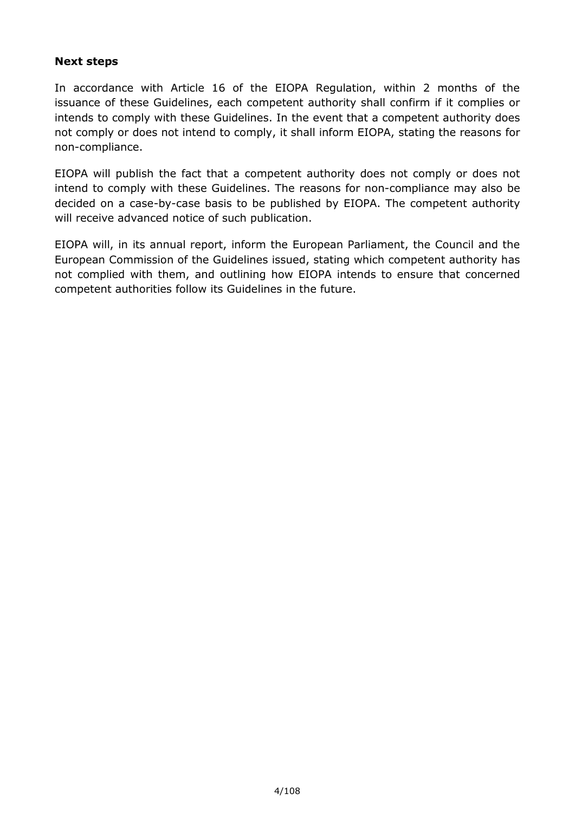#### **Next steps**

In accordance with Article 16 of the EIOPA Regulation, within 2 months of the issuance of these Guidelines, each competent authority shall confirm if it complies or intends to comply with these Guidelines. In the event that a competent authority does not comply or does not intend to comply, it shall inform EIOPA, stating the reasons for non-compliance.

EIOPA will publish the fact that a competent authority does not comply or does not intend to comply with these Guidelines. The reasons for non-compliance may also be decided on a case-by-case basis to be published by EIOPA. The competent authority will receive advanced notice of such publication.

EIOPA will, in its annual report, inform the European Parliament, the Council and the European Commission of the Guidelines issued, stating which competent authority has not complied with them, and outlining how EIOPA intends to ensure that concerned competent authorities follow its Guidelines in the future.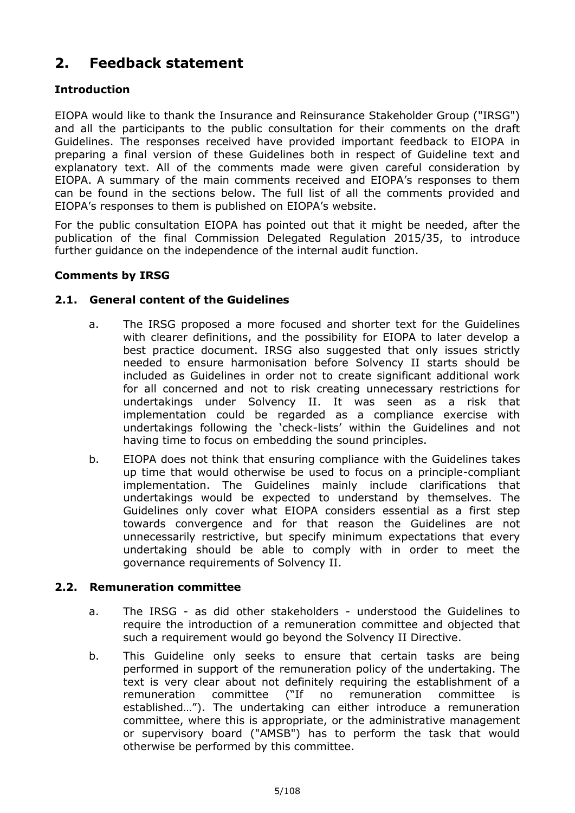### <span id="page-4-0"></span>**2. Feedback statement**

#### **Introduction**

EIOPA would like to thank the Insurance and Reinsurance Stakeholder Group ("IRSG") and all the participants to the public consultation for their comments on the draft Guidelines. The responses received have provided important feedback to EIOPA in preparing a final version of these Guidelines both in respect of Guideline text and explanatory text. All of the comments made were given careful consideration by EIOPA. A summary of the main comments received and EIOPA's responses to them can be found in the sections below. The full list of all the comments provided and EIOPA's responses to them is published on EIOPA's website.

For the public consultation EIOPA has pointed out that it might be needed, after the publication of the final Commission Delegated Regulation 2015/35, to introduce further guidance on the independence of the internal audit function.

#### **Comments by IRSG**

#### **2.1. General content of the Guidelines**

- a. The IRSG proposed a more focused and shorter text for the Guidelines with clearer definitions, and the possibility for EIOPA to later develop a best practice document. IRSG also suggested that only issues strictly needed to ensure harmonisation before Solvency II starts should be included as Guidelines in order not to create significant additional work for all concerned and not to risk creating unnecessary restrictions for undertakings under Solvency II. It was seen as a risk that implementation could be regarded as a compliance exercise with undertakings following the 'check-lists' within the Guidelines and not having time to focus on embedding the sound principles.
- b. EIOPA does not think that ensuring compliance with the Guidelines takes up time that would otherwise be used to focus on a principle-compliant implementation. The Guidelines mainly include clarifications that undertakings would be expected to understand by themselves. The Guidelines only cover what EIOPA considers essential as a first step towards convergence and for that reason the Guidelines are not unnecessarily restrictive, but specify minimum expectations that every undertaking should be able to comply with in order to meet the governance requirements of Solvency II.

#### **2.2. Remuneration committee**

- a. The IRSG as did other stakeholders understood the Guidelines to require the introduction of a remuneration committee and objected that such a requirement would go beyond the Solvency II Directive.
- b. This Guideline only seeks to ensure that certain tasks are being performed in support of the remuneration policy of the undertaking. The text is very clear about not definitely requiring the establishment of a remuneration committee ("If no remuneration committee is established…"). The undertaking can either introduce a remuneration committee, where this is appropriate, or the administrative management or supervisory board ("AMSB") has to perform the task that would otherwise be performed by this committee.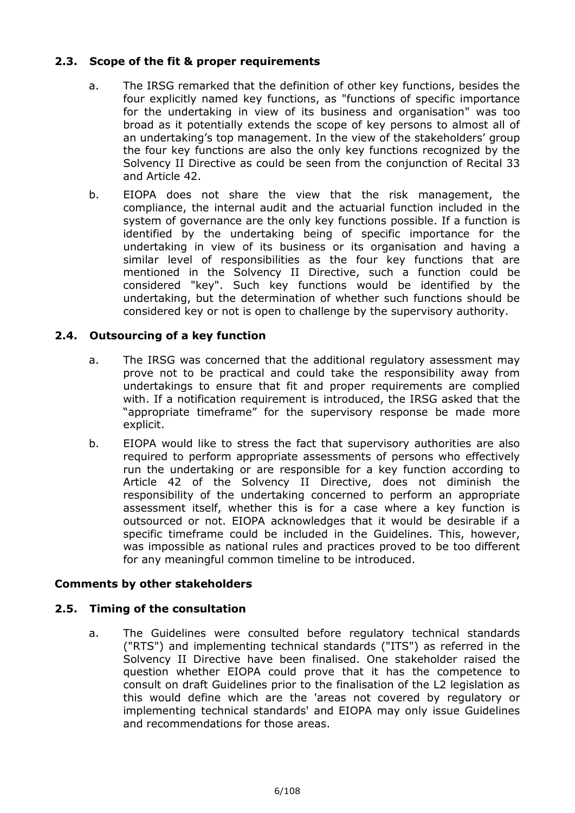#### **2.3. Scope of the fit & proper requirements**

- a. The IRSG remarked that the definition of other key functions, besides the four explicitly named key functions, as "functions of specific importance for the undertaking in view of its business and organisation" was too broad as it potentially extends the scope of key persons to almost all of an undertaking's top management. In the view of the stakeholders' group the four key functions are also the only key functions recognized by the Solvency II Directive as could be seen from the conjunction of Recital 33 and Article 42.
- b. EIOPA does not share the view that the risk management, the compliance, the internal audit and the actuarial function included in the system of governance are the only key functions possible. If a function is identified by the undertaking being of specific importance for the undertaking in view of its business or its organisation and having a similar level of responsibilities as the four key functions that are mentioned in the Solvency II Directive, such a function could be considered "key". Such key functions would be identified by the undertaking, but the determination of whether such functions should be considered key or not is open to challenge by the supervisory authority.

#### **2.4. Outsourcing of a key function**

- a. The IRSG was concerned that the additional regulatory assessment may prove not to be practical and could take the responsibility away from undertakings to ensure that fit and proper requirements are complied with. If a notification requirement is introduced, the IRSG asked that the "appropriate timeframe" for the supervisory response be made more explicit.
- b. EIOPA would like to stress the fact that supervisory authorities are also required to perform appropriate assessments of persons who effectively run the undertaking or are responsible for a key function according to Article 42 of the Solvency II Directive, does not diminish the responsibility of the undertaking concerned to perform an appropriate assessment itself, whether this is for a case where a key function is outsourced or not. EIOPA acknowledges that it would be desirable if a specific timeframe could be included in the Guidelines. This, however, was impossible as national rules and practices proved to be too different for any meaningful common timeline to be introduced.

#### **Comments by other stakeholders**

#### **2.5. Timing of the consultation**

a. The Guidelines were consulted before regulatory technical standards ("RTS") and implementing technical standards ("ITS") as referred in the Solvency II Directive have been finalised. One stakeholder raised the question whether EIOPA could prove that it has the competence to consult on draft Guidelines prior to the finalisation of the L2 legislation as this would define which are the 'areas not covered by regulatory or implementing technical standards' and EIOPA may only issue Guidelines and recommendations for those areas.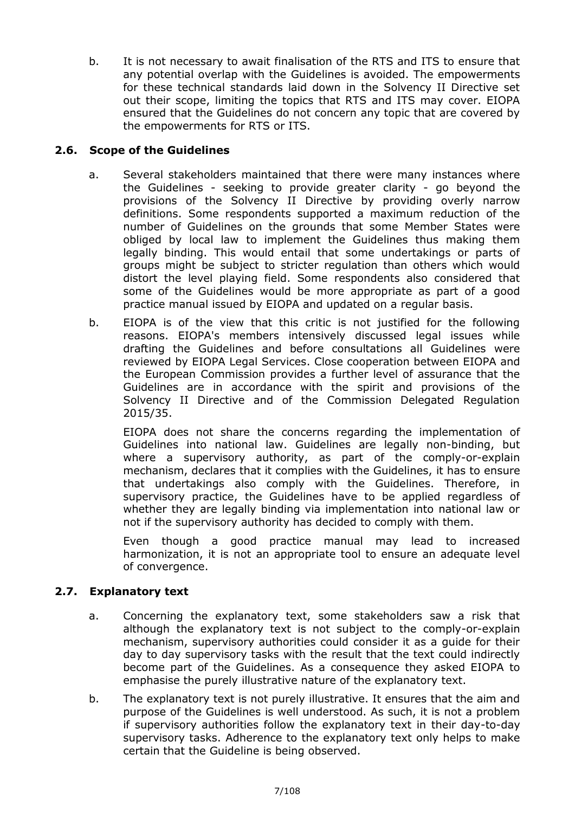b. It is not necessary to await finalisation of the RTS and ITS to ensure that any potential overlap with the Guidelines is avoided. The empowerments for these technical standards laid down in the Solvency II Directive set out their scope, limiting the topics that RTS and ITS may cover. EIOPA ensured that the Guidelines do not concern any topic that are covered by the empowerments for RTS or ITS.

#### **2.6. Scope of the Guidelines**

- a. Several stakeholders maintained that there were many instances where the Guidelines - seeking to provide greater clarity - go beyond the provisions of the Solvency II Directive by providing overly narrow definitions. Some respondents supported a maximum reduction of the number of Guidelines on the grounds that some Member States were obliged by local law to implement the Guidelines thus making them legally binding. This would entail that some undertakings or parts of groups might be subject to stricter regulation than others which would distort the level playing field. Some respondents also considered that some of the Guidelines would be more appropriate as part of a good practice manual issued by EIOPA and updated on a regular basis.
- b. EIOPA is of the view that this critic is not justified for the following reasons. EIOPA's members intensively discussed legal issues while drafting the Guidelines and before consultations all Guidelines were reviewed by EIOPA Legal Services. Close cooperation between EIOPA and the European Commission provides a further level of assurance that the Guidelines are in accordance with the spirit and provisions of the Solvency II Directive and of the Commission Delegated Regulation 2015/35.

EIOPA does not share the concerns regarding the implementation of Guidelines into national law. Guidelines are legally non-binding, but where a supervisory authority, as part of the comply-or-explain mechanism, declares that it complies with the Guidelines, it has to ensure that undertakings also comply with the Guidelines. Therefore, in supervisory practice, the Guidelines have to be applied regardless of whether they are legally binding via implementation into national law or not if the supervisory authority has decided to comply with them.

Even though a good practice manual may lead to increased harmonization, it is not an appropriate tool to ensure an adequate level of convergence.

#### **2.7. Explanatory text**

- a. Concerning the explanatory text, some stakeholders saw a risk that although the explanatory text is not subject to the comply-or-explain mechanism, supervisory authorities could consider it as a guide for their day to day supervisory tasks with the result that the text could indirectly become part of the Guidelines. As a consequence they asked EIOPA to emphasise the purely illustrative nature of the explanatory text.
- b. The explanatory text is not purely illustrative. It ensures that the aim and purpose of the Guidelines is well understood. As such, it is not a problem if supervisory authorities follow the explanatory text in their day-to-day supervisory tasks. Adherence to the explanatory text only helps to make certain that the Guideline is being observed.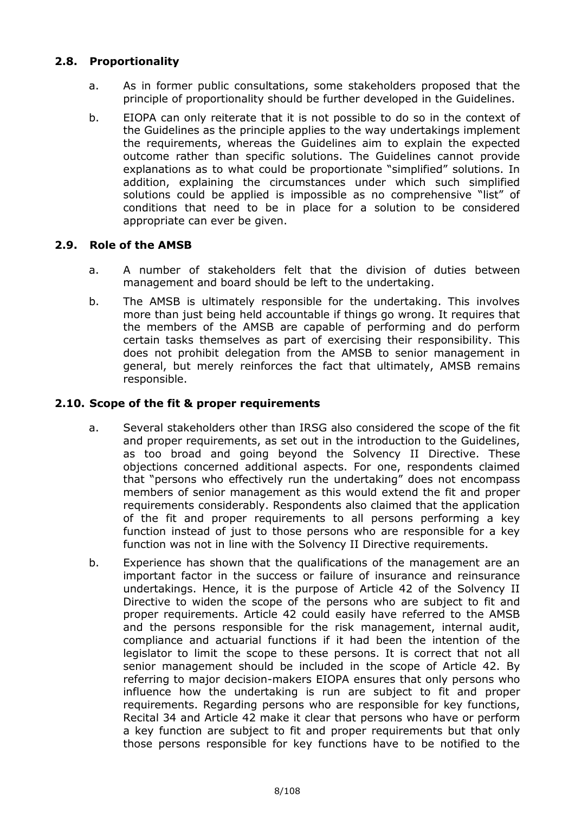#### **2.8. Proportionality**

- a. As in former public consultations, some stakeholders proposed that the principle of proportionality should be further developed in the Guidelines.
- b. EIOPA can only reiterate that it is not possible to do so in the context of the Guidelines as the principle applies to the way undertakings implement the requirements, whereas the Guidelines aim to explain the expected outcome rather than specific solutions. The Guidelines cannot provide explanations as to what could be proportionate "simplified" solutions. In addition, explaining the circumstances under which such simplified solutions could be applied is impossible as no comprehensive "list" of conditions that need to be in place for a solution to be considered appropriate can ever be given.

#### **2.9. Role of the AMSB**

- a. A number of stakeholders felt that the division of duties between management and board should be left to the undertaking.
- b. The AMSB is ultimately responsible for the undertaking. This involves more than just being held accountable if things go wrong. It requires that the members of the AMSB are capable of performing and do perform certain tasks themselves as part of exercising their responsibility. This does not prohibit delegation from the AMSB to senior management in general, but merely reinforces the fact that ultimately, AMSB remains responsible.

#### **2.10. Scope of the fit & proper requirements**

- a. Several stakeholders other than IRSG also considered the scope of the fit and proper requirements, as set out in the introduction to the Guidelines, as too broad and going beyond the Solvency II Directive. These objections concerned additional aspects. For one, respondents claimed that "persons who effectively run the undertaking" does not encompass members of senior management as this would extend the fit and proper requirements considerably. Respondents also claimed that the application of the fit and proper requirements to all persons performing a key function instead of just to those persons who are responsible for a key function was not in line with the Solvency II Directive requirements.
- b. Experience has shown that the qualifications of the management are an important factor in the success or failure of insurance and reinsurance undertakings. Hence, it is the purpose of Article 42 of the Solvency II Directive to widen the scope of the persons who are subject to fit and proper requirements. Article 42 could easily have referred to the AMSB and the persons responsible for the risk management, internal audit, compliance and actuarial functions if it had been the intention of the legislator to limit the scope to these persons. It is correct that not all senior management should be included in the scope of Article 42. By referring to major decision-makers EIOPA ensures that only persons who influence how the undertaking is run are subject to fit and proper requirements. Regarding persons who are responsible for key functions, Recital 34 and Article 42 make it clear that persons who have or perform a key function are subject to fit and proper requirements but that only those persons responsible for key functions have to be notified to the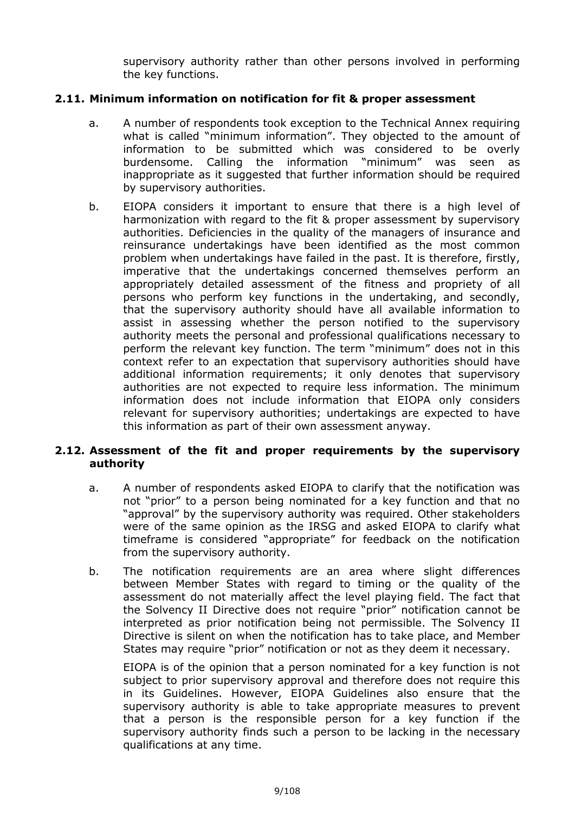supervisory authority rather than other persons involved in performing the key functions.

#### **2.11. Minimum information on notification for fit & proper assessment**

- a. A number of respondents took exception to the Technical Annex requiring what is called "minimum information". They objected to the amount of information to be submitted which was considered to be overly burdensome. Calling the information "minimum" was seen as inappropriate as it suggested that further information should be required by supervisory authorities.
- b. EIOPA considers it important to ensure that there is a high level of harmonization with regard to the fit & proper assessment by supervisory authorities. Deficiencies in the quality of the managers of insurance and reinsurance undertakings have been identified as the most common problem when undertakings have failed in the past. It is therefore, firstly, imperative that the undertakings concerned themselves perform an appropriately detailed assessment of the fitness and propriety of all persons who perform key functions in the undertaking, and secondly, that the supervisory authority should have all available information to assist in assessing whether the person notified to the supervisory authority meets the personal and professional qualifications necessary to perform the relevant key function. The term "minimum" does not in this context refer to an expectation that supervisory authorities should have additional information requirements; it only denotes that supervisory authorities are not expected to require less information. The minimum information does not include information that EIOPA only considers relevant for supervisory authorities; undertakings are expected to have this information as part of their own assessment anyway.

#### **2.12. Assessment of the fit and proper requirements by the supervisory authority**

- a. A number of respondents asked EIOPA to clarify that the notification was not "prior" to a person being nominated for a key function and that no "approval" by the supervisory authority was required. Other stakeholders were of the same opinion as the IRSG and asked EIOPA to clarify what timeframe is considered "appropriate" for feedback on the notification from the supervisory authority.
- b. The notification requirements are an area where slight differences between Member States with regard to timing or the quality of the assessment do not materially affect the level playing field. The fact that the Solvency II Directive does not require "prior" notification cannot be interpreted as prior notification being not permissible. The Solvency II Directive is silent on when the notification has to take place, and Member States may require "prior" notification or not as they deem it necessary.

EIOPA is of the opinion that a person nominated for a key function is not subject to prior supervisory approval and therefore does not require this in its Guidelines. However, EIOPA Guidelines also ensure that the supervisory authority is able to take appropriate measures to prevent that a person is the responsible person for a key function if the supervisory authority finds such a person to be lacking in the necessary qualifications at any time.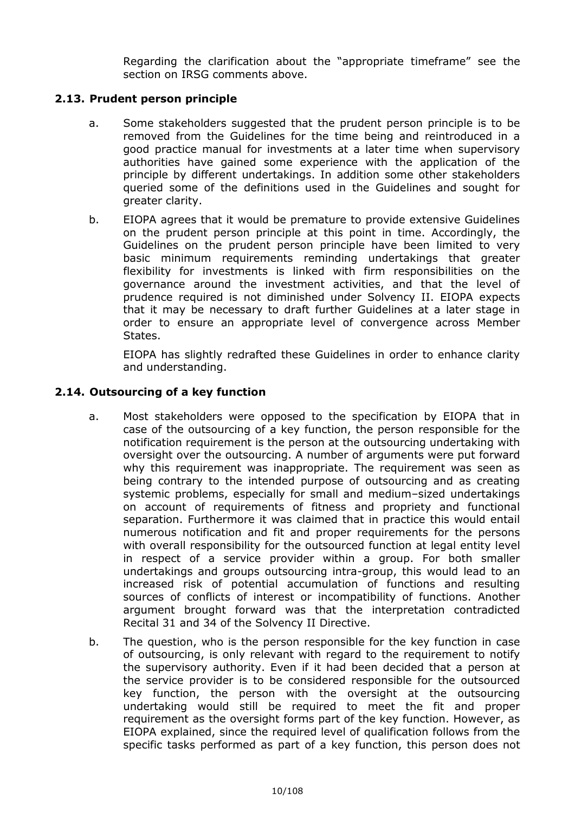Regarding the clarification about the "appropriate timeframe" see the section on IRSG comments above.

#### **2.13. Prudent person principle**

- a. Some stakeholders suggested that the prudent person principle is to be removed from the Guidelines for the time being and reintroduced in a good practice manual for investments at a later time when supervisory authorities have gained some experience with the application of the principle by different undertakings. In addition some other stakeholders queried some of the definitions used in the Guidelines and sought for greater clarity.
- b. EIOPA agrees that it would be premature to provide extensive Guidelines on the prudent person principle at this point in time. Accordingly, the Guidelines on the prudent person principle have been limited to very basic minimum requirements reminding undertakings that greater flexibility for investments is linked with firm responsibilities on the governance around the investment activities, and that the level of prudence required is not diminished under Solvency II. EIOPA expects that it may be necessary to draft further Guidelines at a later stage in order to ensure an appropriate level of convergence across Member States.

EIOPA has slightly redrafted these Guidelines in order to enhance clarity and understanding.

#### **2.14. Outsourcing of a key function**

- a. Most stakeholders were opposed to the specification by EIOPA that in case of the outsourcing of a key function, the person responsible for the notification requirement is the person at the outsourcing undertaking with oversight over the outsourcing. A number of arguments were put forward why this requirement was inappropriate. The requirement was seen as being contrary to the intended purpose of outsourcing and as creating systemic problems, especially for small and medium–sized undertakings on account of requirements of fitness and propriety and functional separation. Furthermore it was claimed that in practice this would entail numerous notification and fit and proper requirements for the persons with overall responsibility for the outsourced function at legal entity level in respect of a service provider within a group. For both smaller undertakings and groups outsourcing intra-group, this would lead to an increased risk of potential accumulation of functions and resulting sources of conflicts of interest or incompatibility of functions. Another argument brought forward was that the interpretation contradicted Recital 31 and 34 of the Solvency II Directive.
- b. The question, who is the person responsible for the key function in case of outsourcing, is only relevant with regard to the requirement to notify the supervisory authority. Even if it had been decided that a person at the service provider is to be considered responsible for the outsourced key function, the person with the oversight at the outsourcing undertaking would still be required to meet the fit and proper requirement as the oversight forms part of the key function. However, as EIOPA explained, since the required level of qualification follows from the specific tasks performed as part of a key function, this person does not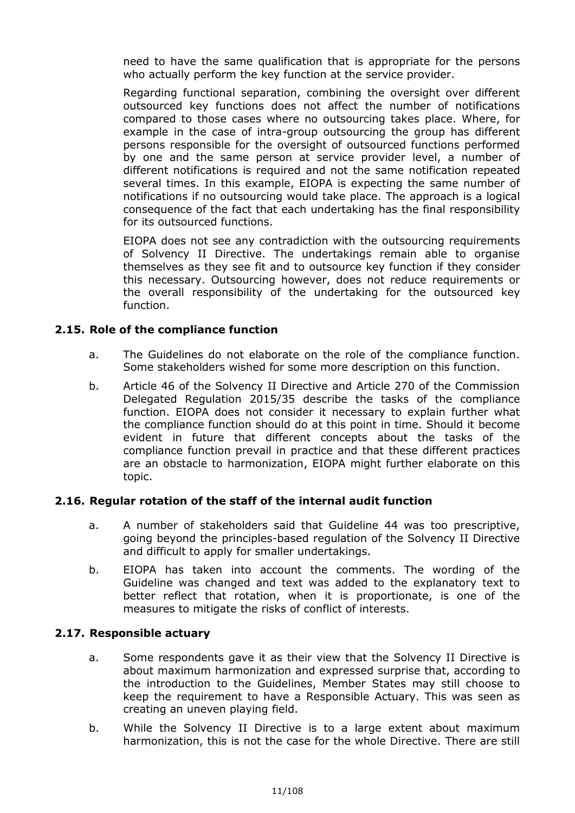need to have the same qualification that is appropriate for the persons who actually perform the key function at the service provider.

Regarding functional separation, combining the oversight over different outsourced key functions does not affect the number of notifications compared to those cases where no outsourcing takes place. Where, for example in the case of intra-group outsourcing the group has different persons responsible for the oversight of outsourced functions performed by one and the same person at service provider level, a number of different notifications is required and not the same notification repeated several times. In this example, EIOPA is expecting the same number of notifications if no outsourcing would take place. The approach is a logical consequence of the fact that each undertaking has the final responsibility for its outsourced functions.

EIOPA does not see any contradiction with the outsourcing requirements of Solvency II Directive. The undertakings remain able to organise themselves as they see fit and to outsource key function if they consider this necessary. Outsourcing however, does not reduce requirements or the overall responsibility of the undertaking for the outsourced key function.

#### **2.15. Role of the compliance function**

- a. The Guidelines do not elaborate on the role of the compliance function. Some stakeholders wished for some more description on this function.
- b. Article 46 of the Solvency II Directive and Article 270 of the Commission Delegated Regulation 2015/35 describe the tasks of the compliance function. EIOPA does not consider it necessary to explain further what the compliance function should do at this point in time. Should it become evident in future that different concepts about the tasks of the compliance function prevail in practice and that these different practices are an obstacle to harmonization, EIOPA might further elaborate on this topic.

#### **2.16. Regular rotation of the staff of the internal audit function**

- a. A number of stakeholders said that Guideline 44 was too prescriptive, going beyond the principles-based regulation of the Solvency II Directive and difficult to apply for smaller undertakings.
- b. EIOPA has taken into account the comments. The wording of the Guideline was changed and text was added to the explanatory text to better reflect that rotation, when it is proportionate, is one of the measures to mitigate the risks of conflict of interests.

#### **2.17. Responsible actuary**

- a. Some respondents gave it as their view that the Solvency II Directive is about maximum harmonization and expressed surprise that, according to the introduction to the Guidelines, Member States may still choose to keep the requirement to have a Responsible Actuary. This was seen as creating an uneven playing field.
- b. While the Solvency II Directive is to a large extent about maximum harmonization, this is not the case for the whole Directive. There are still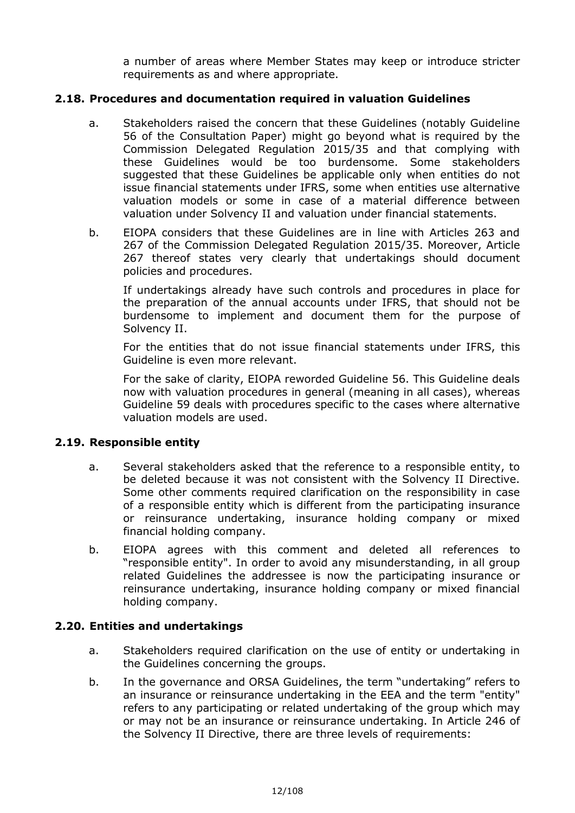a number of areas where Member States may keep or introduce stricter requirements as and where appropriate.

#### **2.18. Procedures and documentation required in valuation Guidelines**

- a. Stakeholders raised the concern that these Guidelines (notably Guideline 56 of the Consultation Paper) might go beyond what is required by the Commission Delegated Regulation 2015/35 and that complying with these Guidelines would be too burdensome. Some stakeholders suggested that these Guidelines be applicable only when entities do not issue financial statements under IFRS, some when entities use alternative valuation models or some in case of a material difference between valuation under Solvency II and valuation under financial statements.
- b. EIOPA considers that these Guidelines are in line with Articles 263 and 267 of the Commission Delegated Regulation 2015/35. Moreover, Article 267 thereof states very clearly that undertakings should document policies and procedures.

If undertakings already have such controls and procedures in place for the preparation of the annual accounts under IFRS, that should not be burdensome to implement and document them for the purpose of Solvency II.

For the entities that do not issue financial statements under IFRS, this Guideline is even more relevant.

For the sake of clarity, EIOPA reworded Guideline 56. This Guideline deals now with valuation procedures in general (meaning in all cases), whereas Guideline 59 deals with procedures specific to the cases where alternative valuation models are used.

#### **2.19. Responsible entity**

- a. Several stakeholders asked that the reference to a responsible entity, to be deleted because it was not consistent with the Solvency II Directive. Some other comments required clarification on the responsibility in case of a responsible entity which is different from the participating insurance or reinsurance undertaking, insurance holding company or mixed financial holding company.
- b. EIOPA agrees with this comment and deleted all references to "responsible entity". In order to avoid any misunderstanding, in all group related Guidelines the addressee is now the participating insurance or reinsurance undertaking, insurance holding company or mixed financial holding company.

#### **2.20. Entities and undertakings**

- a. Stakeholders required clarification on the use of entity or undertaking in the Guidelines concerning the groups.
- b. In the governance and ORSA Guidelines, the term "undertaking" refers to an insurance or reinsurance undertaking in the EEA and the term "entity" refers to any participating or related undertaking of the group which may or may not be an insurance or reinsurance undertaking. In Article 246 of the Solvency II Directive, there are three levels of requirements: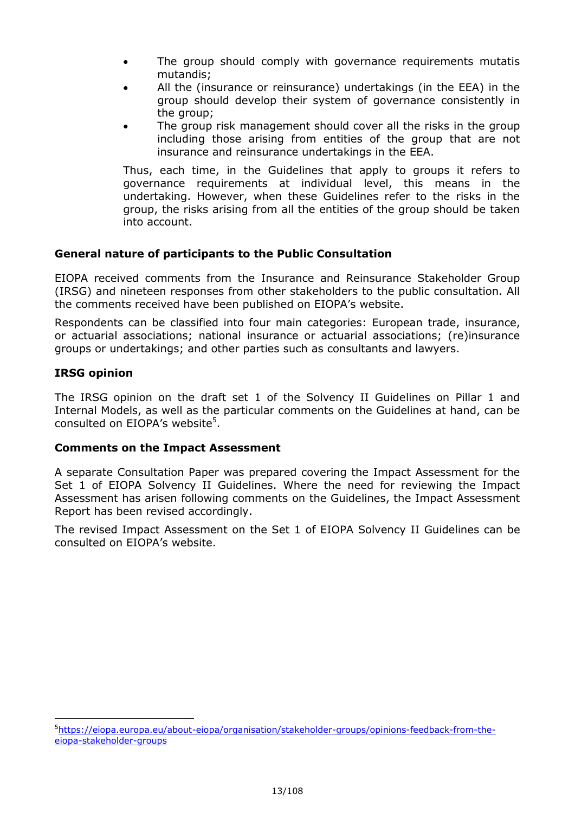- The group should comply with governance requirements mutatis mutandis;
- All the (insurance or reinsurance) undertakings (in the EEA) in the group should develop their system of governance consistently in the group;
- The group risk management should cover all the risks in the group including those arising from entities of the group that are not insurance and reinsurance undertakings in the EEA.

Thus, each time, in the Guidelines that apply to groups it refers to governance requirements at individual level, this means in the undertaking. However, when these Guidelines refer to the risks in the group, the risks arising from all the entities of the group should be taken into account.

#### **General nature of participants to the Public Consultation**

EIOPA received comments from the Insurance and Reinsurance Stakeholder Group (IRSG) and nineteen responses from other stakeholders to the public consultation. All the comments received have been published on EIOPA's website.

Respondents can be classified into four main categories: European trade, insurance, or actuarial associations; national insurance or actuarial associations; (re)insurance groups or undertakings; and other parties such as consultants and lawyers.

#### **IRSG opinion**

-

The IRSG opinion on the draft set 1 of the Solvency II Guidelines on Pillar 1 and Internal Models, as well as the particular comments on the Guidelines at hand, can be consulted on EIOPA's website<sup>5</sup>.

#### **Comments on the Impact Assessment**

A separate Consultation Paper was prepared covering the Impact Assessment for the Set 1 of EIOPA Solvency II Guidelines. Where the need for reviewing the Impact Assessment has arisen following comments on the Guidelines, the Impact Assessment Report has been revised accordingly.

The revised Impact Assessment on the Set 1 of EIOPA Solvency II Guidelines can be consulted on EIOPA's website.

<sup>5</sup>[https://eiopa.europa.eu/about-eiopa/organisation/stakeholder-groups/opinions-feedback-from-the](https://eiopa.europa.eu/about-eiopa/organisation/stakeholder-groups/opinions-feedback-from-the-eiopa-stakeholder-groups)[eiopa-stakeholder-groups](https://eiopa.europa.eu/about-eiopa/organisation/stakeholder-groups/opinions-feedback-from-the-eiopa-stakeholder-groups)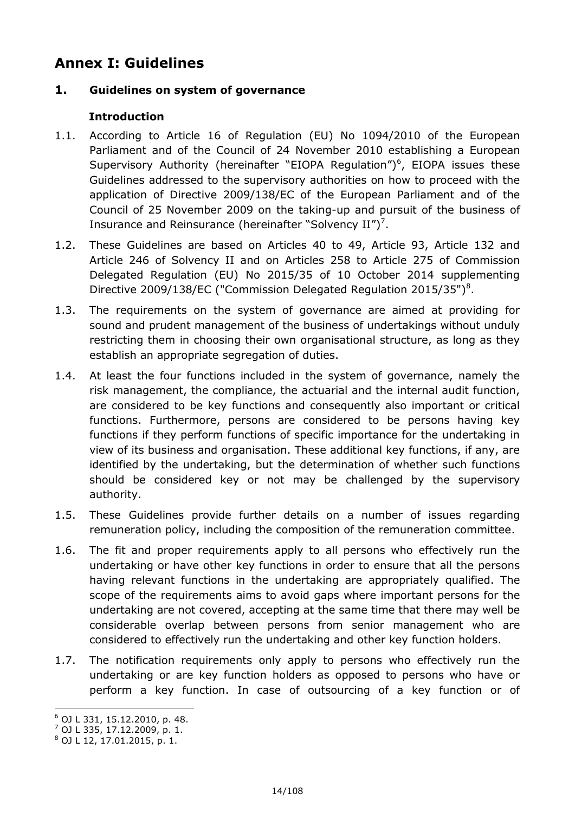### <span id="page-13-0"></span>**Annex I: Guidelines**

#### **1. Guidelines on system of governance**

#### **Introduction**

- 1.1. According to Article 16 of Regulation (EU) No 1094/2010 of the European Parliament and of the Council of 24 November 2010 establishing a European Supervisory Authority (hereinafter "EIOPA Regulation") $<sup>6</sup>$ , EIOPA issues these</sup> Guidelines addressed to the supervisory authorities on how to proceed with the application of Directive 2009/138/EC of the European Parliament and of the Council of 25 November 2009 on the taking-up and pursuit of the business of Insurance and Reinsurance (hereinafter "Solvency  $II''$ )<sup>7</sup>.
- 1.2. These Guidelines are based on Articles 40 to 49, Article 93, Article 132 and Article 246 of Solvency II and on Articles 258 to Article 275 of Commission Delegated Regulation (EU) No 2015/35 of 10 October 2014 supplementing Directive 2009/138/EC ("Commission Delegated Regulation 2015/35")<sup>8</sup>.
- 1.3. The requirements on the system of governance are aimed at providing for sound and prudent management of the business of undertakings without unduly restricting them in choosing their own organisational structure, as long as they establish an appropriate segregation of duties.
- 1.4. At least the four functions included in the system of governance, namely the risk management, the compliance, the actuarial and the internal audit function, are considered to be key functions and consequently also important or critical functions. Furthermore, persons are considered to be persons having key functions if they perform functions of specific importance for the undertaking in view of its business and organisation. These additional key functions, if any, are identified by the undertaking, but the determination of whether such functions should be considered key or not may be challenged by the supervisory authority.
- 1.5. These Guidelines provide further details on a number of issues regarding remuneration policy, including the composition of the remuneration committee.
- 1.6. The fit and proper requirements apply to all persons who effectively run the undertaking or have other key functions in order to ensure that all the persons having relevant functions in the undertaking are appropriately qualified. The scope of the requirements aims to avoid gaps where important persons for the undertaking are not covered, accepting at the same time that there may well be considerable overlap between persons from senior management who are considered to effectively run the undertaking and other key function holders.
- 1.7. The notification requirements only apply to persons who effectively run the undertaking or are key function holders as opposed to persons who have or perform a key function. In case of outsourcing of a key function or of

<sup>-</sup><sup>6</sup> OJ L 331, 15.12.2010, p. 48.

<sup>7</sup> OJ L 335, 17.12.2009, p. 1.

<sup>8</sup> OJ L 12, 17.01.2015, p. 1.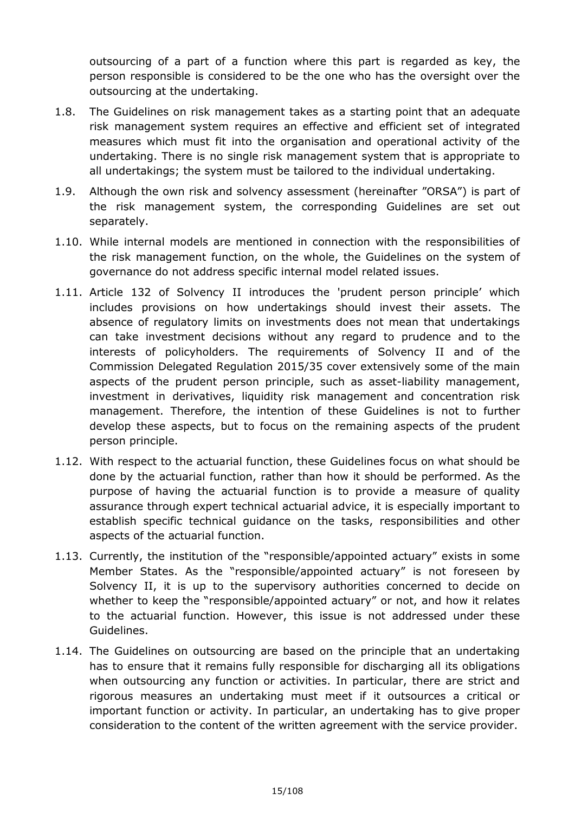outsourcing of a part of a function where this part is regarded as key, the person responsible is considered to be the one who has the oversight over the outsourcing at the undertaking.

- 1.8. The Guidelines on risk management takes as a starting point that an adequate risk management system requires an effective and efficient set of integrated measures which must fit into the organisation and operational activity of the undertaking. There is no single risk management system that is appropriate to all undertakings; the system must be tailored to the individual undertaking.
- 1.9. Although the own risk and solvency assessment (hereinafter "ORSA") is part of the risk management system, the corresponding Guidelines are set out separately.
- 1.10. While internal models are mentioned in connection with the responsibilities of the risk management function, on the whole, the Guidelines on the system of governance do not address specific internal model related issues.
- 1.11. Article 132 of Solvency II introduces the 'prudent person principle' which includes provisions on how undertakings should invest their assets. The absence of regulatory limits on investments does not mean that undertakings can take investment decisions without any regard to prudence and to the interests of policyholders. The requirements of Solvency II and of the Commission Delegated Regulation 2015/35 cover extensively some of the main aspects of the prudent person principle, such as asset-liability management, investment in derivatives, liquidity risk management and concentration risk management. Therefore, the intention of these Guidelines is not to further develop these aspects, but to focus on the remaining aspects of the prudent person principle.
- 1.12. With respect to the actuarial function, these Guidelines focus on what should be done by the actuarial function, rather than how it should be performed. As the purpose of having the actuarial function is to provide a measure of quality assurance through expert technical actuarial advice, it is especially important to establish specific technical guidance on the tasks, responsibilities and other aspects of the actuarial function.
- 1.13. Currently, the institution of the "responsible/appointed actuary" exists in some Member States. As the "responsible/appointed actuary" is not foreseen by Solvency II, it is up to the supervisory authorities concerned to decide on whether to keep the "responsible/appointed actuary" or not, and how it relates to the actuarial function. However, this issue is not addressed under these Guidelines.
- 1.14. The Guidelines on outsourcing are based on the principle that an undertaking has to ensure that it remains fully responsible for discharging all its obligations when outsourcing any function or activities. In particular, there are strict and rigorous measures an undertaking must meet if it outsources a critical or important function or activity. In particular, an undertaking has to give proper consideration to the content of the written agreement with the service provider.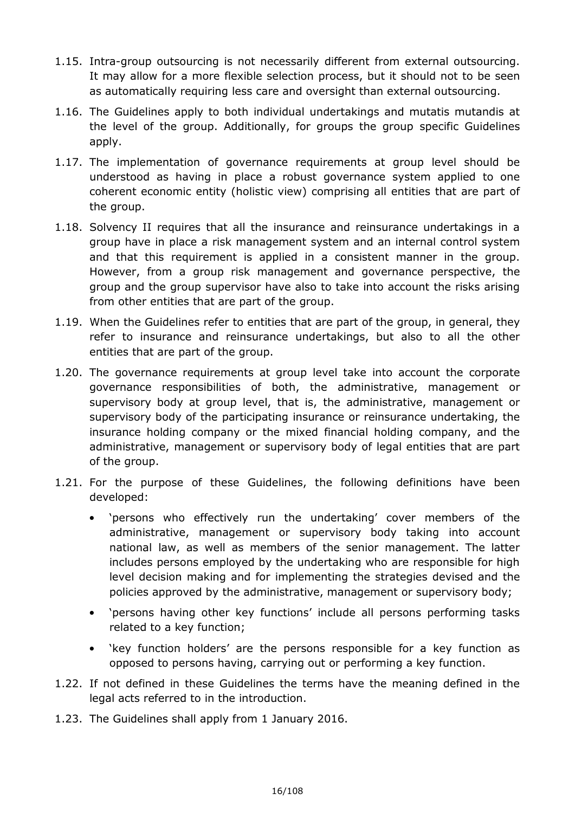- 1.15. Intra-group outsourcing is not necessarily different from external outsourcing. It may allow for a more flexible selection process, but it should not to be seen as automatically requiring less care and oversight than external outsourcing.
- 1.16. The Guidelines apply to both individual undertakings and mutatis mutandis at the level of the group. Additionally, for groups the group specific Guidelines apply.
- 1.17. The implementation of governance requirements at group level should be understood as having in place a robust governance system applied to one coherent economic entity (holistic view) comprising all entities that are part of the group.
- 1.18. Solvency II requires that all the insurance and reinsurance undertakings in a group have in place a risk management system and an internal control system and that this requirement is applied in a consistent manner in the group. However, from a group risk management and governance perspective, the group and the group supervisor have also to take into account the risks arising from other entities that are part of the group.
- 1.19. When the Guidelines refer to entities that are part of the group, in general, they refer to insurance and reinsurance undertakings, but also to all the other entities that are part of the group.
- 1.20. The governance requirements at group level take into account the corporate governance responsibilities of both, the administrative, management or supervisory body at group level, that is, the administrative, management or supervisory body of the participating insurance or reinsurance undertaking, the insurance holding company or the mixed financial holding company, and the administrative, management or supervisory body of legal entities that are part of the group.
- 1.21. For the purpose of these Guidelines, the following definitions have been developed:
	- 'persons who effectively run the undertaking' cover members of the administrative, management or supervisory body taking into account national law, as well as members of the senior management. The latter includes persons employed by the undertaking who are responsible for high level decision making and for implementing the strategies devised and the policies approved by the administrative, management or supervisory body;
	- 'persons having other key functions' include all persons performing tasks related to a key function;
	- 'key function holders' are the persons responsible for a key function as opposed to persons having, carrying out or performing a key function.
- 1.22. If not defined in these Guidelines the terms have the meaning defined in the legal acts referred to in the introduction.
- 1.23. The Guidelines shall apply from 1 January 2016.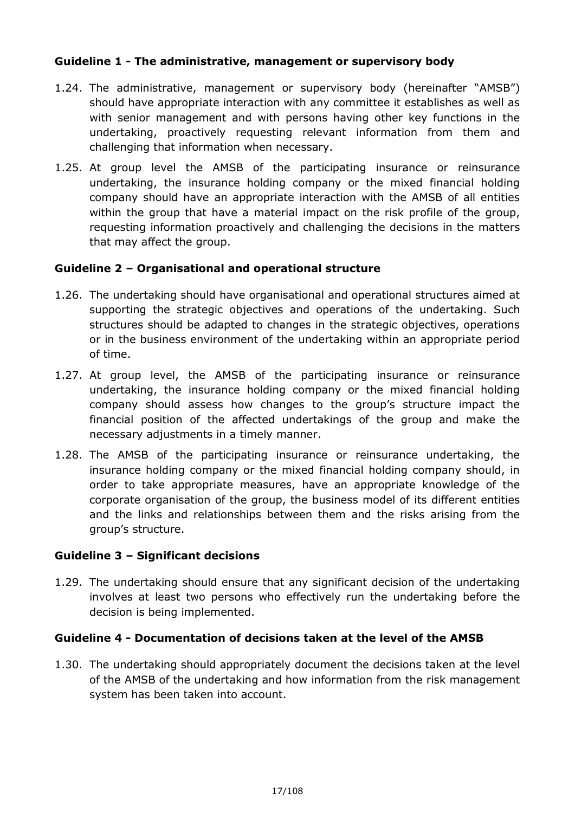#### **Guideline 1 - The administrative, management or supervisory body**

- 1.24. The administrative, management or supervisory body (hereinafter "AMSB") should have appropriate interaction with any committee it establishes as well as with senior management and with persons having other key functions in the undertaking, proactively requesting relevant information from them and challenging that information when necessary.
- 1.25. At group level the AMSB of the participating insurance or reinsurance undertaking, the insurance holding company or the mixed financial holding company should have an appropriate interaction with the AMSB of all entities within the group that have a material impact on the risk profile of the group, requesting information proactively and challenging the decisions in the matters that may affect the group.

#### **Guideline 2 – Organisational and operational structure**

- 1.26. The undertaking should have organisational and operational structures aimed at supporting the strategic objectives and operations of the undertaking. Such structures should be adapted to changes in the strategic objectives, operations or in the business environment of the undertaking within an appropriate period of time.
- 1.27. At group level, the AMSB of the participating insurance or reinsurance undertaking, the insurance holding company or the mixed financial holding company should assess how changes to the group's structure impact the financial position of the affected undertakings of the group and make the necessary adjustments in a timely manner.
- 1.28. The AMSB of the participating insurance or reinsurance undertaking, the insurance holding company or the mixed financial holding company should, in order to take appropriate measures, have an appropriate knowledge of the corporate organisation of the group, the business model of its different entities and the links and relationships between them and the risks arising from the group's structure.

#### **Guideline 3 – Significant decisions**

1.29. The undertaking should ensure that any significant decision of the undertaking involves at least two persons who effectively run the undertaking before the decision is being implemented.

#### **Guideline 4 - Documentation of decisions taken at the level of the AMSB**

1.30. The undertaking should appropriately document the decisions taken at the level of the AMSB of the undertaking and how information from the risk management system has been taken into account.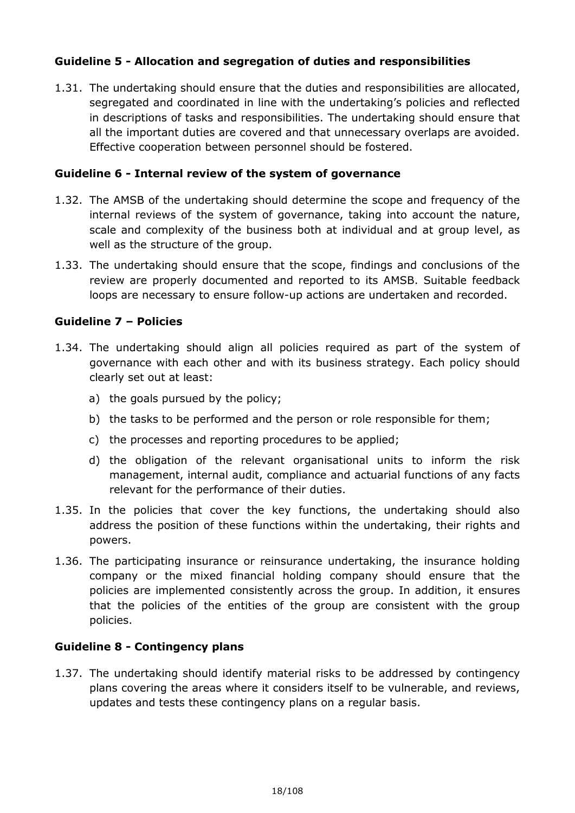#### **Guideline 5 - Allocation and segregation of duties and responsibilities**

1.31. The undertaking should ensure that the duties and responsibilities are allocated, segregated and coordinated in line with the undertaking's policies and reflected in descriptions of tasks and responsibilities. The undertaking should ensure that all the important duties are covered and that unnecessary overlaps are avoided. Effective cooperation between personnel should be fostered.

#### **Guideline 6 - Internal review of the system of governance**

- 1.32. The AMSB of the undertaking should determine the scope and frequency of the internal reviews of the system of governance, taking into account the nature, scale and complexity of the business both at individual and at group level, as well as the structure of the group.
- 1.33. The undertaking should ensure that the scope, findings and conclusions of the review are properly documented and reported to its AMSB. Suitable feedback loops are necessary to ensure follow-up actions are undertaken and recorded.

#### **Guideline 7 – Policies**

- 1.34. The undertaking should align all policies required as part of the system of governance with each other and with its business strategy. Each policy should clearly set out at least:
	- a) the goals pursued by the policy;
	- b) the tasks to be performed and the person or role responsible for them;
	- c) the processes and reporting procedures to be applied;
	- d) the obligation of the relevant organisational units to inform the risk management, internal audit, compliance and actuarial functions of any facts relevant for the performance of their duties.
- 1.35. In the policies that cover the key functions, the undertaking should also address the position of these functions within the undertaking, their rights and powers.
- 1.36. The participating insurance or reinsurance undertaking, the insurance holding company or the mixed financial holding company should ensure that the policies are implemented consistently across the group. In addition, it ensures that the policies of the entities of the group are consistent with the group policies.

#### **Guideline 8 - Contingency plans**

1.37. The undertaking should identify material risks to be addressed by contingency plans covering the areas where it considers itself to be vulnerable, and reviews, updates and tests these contingency plans on a regular basis.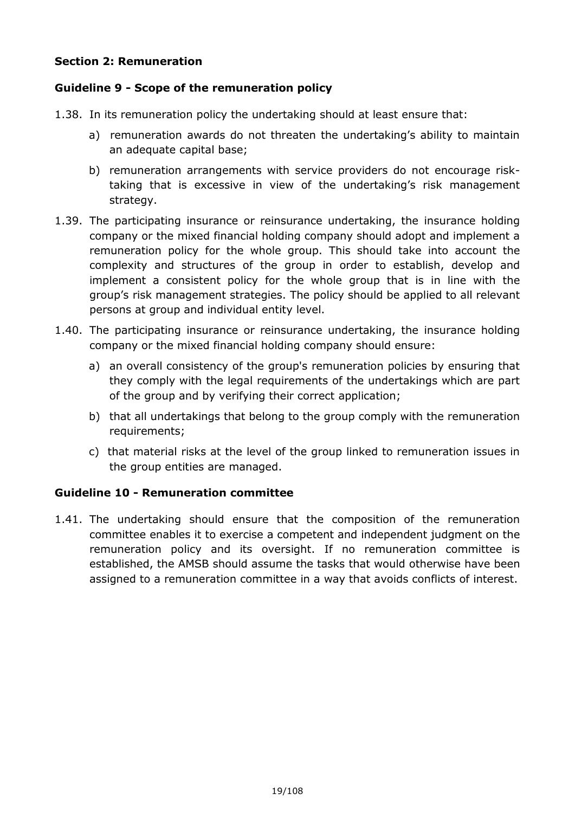#### **Section 2: Remuneration**

#### **Guideline 9 - Scope of the remuneration policy**

- 1.38. In its remuneration policy the undertaking should at least ensure that:
	- a) remuneration awards do not threaten the undertaking's ability to maintain an adequate capital base;
	- b) remuneration arrangements with service providers do not encourage risktaking that is excessive in view of the undertaking's risk management strategy.
- 1.39. The participating insurance or reinsurance undertaking, the insurance holding company or the mixed financial holding company should adopt and implement a remuneration policy for the whole group. This should take into account the complexity and structures of the group in order to establish, develop and implement a consistent policy for the whole group that is in line with the group's risk management strategies. The policy should be applied to all relevant persons at group and individual entity level.
- 1.40. The participating insurance or reinsurance undertaking, the insurance holding company or the mixed financial holding company should ensure:
	- a) an overall consistency of the group's remuneration policies by ensuring that they comply with the legal requirements of the undertakings which are part of the group and by verifying their correct application;
	- b) that all undertakings that belong to the group comply with the remuneration requirements;
	- c) that material risks at the level of the group linked to remuneration issues in the group entities are managed.

#### **Guideline 10 - Remuneration committee**

1.41. The undertaking should ensure that the composition of the remuneration committee enables it to exercise a competent and independent judgment on the remuneration policy and its oversight. If no remuneration committee is established, the AMSB should assume the tasks that would otherwise have been assigned to a remuneration committee in a way that avoids conflicts of interest.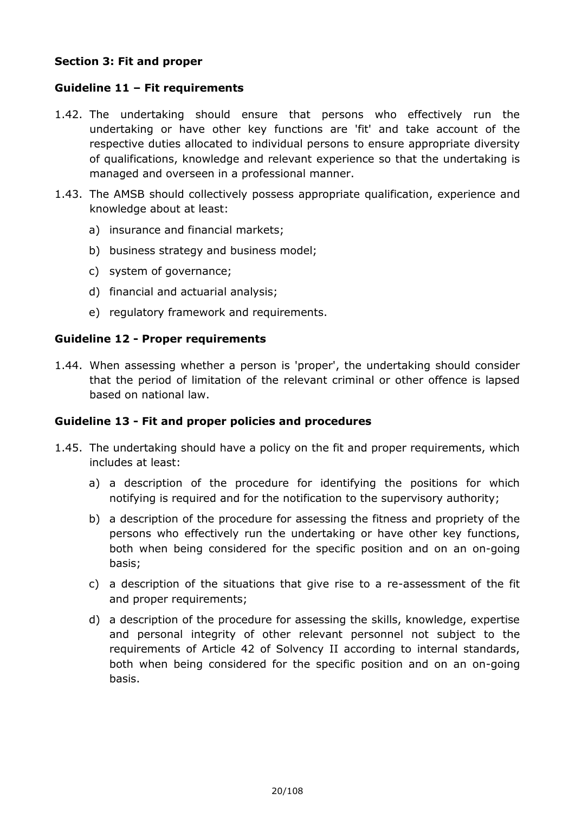#### **Section 3: Fit and proper**

#### **Guideline 11 – Fit requirements**

- 1.42. The undertaking should ensure that persons who effectively run the undertaking or have other key functions are 'fit' and take account of the respective duties allocated to individual persons to ensure appropriate diversity of qualifications, knowledge and relevant experience so that the undertaking is managed and overseen in a professional manner.
- 1.43. The AMSB should collectively possess appropriate qualification, experience and knowledge about at least:
	- a) insurance and financial markets;
	- b) business strategy and business model;
	- c) system of governance;
	- d) financial and actuarial analysis;
	- e) regulatory framework and requirements.

#### **Guideline 12 - Proper requirements**

1.44. When assessing whether a person is 'proper', the undertaking should consider that the period of limitation of the relevant criminal or other offence is lapsed based on national law.

#### **Guideline 13 - Fit and proper policies and procedures**

- 1.45. The undertaking should have a policy on the fit and proper requirements, which includes at least:
	- a) a description of the procedure for identifying the positions for which notifying is required and for the notification to the supervisory authority;
	- b) a description of the procedure for assessing the fitness and propriety of the persons who effectively run the undertaking or have other key functions, both when being considered for the specific position and on an on-going basis;
	- c) a description of the situations that give rise to a re-assessment of the fit and proper requirements;
	- d) a description of the procedure for assessing the skills, knowledge, expertise and personal integrity of other relevant personnel not subject to the requirements of Article 42 of Solvency II according to internal standards, both when being considered for the specific position and on an on-going basis.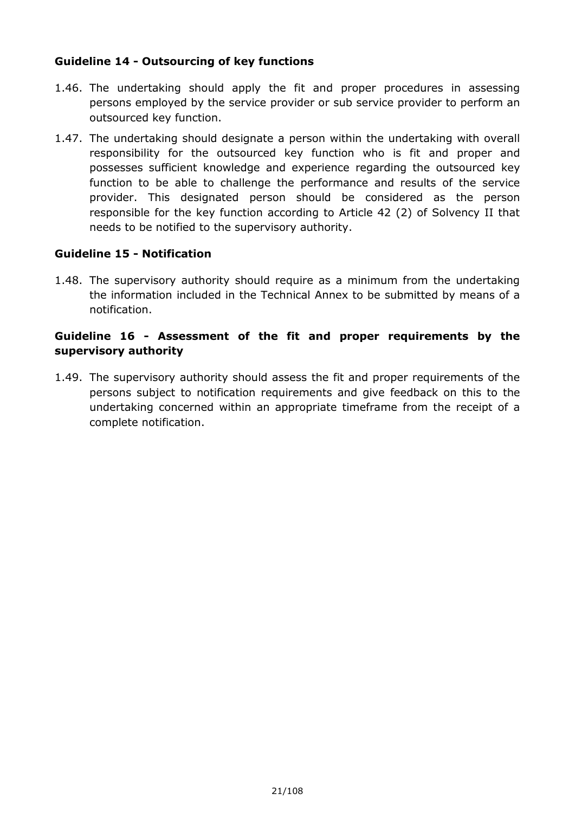#### **Guideline 14 - Outsourcing of key functions**

- 1.46. The undertaking should apply the fit and proper procedures in assessing persons employed by the service provider or sub service provider to perform an outsourced key function.
- 1.47. The undertaking should designate a person within the undertaking with overall responsibility for the outsourced key function who is fit and proper and possesses sufficient knowledge and experience regarding the outsourced key function to be able to challenge the performance and results of the service provider. This designated person should be considered as the person responsible for the key function according to Article 42 (2) of Solvency II that needs to be notified to the supervisory authority.

#### **Guideline 15 - Notification**

1.48. The supervisory authority should require as a minimum from the undertaking the information included in the Technical Annex to be submitted by means of a notification.

#### **Guideline 16 - Assessment of the fit and proper requirements by the supervisory authority**

1.49. The supervisory authority should assess the fit and proper requirements of the persons subject to notification requirements and give feedback on this to the undertaking concerned within an appropriate timeframe from the receipt of a complete notification.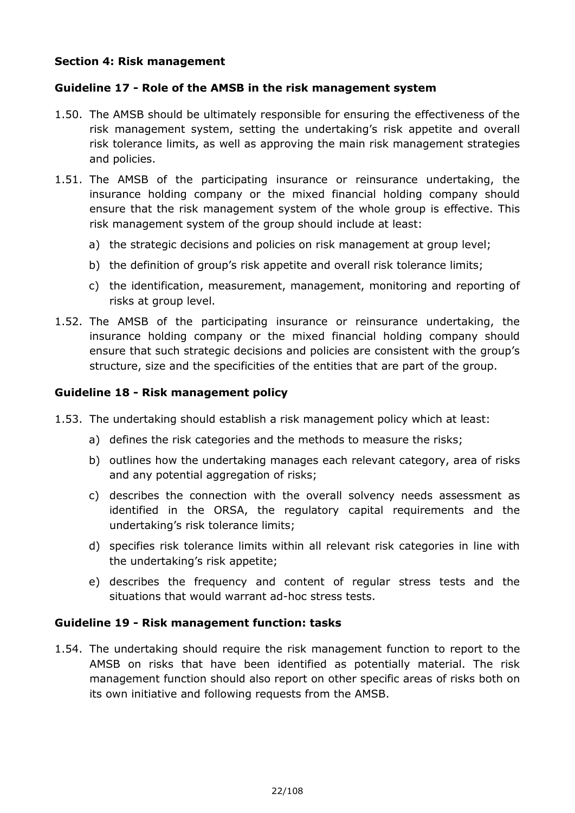#### **Section 4: Risk management**

#### **Guideline 17 - Role of the AMSB in the risk management system**

- 1.50. The AMSB should be ultimately responsible for ensuring the effectiveness of the risk management system, setting the undertaking's risk appetite and overall risk tolerance limits, as well as approving the main risk management strategies and policies.
- 1.51. The AMSB of the participating insurance or reinsurance undertaking, the insurance holding company or the mixed financial holding company should ensure that the risk management system of the whole group is effective. This risk management system of the group should include at least:
	- a) the strategic decisions and policies on risk management at group level;
	- b) the definition of group's risk appetite and overall risk tolerance limits;
	- c) the identification, measurement, management, monitoring and reporting of risks at group level.
- 1.52. The AMSB of the participating insurance or reinsurance undertaking, the insurance holding company or the mixed financial holding company should ensure that such strategic decisions and policies are consistent with the group's structure, size and the specificities of the entities that are part of the group.

#### **Guideline 18 - Risk management policy**

- 1.53. The undertaking should establish a risk management policy which at least:
	- a) defines the risk categories and the methods to measure the risks;
	- b) outlines how the undertaking manages each relevant category, area of risks and any potential aggregation of risks;
	- c) describes the connection with the overall solvency needs assessment as identified in the ORSA, the regulatory capital requirements and the undertaking's risk tolerance limits;
	- d) specifies risk tolerance limits within all relevant risk categories in line with the undertaking's risk appetite;
	- e) describes the frequency and content of regular stress tests and the situations that would warrant ad-hoc stress tests.

#### **Guideline 19 - Risk management function: tasks**

1.54. The undertaking should require the risk management function to report to the AMSB on risks that have been identified as potentially material. The risk management function should also report on other specific areas of risks both on its own initiative and following requests from the AMSB.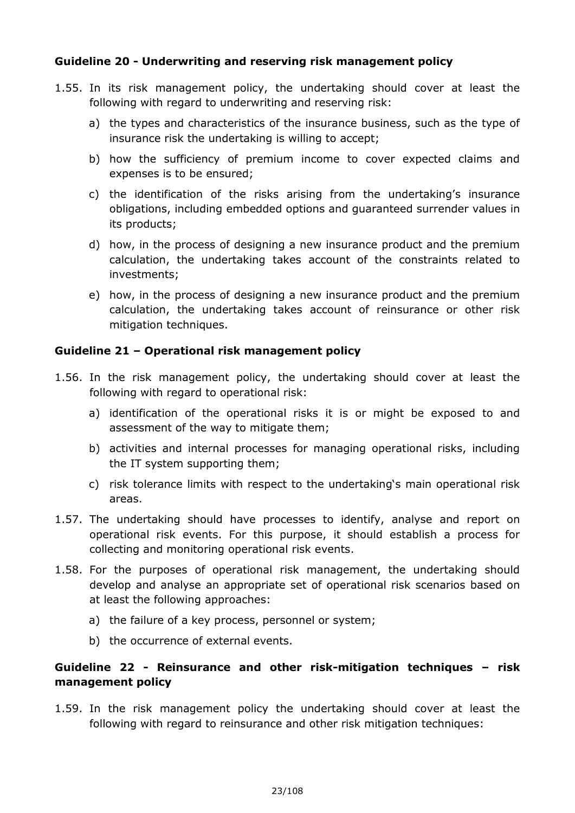#### **Guideline 20 - Underwriting and reserving risk management policy**

- 1.55. In its risk management policy, the undertaking should cover at least the following with regard to underwriting and reserving risk:
	- a) the types and characteristics of the insurance business, such as the type of insurance risk the undertaking is willing to accept;
	- b) how the sufficiency of premium income to cover expected claims and expenses is to be ensured;
	- c) the identification of the risks arising from the undertaking's insurance obligations, including embedded options and guaranteed surrender values in its products;
	- d) how, in the process of designing a new insurance product and the premium calculation, the undertaking takes account of the constraints related to investments;
	- e) how, in the process of designing a new insurance product and the premium calculation, the undertaking takes account of reinsurance or other risk mitigation techniques.

#### **Guideline 21 – Operational risk management policy**

- 1.56. In the risk management policy, the undertaking should cover at least the following with regard to operational risk:
	- a) identification of the operational risks it is or might be exposed to and assessment of the way to mitigate them;
	- b) activities and internal processes for managing operational risks, including the IT system supporting them;
	- c) risk tolerance limits with respect to the undertaking's main operational risk areas.
- 1.57. The undertaking should have processes to identify, analyse and report on operational risk events. For this purpose, it should establish a process for collecting and monitoring operational risk events.
- 1.58. For the purposes of operational risk management, the undertaking should develop and analyse an appropriate set of operational risk scenarios based on at least the following approaches:
	- a) the failure of a key process, personnel or system;
	- b) the occurrence of external events.

#### **Guideline 22 - Reinsurance and other risk-mitigation techniques – risk management policy**

1.59. In the risk management policy the undertaking should cover at least the following with regard to reinsurance and other risk mitigation techniques: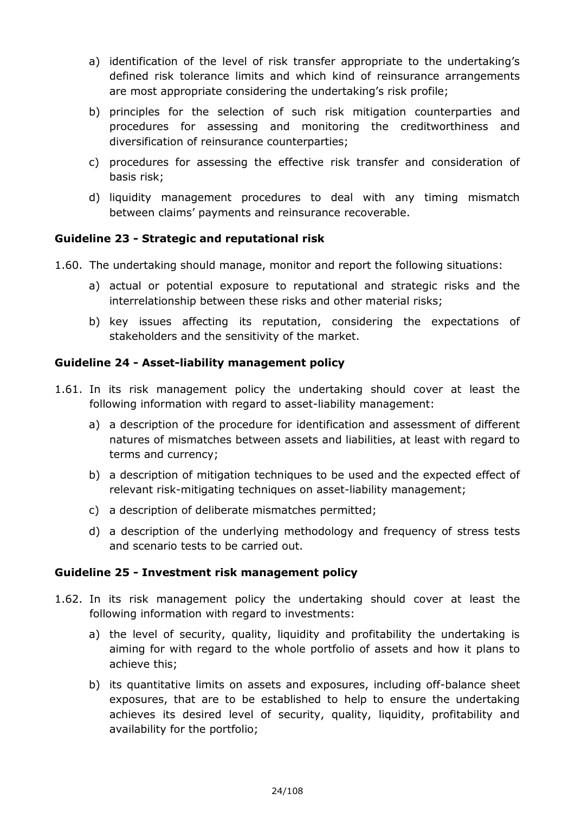- a) identification of the level of risk transfer appropriate to the undertaking's defined risk tolerance limits and which kind of reinsurance arrangements are most appropriate considering the undertaking's risk profile;
- b) principles for the selection of such risk mitigation counterparties and procedures for assessing and monitoring the creditworthiness and diversification of reinsurance counterparties;
- c) procedures for assessing the effective risk transfer and consideration of basis risk;
- d) liquidity management procedures to deal with any timing mismatch between claims' payments and reinsurance recoverable.

#### **Guideline 23 - Strategic and reputational risk**

- 1.60. The undertaking should manage, monitor and report the following situations:
	- a) actual or potential exposure to reputational and strategic risks and the interrelationship between these risks and other material risks;
	- b) key issues affecting its reputation, considering the expectations of stakeholders and the sensitivity of the market.

#### **Guideline 24 - Asset-liability management policy**

- 1.61. In its risk management policy the undertaking should cover at least the following information with regard to asset-liability management:
	- a) a description of the procedure for identification and assessment of different natures of mismatches between assets and liabilities, at least with regard to terms and currency;
	- b) a description of mitigation techniques to be used and the expected effect of relevant risk-mitigating techniques on asset-liability management;
	- c) a description of deliberate mismatches permitted;
	- d) a description of the underlying methodology and frequency of stress tests and scenario tests to be carried out.

#### **Guideline 25 - Investment risk management policy**

- 1.62. In its risk management policy the undertaking should cover at least the following information with regard to investments:
	- a) the level of security, quality, liquidity and profitability the undertaking is aiming for with regard to the whole portfolio of assets and how it plans to achieve this;
	- b) its quantitative limits on assets and exposures, including off-balance sheet exposures, that are to be established to help to ensure the undertaking achieves its desired level of security, quality, liquidity, profitability and availability for the portfolio;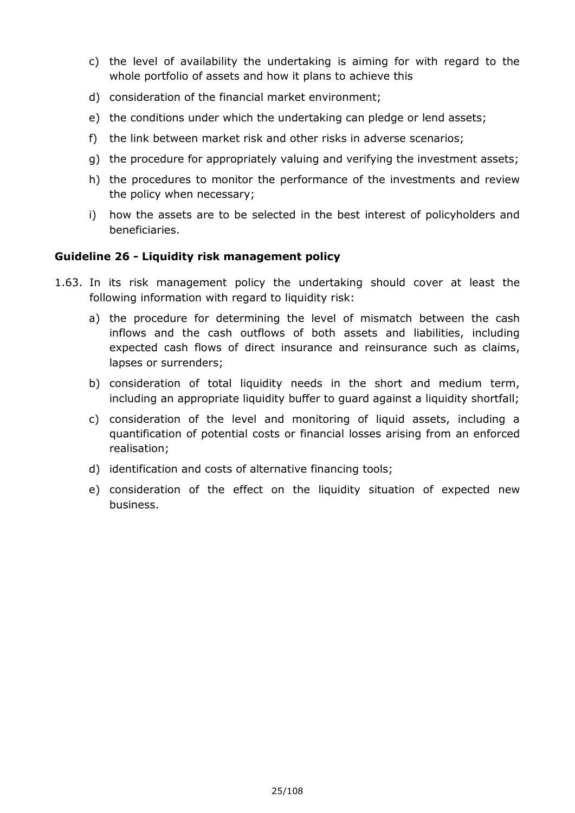- c) the level of availability the undertaking is aiming for with regard to the whole portfolio of assets and how it plans to achieve this
- d) consideration of the financial market environment;
- e) the conditions under which the undertaking can pledge or lend assets;
- f) the link between market risk and other risks in adverse scenarios;
- g) the procedure for appropriately valuing and verifying the investment assets;
- h) the procedures to monitor the performance of the investments and review the policy when necessary;
- i) how the assets are to be selected in the best interest of policyholders and beneficiaries.

#### **Guideline 26 - Liquidity risk management policy**

- 1.63. In its risk management policy the undertaking should cover at least the following information with regard to liquidity risk:
	- a) the procedure for determining the level of mismatch between the cash inflows and the cash outflows of both assets and liabilities, including expected cash flows of direct insurance and reinsurance such as claims, lapses or surrenders;
	- b) consideration of total liquidity needs in the short and medium term, including an appropriate liquidity buffer to guard against a liquidity shortfall;
	- c) consideration of the level and monitoring of liquid assets, including a quantification of potential costs or financial losses arising from an enforced realisation;
	- d) identification and costs of alternative financing tools;
	- e) consideration of the effect on the liquidity situation of expected new business.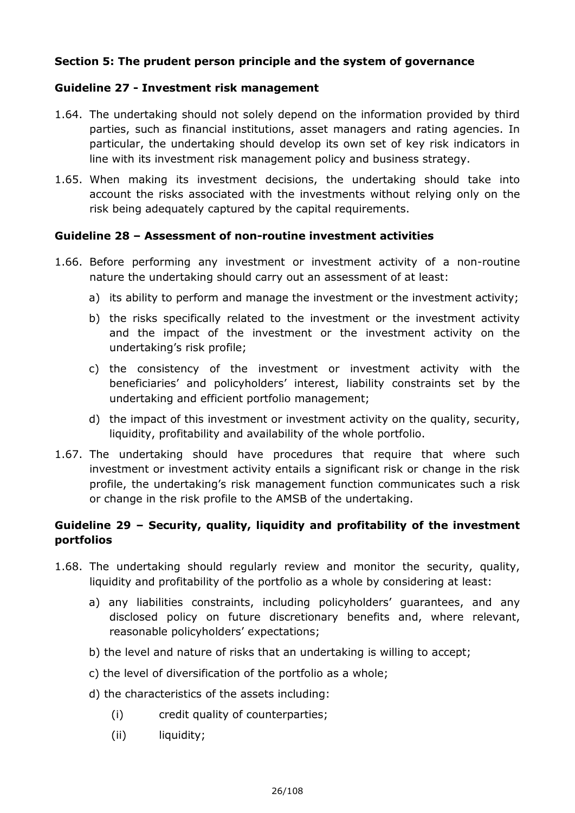#### **Section 5: The prudent person principle and the system of governance**

#### **Guideline 27 - Investment risk management**

- 1.64. The undertaking should not solely depend on the information provided by third parties, such as financial institutions, asset managers and rating agencies. In particular, the undertaking should develop its own set of key risk indicators in line with its investment risk management policy and business strategy.
- 1.65. When making its investment decisions, the undertaking should take into account the risks associated with the investments without relying only on the risk being adequately captured by the capital requirements.

#### **Guideline 28 – Assessment of non-routine investment activities**

- 1.66. Before performing any investment or investment activity of a non-routine nature the undertaking should carry out an assessment of at least:
	- a) its ability to perform and manage the investment or the investment activity;
	- b) the risks specifically related to the investment or the investment activity and the impact of the investment or the investment activity on the undertaking's risk profile;
	- c) the consistency of the investment or investment activity with the beneficiaries' and policyholders' interest, liability constraints set by the undertaking and efficient portfolio management;
	- d) the impact of this investment or investment activity on the quality, security, liquidity, profitability and availability of the whole portfolio.
- 1.67. The undertaking should have procedures that require that where such investment or investment activity entails a significant risk or change in the risk profile, the undertaking's risk management function communicates such a risk or change in the risk profile to the AMSB of the undertaking.

#### **Guideline 29 – Security, quality, liquidity and profitability of the investment portfolios**

- 1.68. The undertaking should regularly review and monitor the security, quality, liquidity and profitability of the portfolio as a whole by considering at least:
	- a) any liabilities constraints, including policyholders' guarantees, and any disclosed policy on future discretionary benefits and, where relevant, reasonable policyholders' expectations;
	- b) the level and nature of risks that an undertaking is willing to accept;
	- c) the level of diversification of the portfolio as a whole;
	- d) the characteristics of the assets including:
		- (i) credit quality of counterparties;
		- (ii) liquidity;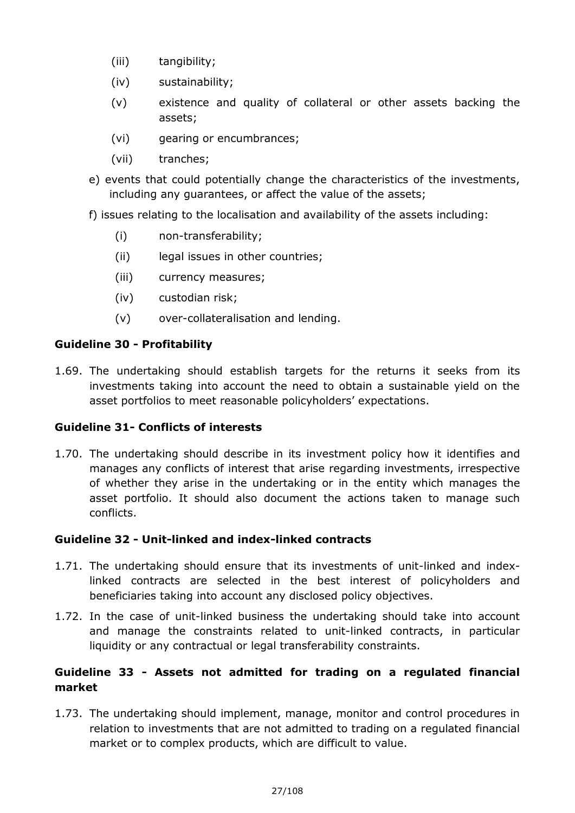- (iii) tangibility;
- (iv) sustainability;
- (v) existence and quality of collateral or other assets backing the assets;
- (vi) gearing or encumbrances;
- (vii) tranches;
- e) events that could potentially change the characteristics of the investments, including any guarantees, or affect the value of the assets;
- f) issues relating to the localisation and availability of the assets including:
	- (i) non-transferability;
	- (ii) legal issues in other countries;
	- (iii) currency measures;
	- (iv) custodian risk;
	- (v) over-collateralisation and lending.

#### **Guideline 30 - Profitability**

1.69. The undertaking should establish targets for the returns it seeks from its investments taking into account the need to obtain a sustainable yield on the asset portfolios to meet reasonable policyholders' expectations.

#### **Guideline 31- Conflicts of interests**

1.70. The undertaking should describe in its investment policy how it identifies and manages any conflicts of interest that arise regarding investments, irrespective of whether they arise in the undertaking or in the entity which manages the asset portfolio. It should also document the actions taken to manage such conflicts.

#### **Guideline 32 - Unit-linked and index-linked contracts**

- 1.71. The undertaking should ensure that its investments of unit-linked and indexlinked contracts are selected in the best interest of policyholders and beneficiaries taking into account any disclosed policy objectives.
- 1.72. In the case of unit-linked business the undertaking should take into account and manage the constraints related to unit-linked contracts, in particular liquidity or any contractual or legal transferability constraints.

#### **Guideline 33 - Assets not admitted for trading on a regulated financial market**

1.73. The undertaking should implement, manage, monitor and control procedures in relation to investments that are not admitted to trading on a regulated financial market or to complex products, which are difficult to value.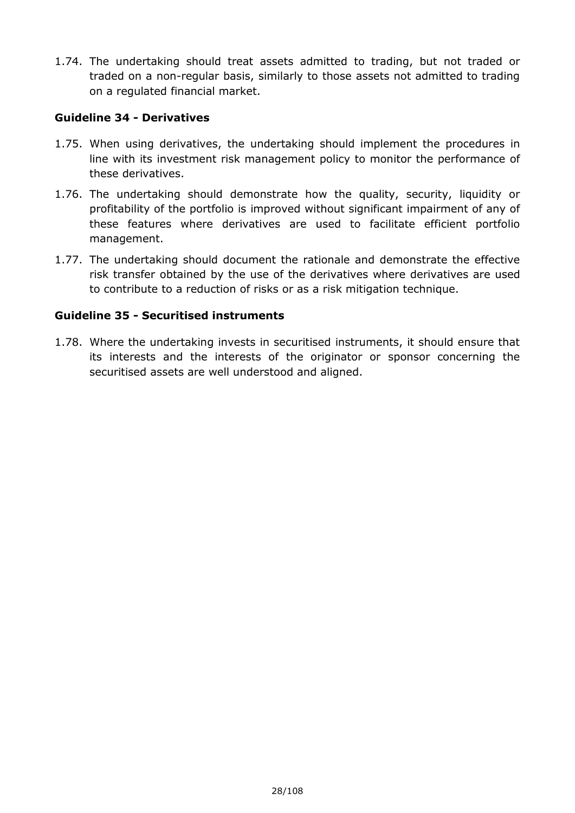1.74. The undertaking should treat assets admitted to trading, but not traded or traded on a non-regular basis, similarly to those assets not admitted to trading on a regulated financial market.

#### **Guideline 34 - Derivatives**

- 1.75. When using derivatives, the undertaking should implement the procedures in line with its investment risk management policy to monitor the performance of these derivatives.
- 1.76. The undertaking should demonstrate how the quality, security, liquidity or profitability of the portfolio is improved without significant impairment of any of these features where derivatives are used to facilitate efficient portfolio management.
- 1.77. The undertaking should document the rationale and demonstrate the effective risk transfer obtained by the use of the derivatives where derivatives are used to contribute to a reduction of risks or as a risk mitigation technique.

#### **Guideline 35 - Securitised instruments**

1.78. Where the undertaking invests in securitised instruments, it should ensure that its interests and the interests of the originator or sponsor concerning the securitised assets are well understood and aligned.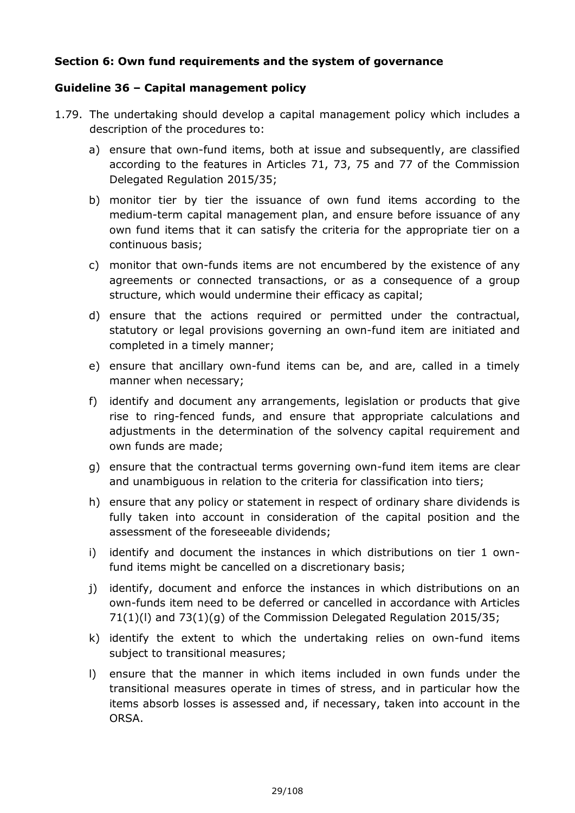#### **Section 6: Own fund requirements and the system of governance**

#### **Guideline 36 – Capital management policy**

- 1.79. The undertaking should develop a capital management policy which includes a description of the procedures to:
	- a) ensure that own-fund items, both at issue and subsequently, are classified according to the features in Articles 71, 73, 75 and 77 of the Commission Delegated Regulation 2015/35;
	- b) monitor tier by tier the issuance of own fund items according to the medium-term capital management plan, and ensure before issuance of any own fund items that it can satisfy the criteria for the appropriate tier on a continuous basis;
	- c) monitor that own-funds items are not encumbered by the existence of any agreements or connected transactions, or as a consequence of a group structure, which would undermine their efficacy as capital;
	- d) ensure that the actions required or permitted under the contractual, statutory or legal provisions governing an own-fund item are initiated and completed in a timely manner;
	- e) ensure that ancillary own-fund items can be, and are, called in a timely manner when necessary;
	- f) identify and document any arrangements, legislation or products that give rise to ring-fenced funds, and ensure that appropriate calculations and adjustments in the determination of the solvency capital requirement and own funds are made;
	- g) ensure that the contractual terms governing own-fund item items are clear and unambiguous in relation to the criteria for classification into tiers;
	- h) ensure that any policy or statement in respect of ordinary share dividends is fully taken into account in consideration of the capital position and the assessment of the foreseeable dividends;
	- i) identify and document the instances in which distributions on tier 1 ownfund items might be cancelled on a discretionary basis;
	- j) identify, document and enforce the instances in which distributions on an own-funds item need to be deferred or cancelled in accordance with Articles  $71(1)(I)$  and  $73(1)(q)$  of the Commission Delegated Regulation 2015/35;
	- k) identify the extent to which the undertaking relies on own-fund items subject to transitional measures;
	- l) ensure that the manner in which items included in own funds under the transitional measures operate in times of stress, and in particular how the items absorb losses is assessed and, if necessary, taken into account in the ORSA.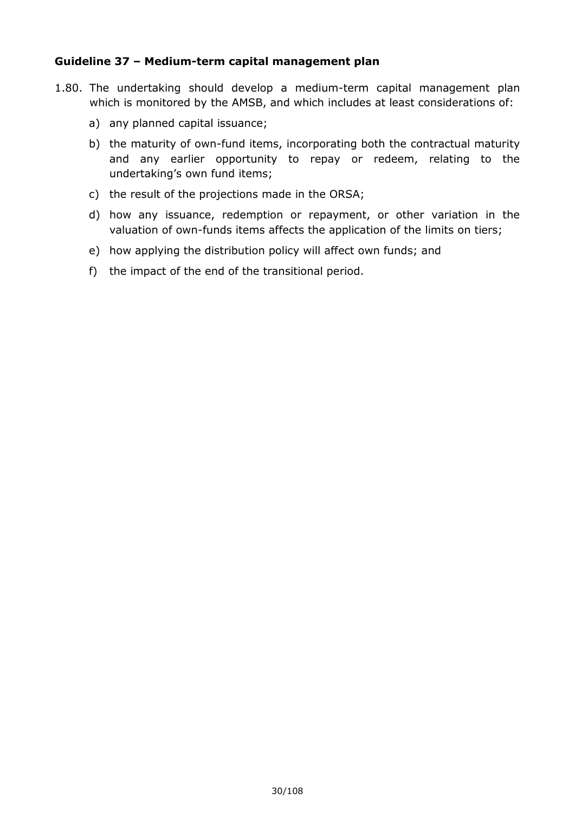#### **Guideline 37 – Medium-term capital management plan**

- 1.80. The undertaking should develop a medium-term capital management plan which is monitored by the AMSB, and which includes at least considerations of:
	- a) any planned capital issuance;
	- b) the maturity of own-fund items, incorporating both the contractual maturity and any earlier opportunity to repay or redeem, relating to the undertaking's own fund items;
	- c) the result of the projections made in the ORSA;
	- d) how any issuance, redemption or repayment, or other variation in the valuation of own-funds items affects the application of the limits on tiers;
	- e) how applying the distribution policy will affect own funds; and
	- f) the impact of the end of the transitional period.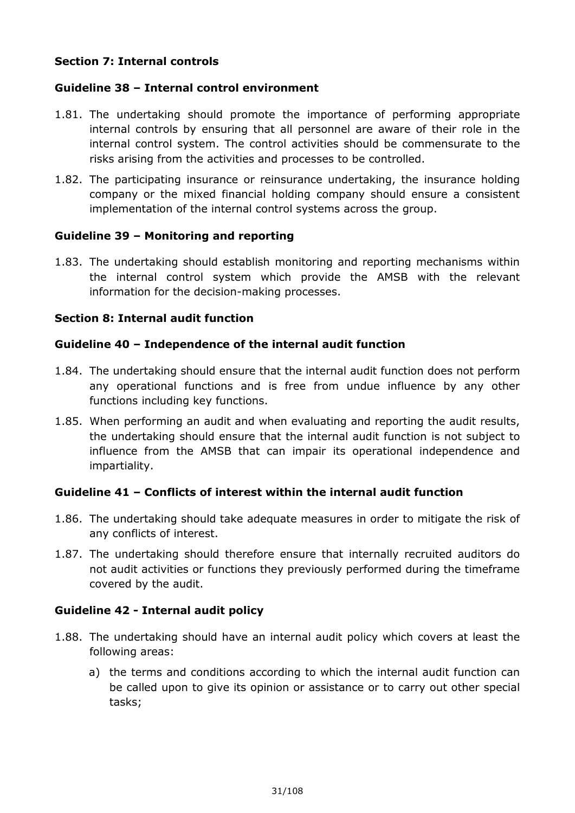#### **Section 7: Internal controls**

#### **Guideline 38 – Internal control environment**

- 1.81. The undertaking should promote the importance of performing appropriate internal controls by ensuring that all personnel are aware of their role in the internal control system. The control activities should be commensurate to the risks arising from the activities and processes to be controlled.
- 1.82. The participating insurance or reinsurance undertaking, the insurance holding company or the mixed financial holding company should ensure a consistent implementation of the internal control systems across the group.

#### **Guideline 39 – Monitoring and reporting**

1.83. The undertaking should establish monitoring and reporting mechanisms within the internal control system which provide the AMSB with the relevant information for the decision-making processes.

#### **Section 8: Internal audit function**

#### **Guideline 40 – Independence of the internal audit function**

- 1.84. The undertaking should ensure that the internal audit function does not perform any operational functions and is free from undue influence by any other functions including key functions.
- 1.85. When performing an audit and when evaluating and reporting the audit results, the undertaking should ensure that the internal audit function is not subject to influence from the AMSB that can impair its operational independence and impartiality.

#### **Guideline 41 – Conflicts of interest within the internal audit function**

- 1.86. The undertaking should take adequate measures in order to mitigate the risk of any conflicts of interest.
- 1.87. The undertaking should therefore ensure that internally recruited auditors do not audit activities or functions they previously performed during the timeframe covered by the audit.

#### **Guideline 42 - Internal audit policy**

- 1.88. The undertaking should have an internal audit policy which covers at least the following areas:
	- a) the terms and conditions according to which the internal audit function can be called upon to give its opinion or assistance or to carry out other special tasks;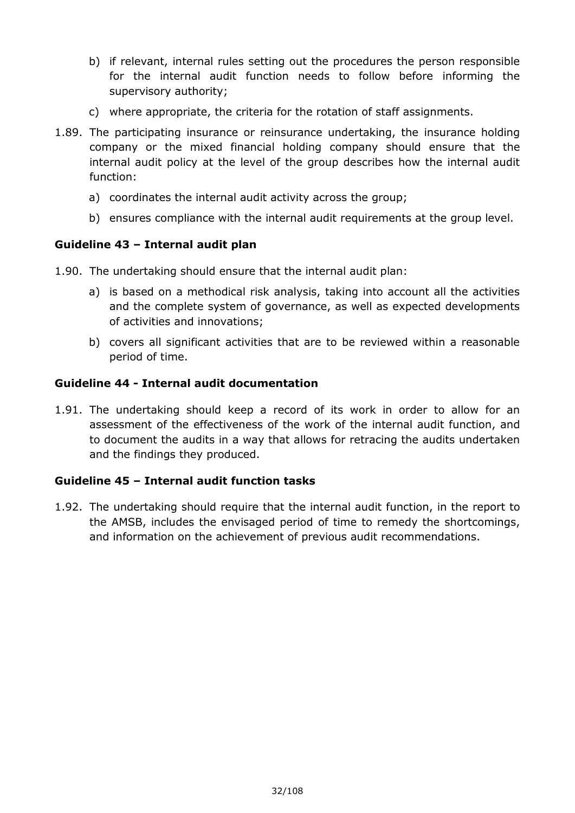- b) if relevant, internal rules setting out the procedures the person responsible for the internal audit function needs to follow before informing the supervisory authority;
- c) where appropriate, the criteria for the rotation of staff assignments.
- 1.89. The participating insurance or reinsurance undertaking, the insurance holding company or the mixed financial holding company should ensure that the internal audit policy at the level of the group describes how the internal audit function:
	- a) coordinates the internal audit activity across the group;
	- b) ensures compliance with the internal audit requirements at the group level.

#### **Guideline 43 – Internal audit plan**

- 1.90. The undertaking should ensure that the internal audit plan:
	- a) is based on a methodical risk analysis, taking into account all the activities and the complete system of governance, as well as expected developments of activities and innovations;
	- b) covers all significant activities that are to be reviewed within a reasonable period of time.

#### **Guideline 44 - Internal audit documentation**

1.91. The undertaking should keep a record of its work in order to allow for an assessment of the effectiveness of the work of the internal audit function, and to document the audits in a way that allows for retracing the audits undertaken and the findings they produced.

#### **Guideline 45 – Internal audit function tasks**

1.92. The undertaking should require that the internal audit function, in the report to the AMSB, includes the envisaged period of time to remedy the shortcomings, and information on the achievement of previous audit recommendations.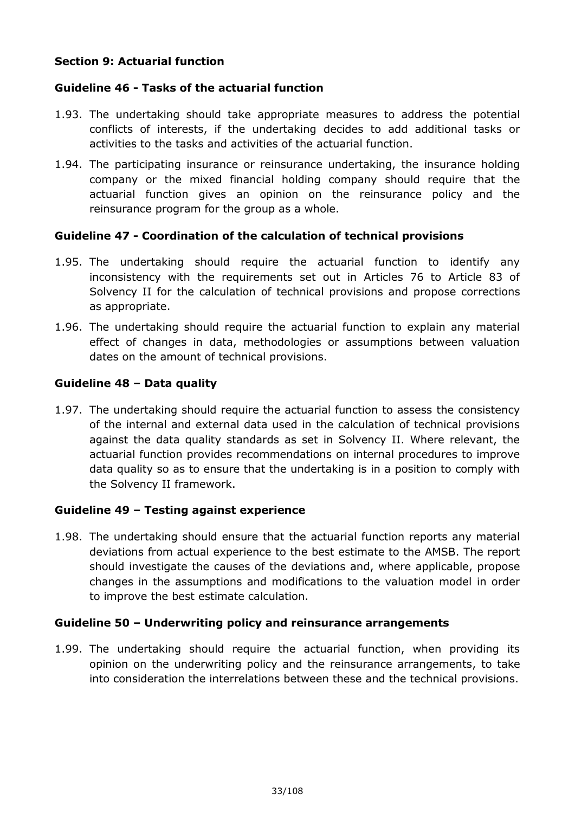#### **Section 9: Actuarial function**

#### **Guideline 46 - Tasks of the actuarial function**

- 1.93. The undertaking should take appropriate measures to address the potential conflicts of interests, if the undertaking decides to add additional tasks or activities to the tasks and activities of the actuarial function.
- 1.94. The participating insurance or reinsurance undertaking, the insurance holding company or the mixed financial holding company should require that the actuarial function gives an opinion on the reinsurance policy and the reinsurance program for the group as a whole.

#### **Guideline 47 - Coordination of the calculation of technical provisions**

- 1.95. The undertaking should require the actuarial function to identify any inconsistency with the requirements set out in Articles 76 to Article 83 of Solvency II for the calculation of technical provisions and propose corrections as appropriate.
- 1.96. The undertaking should require the actuarial function to explain any material effect of changes in data, methodologies or assumptions between valuation dates on the amount of technical provisions.

#### **Guideline 48 – Data quality**

1.97. The undertaking should require the actuarial function to assess the consistency of the internal and external data used in the calculation of technical provisions against the data quality standards as set in Solvency II. Where relevant, the actuarial function provides recommendations on internal procedures to improve data quality so as to ensure that the undertaking is in a position to comply with the Solvency II framework.

#### **Guideline 49 – Testing against experience**

1.98. The undertaking should ensure that the actuarial function reports any material deviations from actual experience to the best estimate to the AMSB. The report should investigate the causes of the deviations and, where applicable, propose changes in the assumptions and modifications to the valuation model in order to improve the best estimate calculation.

#### **Guideline 50 – Underwriting policy and reinsurance arrangements**

1.99. The undertaking should require the actuarial function, when providing its opinion on the underwriting policy and the reinsurance arrangements, to take into consideration the interrelations between these and the technical provisions.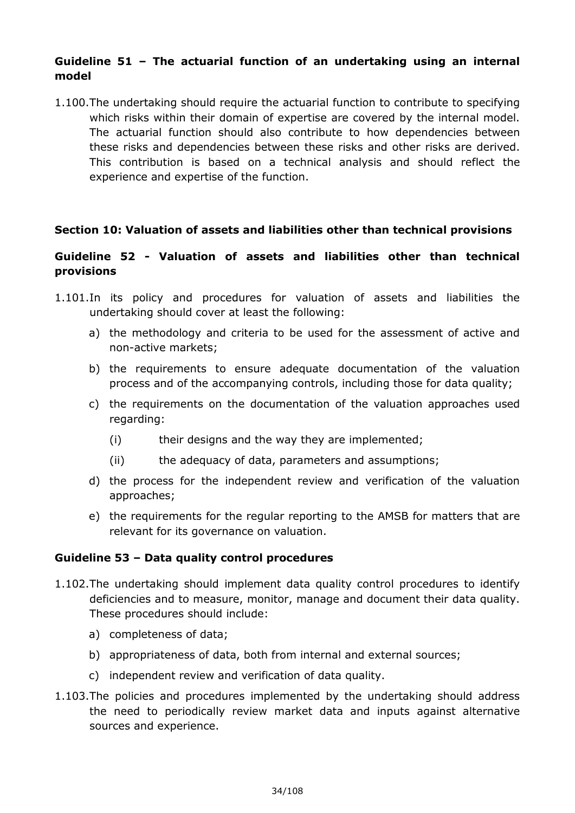#### **Guideline 51 – The actuarial function of an undertaking using an internal model**

1.100.The undertaking should require the actuarial function to contribute to specifying which risks within their domain of expertise are covered by the internal model. The actuarial function should also contribute to how dependencies between these risks and dependencies between these risks and other risks are derived. This contribution is based on a technical analysis and should reflect the experience and expertise of the function.

#### **Section 10: Valuation of assets and liabilities other than technical provisions**

#### **Guideline 52 - Valuation of assets and liabilities other than technical provisions**

- 1.101.In its policy and procedures for valuation of assets and liabilities the undertaking should cover at least the following:
	- a) the methodology and criteria to be used for the assessment of active and non-active markets;
	- b) the requirements to ensure adequate documentation of the valuation process and of the accompanying controls, including those for data quality;
	- c) the requirements on the documentation of the valuation approaches used regarding:
		- (i) their designs and the way they are implemented;
		- (ii) the adequacy of data, parameters and assumptions;
	- d) the process for the independent review and verification of the valuation approaches;
	- e) the requirements for the regular reporting to the AMSB for matters that are relevant for its governance on valuation.

#### **Guideline 53 – Data quality control procedures**

- 1.102.The undertaking should implement data quality control procedures to identify deficiencies and to measure, monitor, manage and document their data quality. These procedures should include:
	- a) completeness of data;
	- b) appropriateness of data, both from internal and external sources;
	- c) independent review and verification of data quality.
- 1.103.The policies and procedures implemented by the undertaking should address the need to periodically review market data and inputs against alternative sources and experience.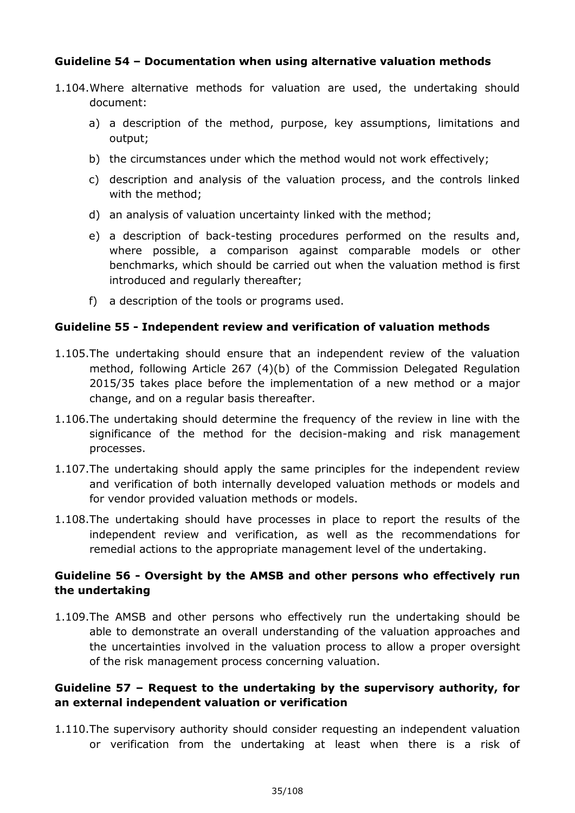#### **Guideline 54 – Documentation when using alternative valuation methods**

- 1.104.Where alternative methods for valuation are used, the undertaking should document:
	- a) a description of the method, purpose, key assumptions, limitations and output;
	- b) the circumstances under which the method would not work effectively;
	- c) description and analysis of the valuation process, and the controls linked with the method;
	- d) an analysis of valuation uncertainty linked with the method;
	- e) a description of back-testing procedures performed on the results and, where possible, a comparison against comparable models or other benchmarks, which should be carried out when the valuation method is first introduced and regularly thereafter;
	- f) a description of the tools or programs used.

#### **Guideline 55 - Independent review and verification of valuation methods**

- 1.105.The undertaking should ensure that an independent review of the valuation method, following Article 267 (4)(b) of the Commission Delegated Regulation 2015/35 takes place before the implementation of a new method or a major change, and on a regular basis thereafter.
- 1.106.The undertaking should determine the frequency of the review in line with the significance of the method for the decision-making and risk management processes.
- 1.107.The undertaking should apply the same principles for the independent review and verification of both internally developed valuation methods or models and for vendor provided valuation methods or models.
- 1.108.The undertaking should have processes in place to report the results of the independent review and verification, as well as the recommendations for remedial actions to the appropriate management level of the undertaking.

#### **Guideline 56 - Oversight by the AMSB and other persons who effectively run the undertaking**

1.109.The AMSB and other persons who effectively run the undertaking should be able to demonstrate an overall understanding of the valuation approaches and the uncertainties involved in the valuation process to allow a proper oversight of the risk management process concerning valuation.

#### **Guideline 57 – Request to the undertaking by the supervisory authority, for an external independent valuation or verification**

1.110.The supervisory authority should consider requesting an independent valuation or verification from the undertaking at least when there is a risk of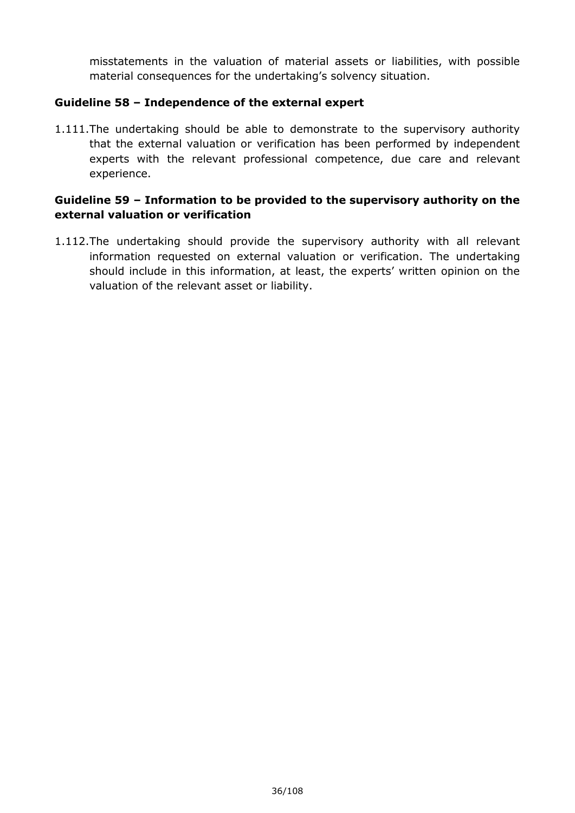misstatements in the valuation of material assets or liabilities, with possible material consequences for the undertaking's solvency situation.

#### **Guideline 58 – Independence of the external expert**

1.111.The undertaking should be able to demonstrate to the supervisory authority that the external valuation or verification has been performed by independent experts with the relevant professional competence, due care and relevant experience.

#### **Guideline 59 – Information to be provided to the supervisory authority on the external valuation or verification**

1.112.The undertaking should provide the supervisory authority with all relevant information requested on external valuation or verification. The undertaking should include in this information, at least, the experts' written opinion on the valuation of the relevant asset or liability.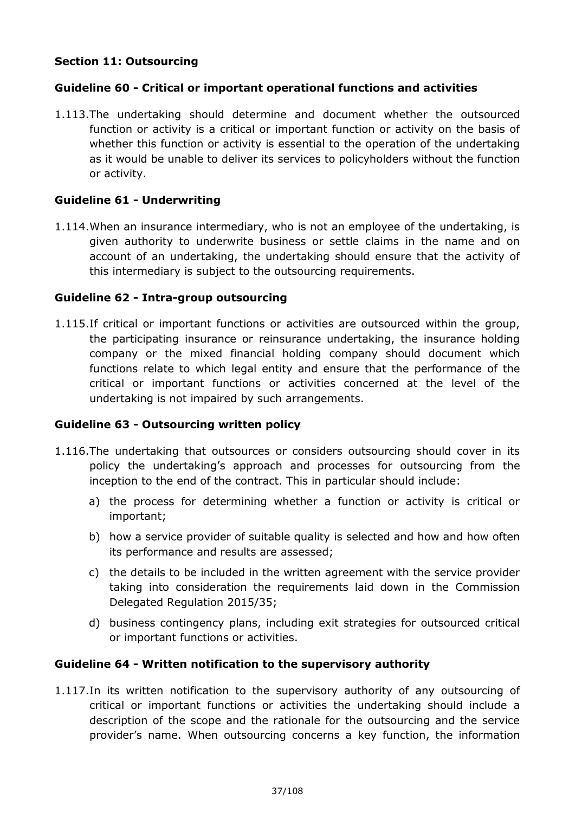# **Section 11: Outsourcing**

# **Guideline 60 - Critical or important operational functions and activities**

1.113.The undertaking should determine and document whether the outsourced function or activity is a critical or important function or activity on the basis of whether this function or activity is essential to the operation of the undertaking as it would be unable to deliver its services to policyholders without the function or activity.

# **Guideline 61 - Underwriting**

1.114.When an insurance intermediary, who is not an employee of the undertaking, is given authority to underwrite business or settle claims in the name and on account of an undertaking, the undertaking should ensure that the activity of this intermediary is subject to the outsourcing requirements.

# **Guideline 62 - Intra-group outsourcing**

1.115.If critical or important functions or activities are outsourced within the group, the participating insurance or reinsurance undertaking, the insurance holding company or the mixed financial holding company should document which functions relate to which legal entity and ensure that the performance of the critical or important functions or activities concerned at the level of the undertaking is not impaired by such arrangements.

# **Guideline 63 - Outsourcing written policy**

- 1.116.The undertaking that outsources or considers outsourcing should cover in its policy the undertaking's approach and processes for outsourcing from the inception to the end of the contract. This in particular should include:
	- a) the process for determining whether a function or activity is critical or important;
	- b) how a service provider of suitable quality is selected and how and how often its performance and results are assessed;
	- c) the details to be included in the written agreement with the service provider taking into consideration the requirements laid down in the Commission Delegated Regulation 2015/35;
	- d) business contingency plans, including exit strategies for outsourced critical or important functions or activities.

# **Guideline 64 - Written notification to the supervisory authority**

1.117.In its written notification to the supervisory authority of any outsourcing of critical or important functions or activities the undertaking should include a description of the scope and the rationale for the outsourcing and the service provider's name. When outsourcing concerns a key function, the information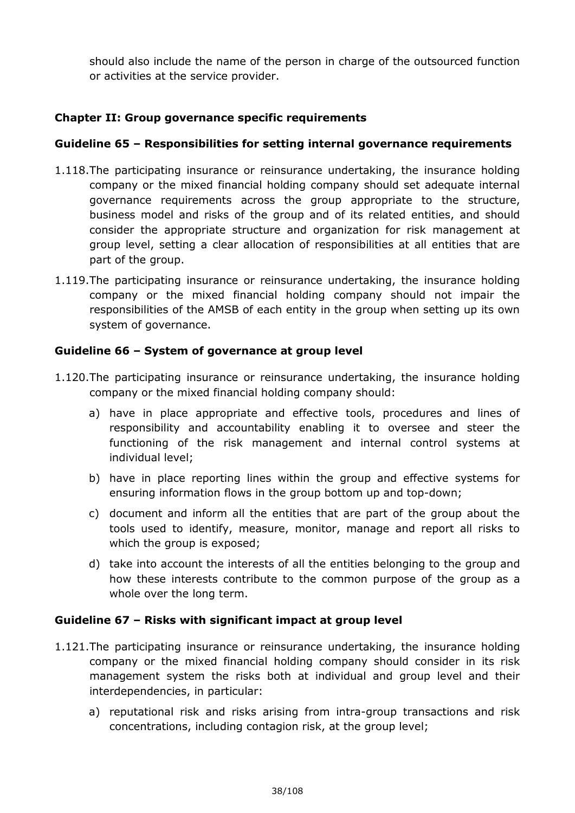should also include the name of the person in charge of the outsourced function or activities at the service provider.

# **Chapter II: Group governance specific requirements**

# **Guideline 65 – Responsibilities for setting internal governance requirements**

- 1.118.The participating insurance or reinsurance undertaking, the insurance holding company or the mixed financial holding company should set adequate internal governance requirements across the group appropriate to the structure, business model and risks of the group and of its related entities, and should consider the appropriate structure and organization for risk management at group level, setting a clear allocation of responsibilities at all entities that are part of the group.
- 1.119.The participating insurance or reinsurance undertaking, the insurance holding company or the mixed financial holding company should not impair the responsibilities of the AMSB of each entity in the group when setting up its own system of governance.

# **Guideline 66 – System of governance at group level**

- 1.120.The participating insurance or reinsurance undertaking, the insurance holding company or the mixed financial holding company should:
	- a) have in place appropriate and effective tools, procedures and lines of responsibility and accountability enabling it to oversee and steer the functioning of the risk management and internal control systems at individual level;
	- b) have in place reporting lines within the group and effective systems for ensuring information flows in the group bottom up and top-down;
	- c) document and inform all the entities that are part of the group about the tools used to identify, measure, monitor, manage and report all risks to which the group is exposed;
	- d) take into account the interests of all the entities belonging to the group and how these interests contribute to the common purpose of the group as a whole over the long term.

# **Guideline 67 – Risks with significant impact at group level**

- 1.121.The participating insurance or reinsurance undertaking, the insurance holding company or the mixed financial holding company should consider in its risk management system the risks both at individual and group level and their interdependencies, in particular:
	- a) reputational risk and risks arising from intra-group transactions and risk concentrations, including contagion risk, at the group level;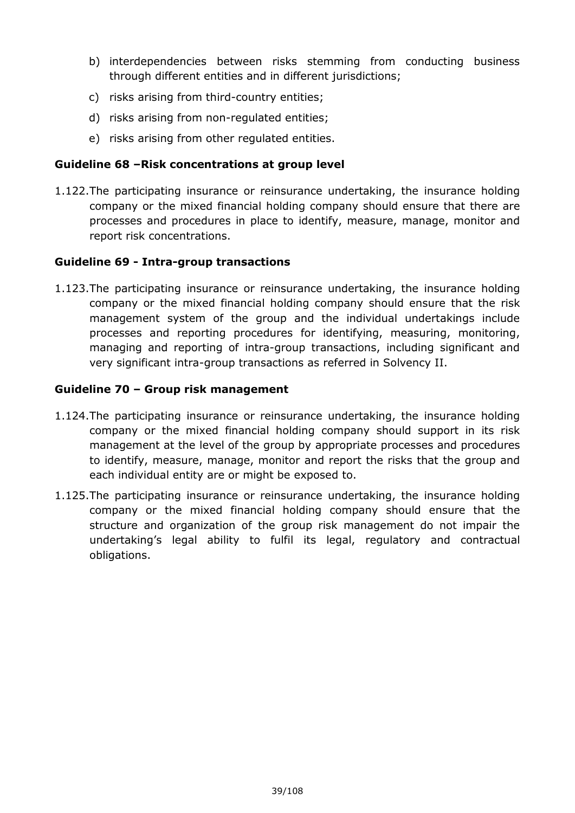- b) interdependencies between risks stemming from conducting business through different entities and in different jurisdictions;
- c) risks arising from third-country entities;
- d) risks arising from non-regulated entities;
- e) risks arising from other regulated entities.

# **Guideline 68 –Risk concentrations at group level**

1.122.The participating insurance or reinsurance undertaking, the insurance holding company or the mixed financial holding company should ensure that there are processes and procedures in place to identify, measure, manage, monitor and report risk concentrations.

# **Guideline 69 - Intra-group transactions**

1.123.The participating insurance or reinsurance undertaking, the insurance holding company or the mixed financial holding company should ensure that the risk management system of the group and the individual undertakings include processes and reporting procedures for identifying, measuring, monitoring, managing and reporting of intra-group transactions, including significant and very significant intra-group transactions as referred in Solvency II.

# **Guideline 70 – Group risk management**

- 1.124.The participating insurance or reinsurance undertaking, the insurance holding company or the mixed financial holding company should support in its risk management at the level of the group by appropriate processes and procedures to identify, measure, manage, monitor and report the risks that the group and each individual entity are or might be exposed to.
- 1.125.The participating insurance or reinsurance undertaking, the insurance holding company or the mixed financial holding company should ensure that the structure and organization of the group risk management do not impair the undertaking's legal ability to fulfil its legal, regulatory and contractual obligations.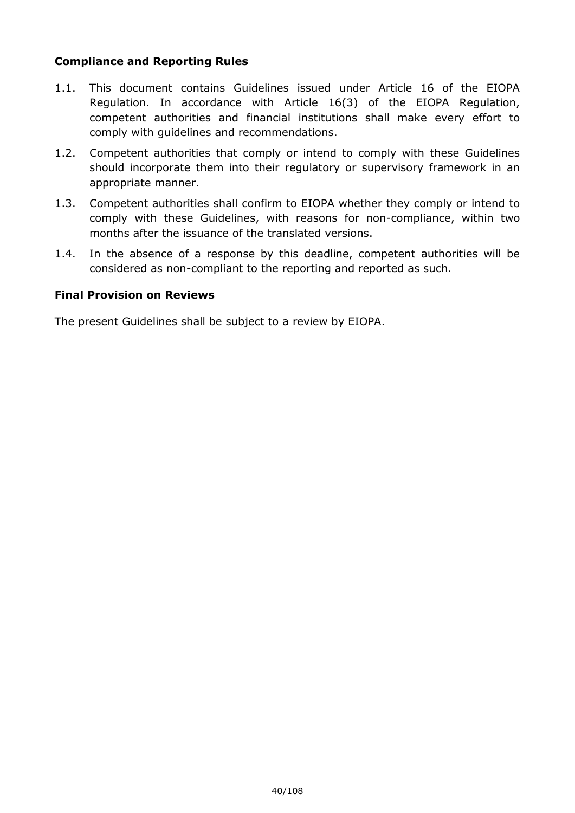# **Compliance and Reporting Rules**

- 1.1. This document contains Guidelines issued under Article 16 of the EIOPA Regulation. In accordance with Article 16(3) of the EIOPA Regulation, competent authorities and financial institutions shall make every effort to comply with guidelines and recommendations.
- 1.2. Competent authorities that comply or intend to comply with these Guidelines should incorporate them into their regulatory or supervisory framework in an appropriate manner.
- 1.3. Competent authorities shall confirm to EIOPA whether they comply or intend to comply with these Guidelines, with reasons for non-compliance, within two months after the issuance of the translated versions.
- 1.4. In the absence of a response by this deadline, competent authorities will be considered as non-compliant to the reporting and reported as such.

# **Final Provision on Reviews**

The present Guidelines shall be subject to a review by EIOPA.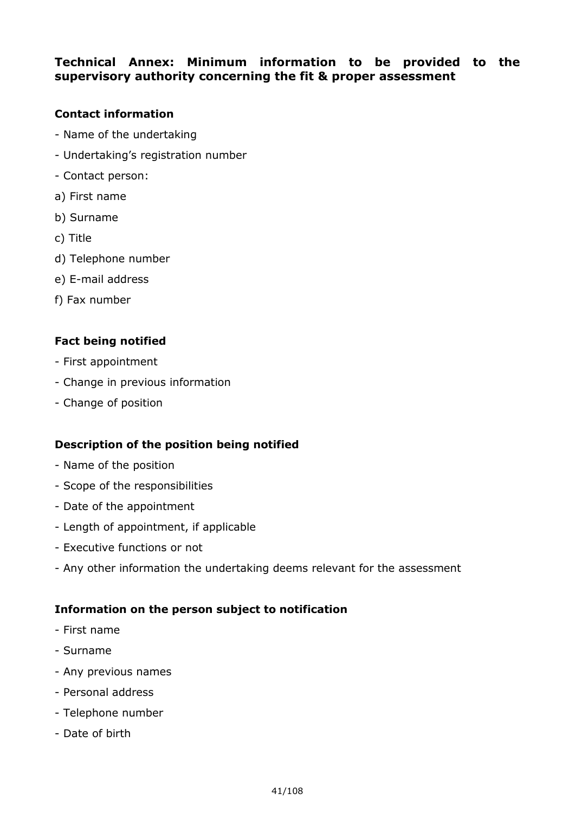# **Technical Annex: Minimum information to be provided to the supervisory authority concerning the fit & proper assessment**

# **Contact information**

- Name of the undertaking
- Undertaking's registration number
- Contact person:
- a) First name
- b) Surname
- c) Title
- d) Telephone number
- e) E-mail address
- f) Fax number

# **Fact being notified**

- First appointment
- Change in previous information
- Change of position

# **Description of the position being notified**

- Name of the position
- Scope of the responsibilities
- Date of the appointment
- Length of appointment, if applicable
- Executive functions or not
- Any other information the undertaking deems relevant for the assessment

# **Information on the person subject to notification**

- First name
- Surname
- Any previous names
- Personal address
- Telephone number
- Date of birth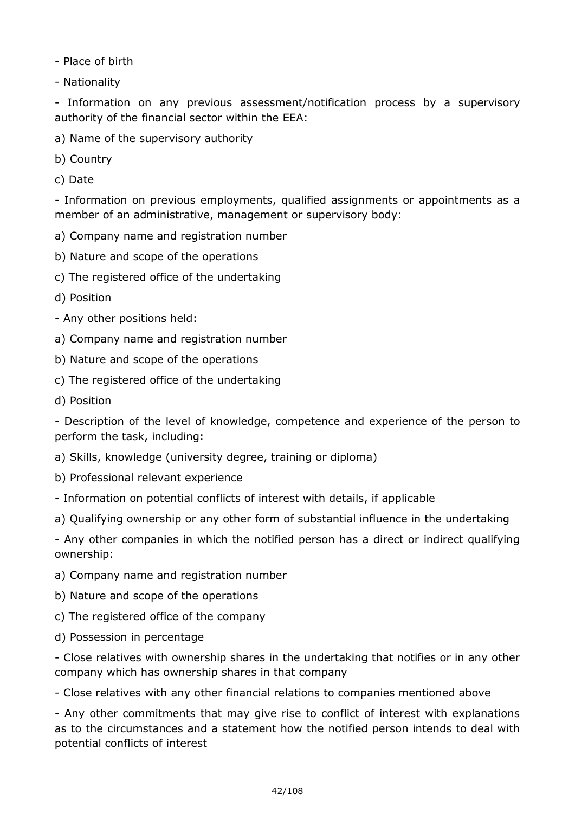- Place of birth

- Nationality

- Information on any previous assessment/notification process by a supervisory authority of the financial sector within the EEA:

- a) Name of the supervisory authority
- b) Country
- c) Date

- Information on previous employments, qualified assignments or appointments as a member of an administrative, management or supervisory body:

- a) Company name and registration number
- b) Nature and scope of the operations
- c) The registered office of the undertaking
- d) Position
- Any other positions held:
- a) Company name and registration number
- b) Nature and scope of the operations
- c) The registered office of the undertaking
- d) Position

- Description of the level of knowledge, competence and experience of the person to perform the task, including:

- a) Skills, knowledge (university degree, training or diploma)
- b) Professional relevant experience
- Information on potential conflicts of interest with details, if applicable
- a) Qualifying ownership or any other form of substantial influence in the undertaking

- Any other companies in which the notified person has a direct or indirect qualifying ownership:

- a) Company name and registration number
- b) Nature and scope of the operations
- c) The registered office of the company
- d) Possession in percentage

- Close relatives with ownership shares in the undertaking that notifies or in any other company which has ownership shares in that company

- Close relatives with any other financial relations to companies mentioned above

- Any other commitments that may give rise to conflict of interest with explanations as to the circumstances and a statement how the notified person intends to deal with potential conflicts of interest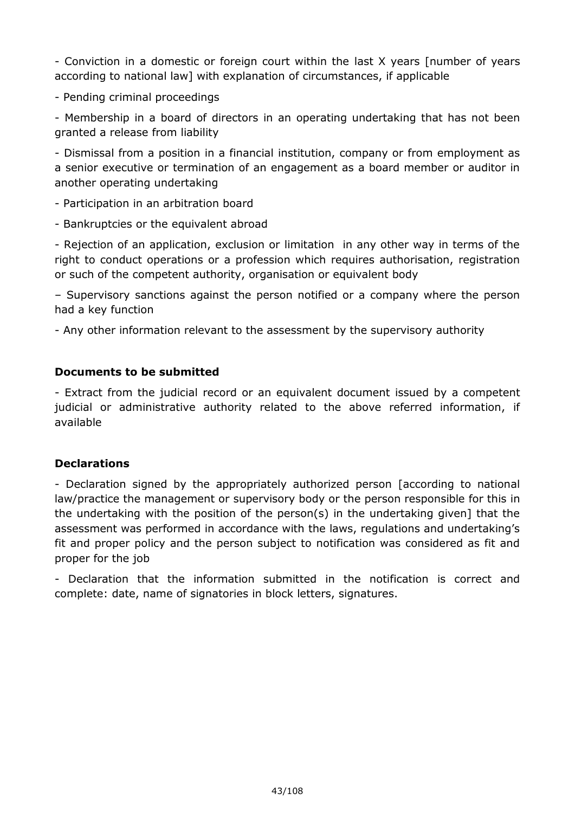- Conviction in a domestic or foreign court within the last X years [number of years according to national law] with explanation of circumstances, if applicable

- Pending criminal proceedings

- Membership in a board of directors in an operating undertaking that has not been granted a release from liability

- Dismissal from a position in a financial institution, company or from employment as a senior executive or termination of an engagement as a board member or auditor in another operating undertaking

- Participation in an arbitration board

- Bankruptcies or the equivalent abroad

- Rejection of an application, exclusion or limitation in any other way in terms of the right to conduct operations or a profession which requires authorisation, registration or such of the competent authority, organisation or equivalent body

– Supervisory sanctions against the person notified or a company where the person had a key function

- Any other information relevant to the assessment by the supervisory authority

# **Documents to be submitted**

- Extract from the judicial record or an equivalent document issued by a competent judicial or administrative authority related to the above referred information, if available

# **Declarations**

- Declaration signed by the appropriately authorized person [according to national law/practice the management or supervisory body or the person responsible for this in the undertaking with the position of the person(s) in the undertaking given] that the assessment was performed in accordance with the laws, regulations and undertaking's fit and proper policy and the person subject to notification was considered as fit and proper for the job

- Declaration that the information submitted in the notification is correct and complete: date, name of signatories in block letters, signatures.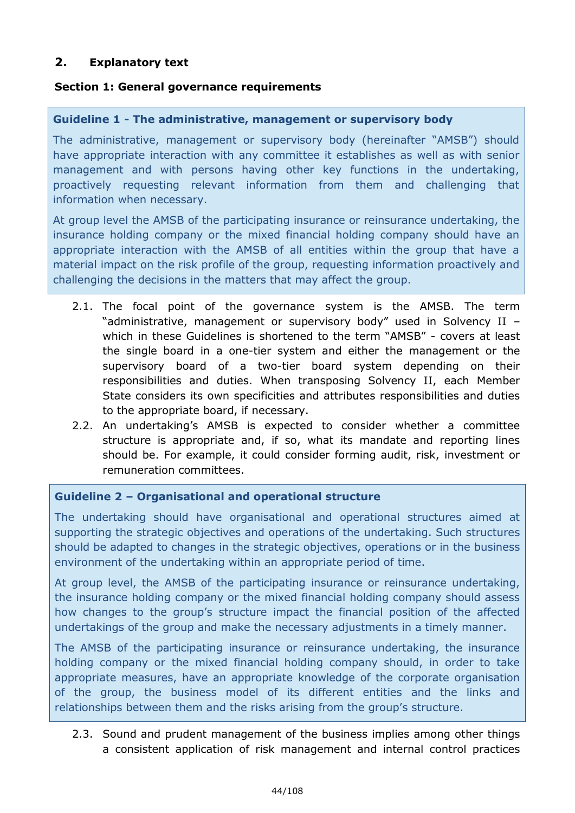# **2. Explanatory text**

# **Section 1: General governance requirements**

#### **Guideline 1 - The administrative, management or supervisory body**

The administrative, management or supervisory body (hereinafter "AMSB") should have appropriate interaction with any committee it establishes as well as with senior management and with persons having other key functions in the undertaking, proactively requesting relevant information from them and challenging that information when necessary.

At group level the AMSB of the participating insurance or reinsurance undertaking, the insurance holding company or the mixed financial holding company should have an appropriate interaction with the AMSB of all entities within the group that have a material impact on the risk profile of the group, requesting information proactively and challenging the decisions in the matters that may affect the group.

- 2.1. The focal point of the governance system is the AMSB. The term "administrative, management or supervisory body" used in Solvency II – which in these Guidelines is shortened to the term "AMSB" - covers at least the single board in a one-tier system and either the management or the supervisory board of a two-tier board system depending on their responsibilities and duties. When transposing Solvency II, each Member State considers its own specificities and attributes responsibilities and duties to the appropriate board, if necessary.
- 2.2. An undertaking's AMSB is expected to consider whether a committee structure is appropriate and, if so, what its mandate and reporting lines should be. For example, it could consider forming audit, risk, investment or remuneration committees.

# **Guideline 2 – Organisational and operational structure**

The undertaking should have organisational and operational structures aimed at supporting the strategic objectives and operations of the undertaking. Such structures should be adapted to changes in the strategic objectives, operations or in the business environment of the undertaking within an appropriate period of time.

At group level, the AMSB of the participating insurance or reinsurance undertaking, the insurance holding company or the mixed financial holding company should assess how changes to the group's structure impact the financial position of the affected undertakings of the group and make the necessary adjustments in a timely manner.

The AMSB of the participating insurance or reinsurance undertaking, the insurance holding company or the mixed financial holding company should, in order to take appropriate measures, have an appropriate knowledge of the corporate organisation of the group, the business model of its different entities and the links and relationships between them and the risks arising from the group's structure.

2.3. Sound and prudent management of the business implies among other things a consistent application of risk management and internal control practices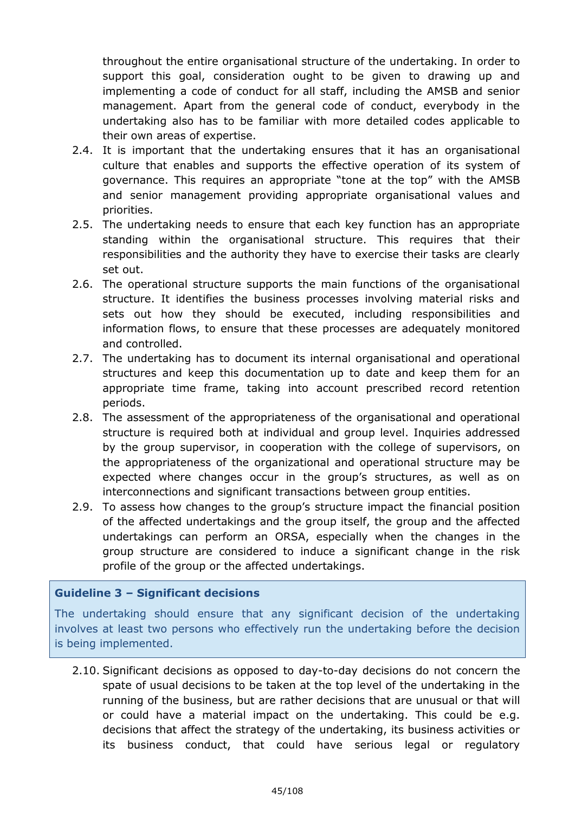throughout the entire organisational structure of the undertaking. In order to support this goal, consideration ought to be given to drawing up and implementing a code of conduct for all staff, including the AMSB and senior management. Apart from the general code of conduct, everybody in the undertaking also has to be familiar with more detailed codes applicable to their own areas of expertise.

- 2.4. It is important that the undertaking ensures that it has an organisational culture that enables and supports the effective operation of its system of governance. This requires an appropriate "tone at the top" with the AMSB and senior management providing appropriate organisational values and priorities.
- 2.5. The undertaking needs to ensure that each key function has an appropriate standing within the organisational structure. This requires that their responsibilities and the authority they have to exercise their tasks are clearly set out.
- 2.6. The operational structure supports the main functions of the organisational structure. It identifies the business processes involving material risks and sets out how they should be executed, including responsibilities and information flows, to ensure that these processes are adequately monitored and controlled.
- 2.7. The undertaking has to document its internal organisational and operational structures and keep this documentation up to date and keep them for an appropriate time frame, taking into account prescribed record retention periods.
- 2.8. The assessment of the appropriateness of the organisational and operational structure is required both at individual and group level. Inquiries addressed by the group supervisor, in cooperation with the college of supervisors, on the appropriateness of the organizational and operational structure may be expected where changes occur in the group's structures, as well as on interconnections and significant transactions between group entities.
- 2.9. To assess how changes to the group's structure impact the financial position of the affected undertakings and the group itself, the group and the affected undertakings can perform an ORSA, especially when the changes in the group structure are considered to induce a significant change in the risk profile of the group or the affected undertakings.

# **Guideline 3 – Significant decisions**

The undertaking should ensure that any significant decision of the undertaking involves at least two persons who effectively run the undertaking before the decision is being implemented.

2.10. Significant decisions as opposed to day-to-day decisions do not concern the spate of usual decisions to be taken at the top level of the undertaking in the running of the business, but are rather decisions that are unusual or that will or could have a material impact on the undertaking. This could be e.g. decisions that affect the strategy of the undertaking, its business activities or its business conduct, that could have serious legal or regulatory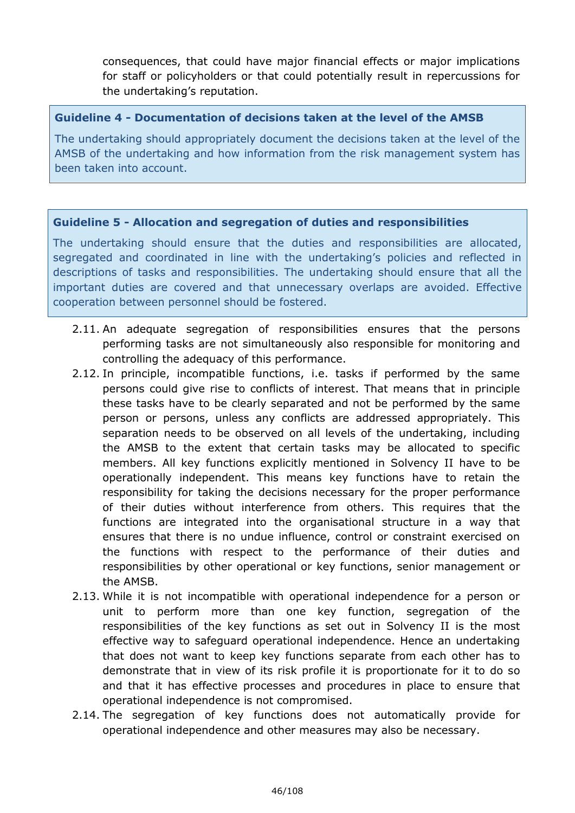consequences, that could have major financial effects or major implications for staff or policyholders or that could potentially result in repercussions for the undertaking's reputation.

# **Guideline 4 - Documentation of decisions taken at the level of the AMSB**

The undertaking should appropriately document the decisions taken at the level of the AMSB of the undertaking and how information from the risk management system has been taken into account.

# **Guideline 5 - Allocation and segregation of duties and responsibilities**

The undertaking should ensure that the duties and responsibilities are allocated, segregated and coordinated in line with the undertaking's policies and reflected in descriptions of tasks and responsibilities. The undertaking should ensure that all the important duties are covered and that unnecessary overlaps are avoided. Effective cooperation between personnel should be fostered.

- 2.11. An adequate segregation of responsibilities ensures that the persons performing tasks are not simultaneously also responsible for monitoring and controlling the adequacy of this performance.
- 2.12. In principle, incompatible functions, i.e. tasks if performed by the same persons could give rise to conflicts of interest. That means that in principle these tasks have to be clearly separated and not be performed by the same person or persons, unless any conflicts are addressed appropriately. This separation needs to be observed on all levels of the undertaking, including the AMSB to the extent that certain tasks may be allocated to specific members. All key functions explicitly mentioned in Solvency II have to be operationally independent. This means key functions have to retain the responsibility for taking the decisions necessary for the proper performance of their duties without interference from others. This requires that the functions are integrated into the organisational structure in a way that ensures that there is no undue influence, control or constraint exercised on the functions with respect to the performance of their duties and responsibilities by other operational or key functions, senior management or the AMSB.
- 2.13. While it is not incompatible with operational independence for a person or unit to perform more than one key function, segregation of the responsibilities of the key functions as set out in Solvency II is the most effective way to safeguard operational independence. Hence an undertaking that does not want to keep key functions separate from each other has to demonstrate that in view of its risk profile it is proportionate for it to do so and that it has effective processes and procedures in place to ensure that operational independence is not compromised.
- 2.14. The segregation of key functions does not automatically provide for operational independence and other measures may also be necessary.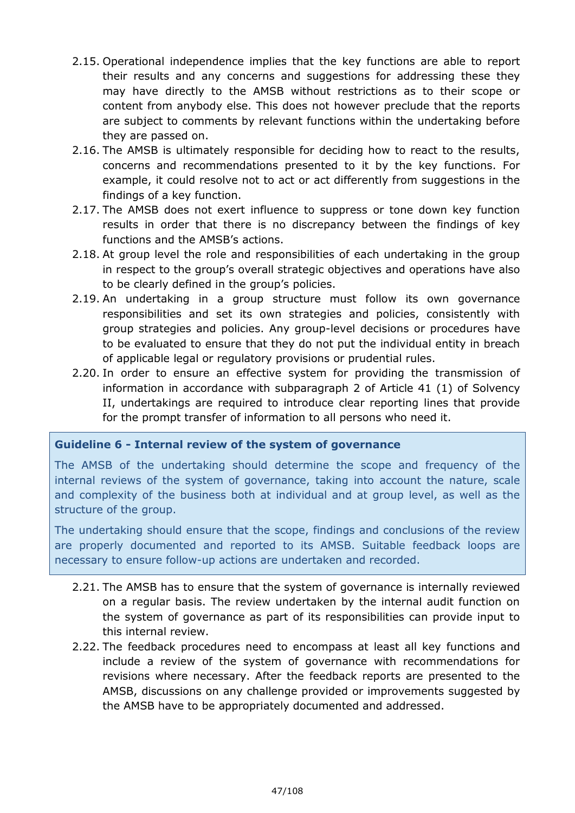- 2.15. Operational independence implies that the key functions are able to report their results and any concerns and suggestions for addressing these they may have directly to the AMSB without restrictions as to their scope or content from anybody else. This does not however preclude that the reports are subject to comments by relevant functions within the undertaking before they are passed on.
- 2.16. The AMSB is ultimately responsible for deciding how to react to the results, concerns and recommendations presented to it by the key functions. For example, it could resolve not to act or act differently from suggestions in the findings of a key function.
- 2.17. The AMSB does not exert influence to suppress or tone down key function results in order that there is no discrepancy between the findings of key functions and the AMSB's actions.
- 2.18. At group level the role and responsibilities of each undertaking in the group in respect to the group's overall strategic objectives and operations have also to be clearly defined in the group's policies.
- 2.19. An undertaking in a group structure must follow its own governance responsibilities and set its own strategies and policies, consistently with group strategies and policies. Any group-level decisions or procedures have to be evaluated to ensure that they do not put the individual entity in breach of applicable legal or regulatory provisions or prudential rules.
- 2.20. In order to ensure an effective system for providing the transmission of information in accordance with subparagraph 2 of Article 41 (1) of Solvency II, undertakings are required to introduce clear reporting lines that provide for the prompt transfer of information to all persons who need it.

# **Guideline 6 - Internal review of the system of governance**

The AMSB of the undertaking should determine the scope and frequency of the internal reviews of the system of governance, taking into account the nature, scale and complexity of the business both at individual and at group level, as well as the structure of the group.

The undertaking should ensure that the scope, findings and conclusions of the review are properly documented and reported to its AMSB. Suitable feedback loops are necessary to ensure follow-up actions are undertaken and recorded.

- 2.21. The AMSB has to ensure that the system of governance is internally reviewed on a regular basis. The review undertaken by the internal audit function on the system of governance as part of its responsibilities can provide input to this internal review.
- 2.22. The feedback procedures need to encompass at least all key functions and include a review of the system of governance with recommendations for revisions where necessary. After the feedback reports are presented to the AMSB, discussions on any challenge provided or improvements suggested by the AMSB have to be appropriately documented and addressed.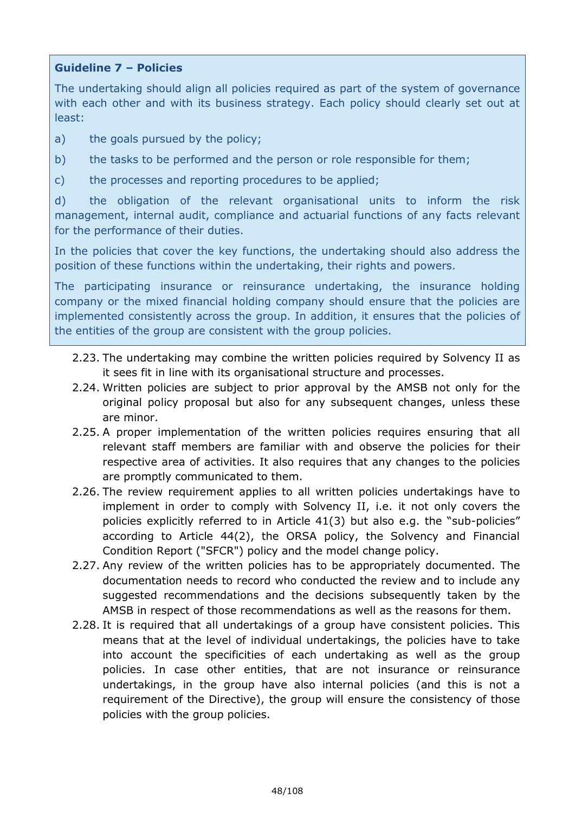# **Guideline 7 – Policies**

The undertaking should align all policies required as part of the system of governance with each other and with its business strategy. Each policy should clearly set out at least:

- a) the goals pursued by the policy;
- b) the tasks to be performed and the person or role responsible for them;
- c) the processes and reporting procedures to be applied;

d) the obligation of the relevant organisational units to inform the risk management, internal audit, compliance and actuarial functions of any facts relevant for the performance of their duties.

In the policies that cover the key functions, the undertaking should also address the position of these functions within the undertaking, their rights and powers.

The participating insurance or reinsurance undertaking, the insurance holding company or the mixed financial holding company should ensure that the policies are implemented consistently across the group. In addition, it ensures that the policies of the entities of the group are consistent with the group policies.

- 2.23. The undertaking may combine the written policies required by Solvency II as it sees fit in line with its organisational structure and processes.
- 2.24. Written policies are subject to prior approval by the AMSB not only for the original policy proposal but also for any subsequent changes, unless these are minor.
- 2.25. A proper implementation of the written policies requires ensuring that all relevant staff members are familiar with and observe the policies for their respective area of activities. It also requires that any changes to the policies are promptly communicated to them.
- 2.26. The review requirement applies to all written policies undertakings have to implement in order to comply with Solvency II, i.e. it not only covers the policies explicitly referred to in Article 41(3) but also e.g. the "sub-policies" according to Article 44(2), the ORSA policy, the Solvency and Financial Condition Report ("SFCR") policy and the model change policy.
- 2.27. Any review of the written policies has to be appropriately documented. The documentation needs to record who conducted the review and to include any suggested recommendations and the decisions subsequently taken by the AMSB in respect of those recommendations as well as the reasons for them.
- 2.28. It is required that all undertakings of a group have consistent policies. This means that at the level of individual undertakings, the policies have to take into account the specificities of each undertaking as well as the group policies. In case other entities, that are not insurance or reinsurance undertakings, in the group have also internal policies (and this is not a requirement of the Directive), the group will ensure the consistency of those policies with the group policies.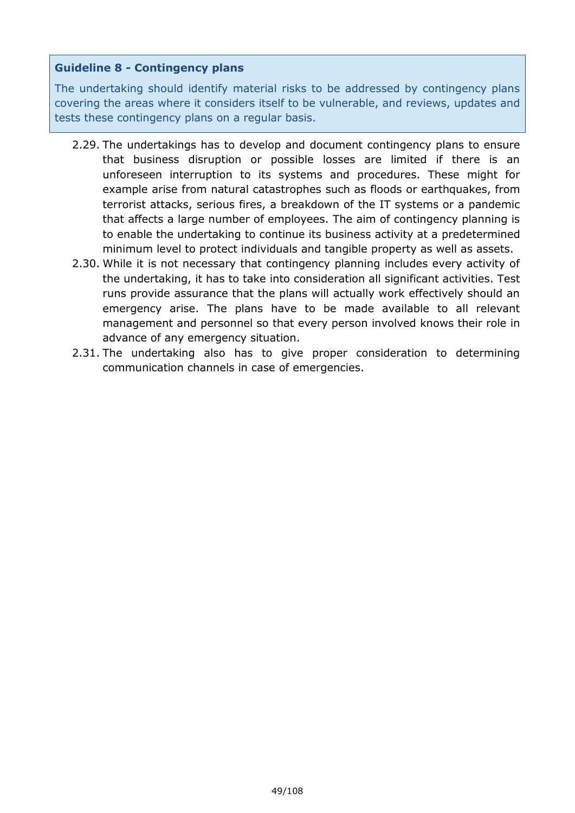# **Guideline 8 - Contingency plans**

The undertaking should identify material risks to be addressed by contingency plans covering the areas where it considers itself to be vulnerable, and reviews, updates and tests these contingency plans on a regular basis.

- 2.29. The undertakings has to develop and document contingency plans to ensure that business disruption or possible losses are limited if there is an unforeseen interruption to its systems and procedures. These might for example arise from natural catastrophes such as floods or earthquakes, from terrorist attacks, serious fires, a breakdown of the IT systems or a pandemic that affects a large number of employees. The aim of contingency planning is to enable the undertaking to continue its business activity at a predetermined minimum level to protect individuals and tangible property as well as assets.
- 2.30. While it is not necessary that contingency planning includes every activity of the undertaking, it has to take into consideration all significant activities. Test runs provide assurance that the plans will actually work effectively should an emergency arise. The plans have to be made available to all relevant management and personnel so that every person involved knows their role in advance of any emergency situation.
- 2.31. The undertaking also has to give proper consideration to determining communication channels in case of emergencies.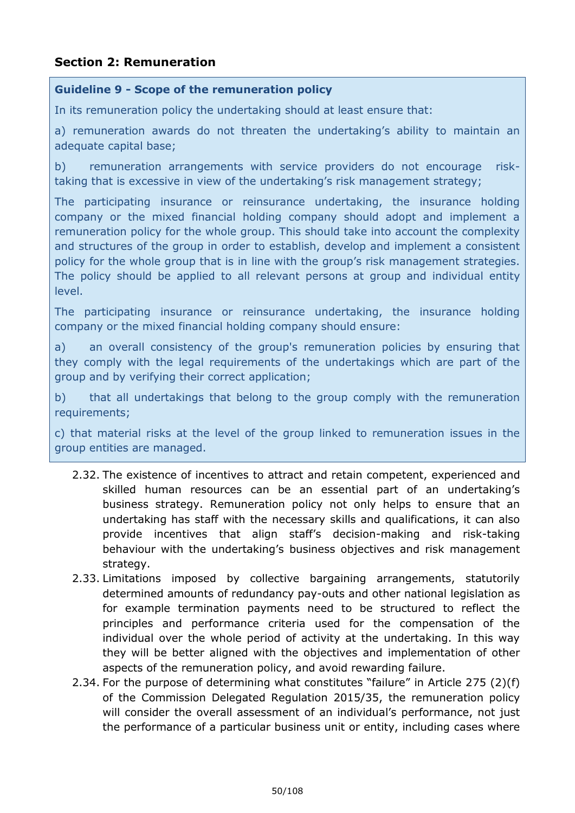# **Section 2: Remuneration**

#### **Guideline 9 - Scope of the remuneration policy**

In its remuneration policy the undertaking should at least ensure that:

a) remuneration awards do not threaten the undertaking's ability to maintain an adequate capital base;

b) remuneration arrangements with service providers do not encourage risktaking that is excessive in view of the undertaking's risk management strategy;

The participating insurance or reinsurance undertaking, the insurance holding company or the mixed financial holding company should adopt and implement a remuneration policy for the whole group. This should take into account the complexity and structures of the group in order to establish, develop and implement a consistent policy for the whole group that is in line with the group's risk management strategies. The policy should be applied to all relevant persons at group and individual entity level.

The participating insurance or reinsurance undertaking, the insurance holding company or the mixed financial holding company should ensure:

a) an overall consistency of the group's remuneration policies by ensuring that they comply with the legal requirements of the undertakings which are part of the group and by verifying their correct application;

b) that all undertakings that belong to the group comply with the remuneration requirements;

c) that material risks at the level of the group linked to remuneration issues in the group entities are managed.

- 2.32. The existence of incentives to attract and retain competent, experienced and skilled human resources can be an essential part of an undertaking's business strategy. Remuneration policy not only helps to ensure that an undertaking has staff with the necessary skills and qualifications, it can also provide incentives that align staff's decision-making and risk-taking behaviour with the undertaking's business objectives and risk management strategy.
- 2.33. Limitations imposed by collective bargaining arrangements, statutorily determined amounts of redundancy pay-outs and other national legislation as for example termination payments need to be structured to reflect the principles and performance criteria used for the compensation of the individual over the whole period of activity at the undertaking. In this way they will be better aligned with the objectives and implementation of other aspects of the remuneration policy, and avoid rewarding failure.
- 2.34. For the purpose of determining what constitutes "failure" in Article 275 (2)(f) of the Commission Delegated Regulation 2015/35, the remuneration policy will consider the overall assessment of an individual's performance, not just the performance of a particular business unit or entity, including cases where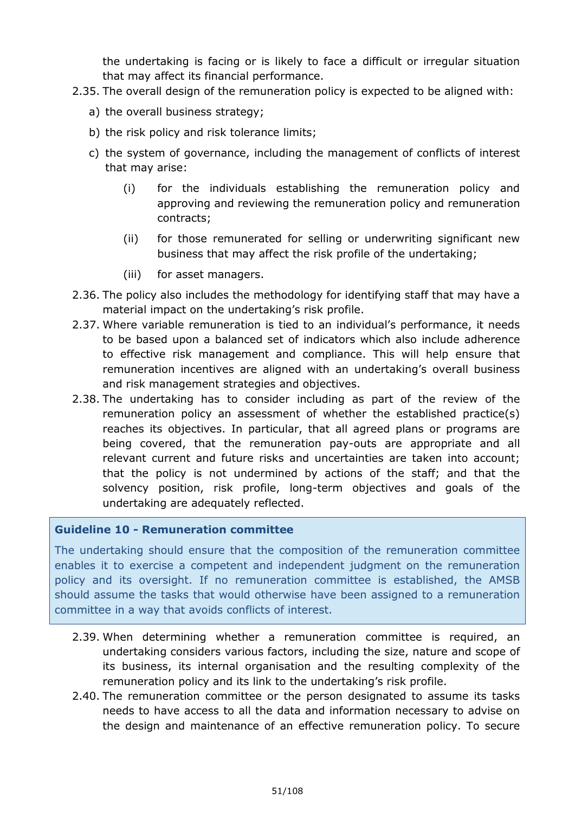the undertaking is facing or is likely to face a difficult or irregular situation that may affect its financial performance.

- 2.35. The overall design of the remuneration policy is expected to be aligned with:
	- a) the overall business strategy;
	- b) the risk policy and risk tolerance limits;
	- c) the system of governance, including the management of conflicts of interest that may arise:
		- (i) for the individuals establishing the remuneration policy and approving and reviewing the remuneration policy and remuneration contracts;
		- (ii) for those remunerated for selling or underwriting significant new business that may affect the risk profile of the undertaking;
		- (iii) for asset managers.
- 2.36. The policy also includes the methodology for identifying staff that may have a material impact on the undertaking's risk profile.
- 2.37. Where variable remuneration is tied to an individual's performance, it needs to be based upon a balanced set of indicators which also include adherence to effective risk management and compliance. This will help ensure that remuneration incentives are aligned with an undertaking's overall business and risk management strategies and objectives.
- 2.38. The undertaking has to consider including as part of the review of the remuneration policy an assessment of whether the established practice(s) reaches its objectives. In particular, that all agreed plans or programs are being covered, that the remuneration pay-outs are appropriate and all relevant current and future risks and uncertainties are taken into account; that the policy is not undermined by actions of the staff; and that the solvency position, risk profile, long-term objectives and goals of the undertaking are adequately reflected.

# **Guideline 10 - Remuneration committee**

The undertaking should ensure that the composition of the remuneration committee enables it to exercise a competent and independent judgment on the remuneration policy and its oversight. If no remuneration committee is established, the AMSB should assume the tasks that would otherwise have been assigned to a remuneration committee in a way that avoids conflicts of interest.

- 2.39. When determining whether a remuneration committee is required, an undertaking considers various factors, including the size, nature and scope of its business, its internal organisation and the resulting complexity of the remuneration policy and its link to the undertaking's risk profile.
- 2.40. The remuneration committee or the person designated to assume its tasks needs to have access to all the data and information necessary to advise on the design and maintenance of an effective remuneration policy. To secure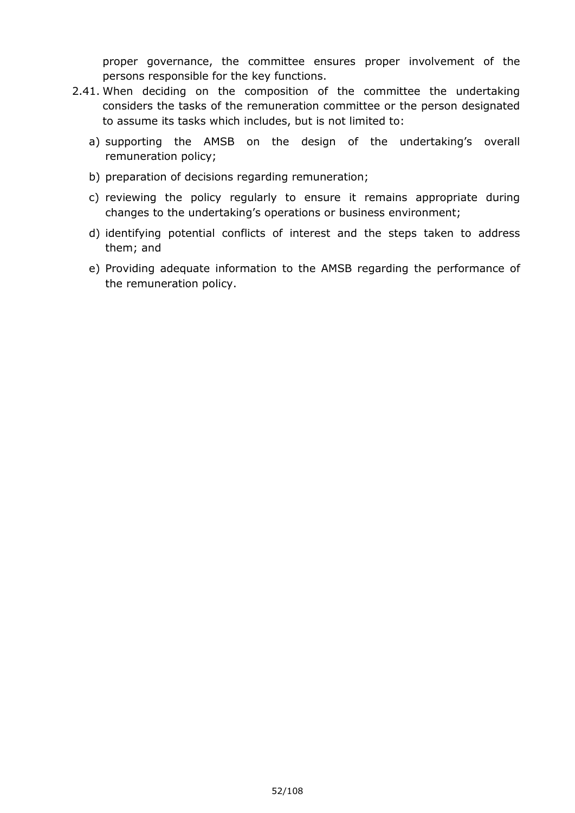proper governance, the committee ensures proper involvement of the persons responsible for the key functions.

- 2.41. When deciding on the composition of the committee the undertaking considers the tasks of the remuneration committee or the person designated to assume its tasks which includes, but is not limited to:
	- a) supporting the AMSB on the design of the undertaking's overall remuneration policy;
	- b) preparation of decisions regarding remuneration;
	- c) reviewing the policy regularly to ensure it remains appropriate during changes to the undertaking's operations or business environment;
	- d) identifying potential conflicts of interest and the steps taken to address them; and
	- e) Providing adequate information to the AMSB regarding the performance of the remuneration policy.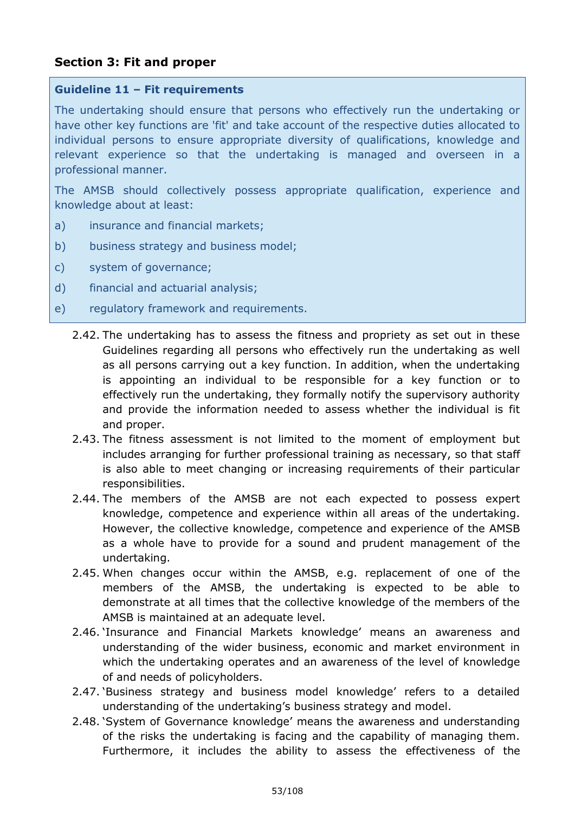# **Section 3: Fit and proper**

#### **Guideline 11 – Fit requirements**

The undertaking should ensure that persons who effectively run the undertaking or have other key functions are 'fit' and take account of the respective duties allocated to individual persons to ensure appropriate diversity of qualifications, knowledge and relevant experience so that the undertaking is managed and overseen in a professional manner.

The AMSB should collectively possess appropriate qualification, experience and knowledge about at least:

- a) insurance and financial markets;
- b) business strategy and business model;
- c) system of governance;
- d) financial and actuarial analysis;
- e) regulatory framework and requirements.
	- 2.42. The undertaking has to assess the fitness and propriety as set out in these Guidelines regarding all persons who effectively run the undertaking as well as all persons carrying out a key function. In addition, when the undertaking is appointing an individual to be responsible for a key function or to effectively run the undertaking, they formally notify the supervisory authority and provide the information needed to assess whether the individual is fit and proper.
	- 2.43. The fitness assessment is not limited to the moment of employment but includes arranging for further professional training as necessary, so that staff is also able to meet changing or increasing requirements of their particular responsibilities.
	- 2.44. The members of the AMSB are not each expected to possess expert knowledge, competence and experience within all areas of the undertaking. However, the collective knowledge, competence and experience of the AMSB as a whole have to provide for a sound and prudent management of the undertaking.
	- 2.45. When changes occur within the AMSB, e.g. replacement of one of the members of the AMSB, the undertaking is expected to be able to demonstrate at all times that the collective knowledge of the members of the AMSB is maintained at an adequate level.
	- 2.46. 'Insurance and Financial Markets knowledge' means an awareness and understanding of the wider business, economic and market environment in which the undertaking operates and an awareness of the level of knowledge of and needs of policyholders.
	- 2.47. 'Business strategy and business model knowledge' refers to a detailed understanding of the undertaking's business strategy and model.
	- 2.48. 'System of Governance knowledge' means the awareness and understanding of the risks the undertaking is facing and the capability of managing them. Furthermore, it includes the ability to assess the effectiveness of the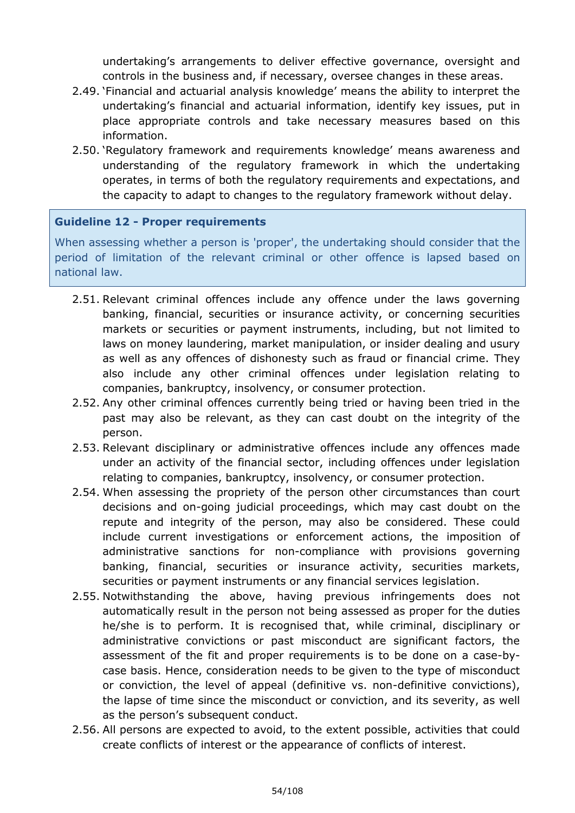undertaking's arrangements to deliver effective governance, oversight and controls in the business and, if necessary, oversee changes in these areas.

- 2.49. 'Financial and actuarial analysis knowledge' means the ability to interpret the undertaking's financial and actuarial information, identify key issues, put in place appropriate controls and take necessary measures based on this information.
- 2.50. 'Regulatory framework and requirements knowledge' means awareness and understanding of the regulatory framework in which the undertaking operates, in terms of both the regulatory requirements and expectations, and the capacity to adapt to changes to the regulatory framework without delay.

# **Guideline 12 - Proper requirements**

When assessing whether a person is 'proper', the undertaking should consider that the period of limitation of the relevant criminal or other offence is lapsed based on national law.

- 2.51. Relevant criminal offences include any offence under the laws governing banking, financial, securities or insurance activity, or concerning securities markets or securities or payment instruments, including, but not limited to laws on money laundering, market manipulation, or insider dealing and usury as well as any offences of dishonesty such as fraud or financial crime. They also include any other criminal offences under legislation relating to companies, bankruptcy, insolvency, or consumer protection.
- 2.52. Any other criminal offences currently being tried or having been tried in the past may also be relevant, as they can cast doubt on the integrity of the person.
- 2.53. Relevant disciplinary or administrative offences include any offences made under an activity of the financial sector, including offences under legislation relating to companies, bankruptcy, insolvency, or consumer protection.
- 2.54. When assessing the propriety of the person other circumstances than court decisions and on-going judicial proceedings, which may cast doubt on the repute and integrity of the person, may also be considered. These could include current investigations or enforcement actions, the imposition of administrative sanctions for non-compliance with provisions governing banking, financial, securities or insurance activity, securities markets, securities or payment instruments or any financial services legislation.
- 2.55. Notwithstanding the above, having previous infringements does not automatically result in the person not being assessed as proper for the duties he/she is to perform. It is recognised that, while criminal, disciplinary or administrative convictions or past misconduct are significant factors, the assessment of the fit and proper requirements is to be done on a case-bycase basis. Hence, consideration needs to be given to the type of misconduct or conviction, the level of appeal (definitive vs. non-definitive convictions), the lapse of time since the misconduct or conviction, and its severity, as well as the person's subsequent conduct.
- 2.56. All persons are expected to avoid, to the extent possible, activities that could create conflicts of interest or the appearance of conflicts of interest.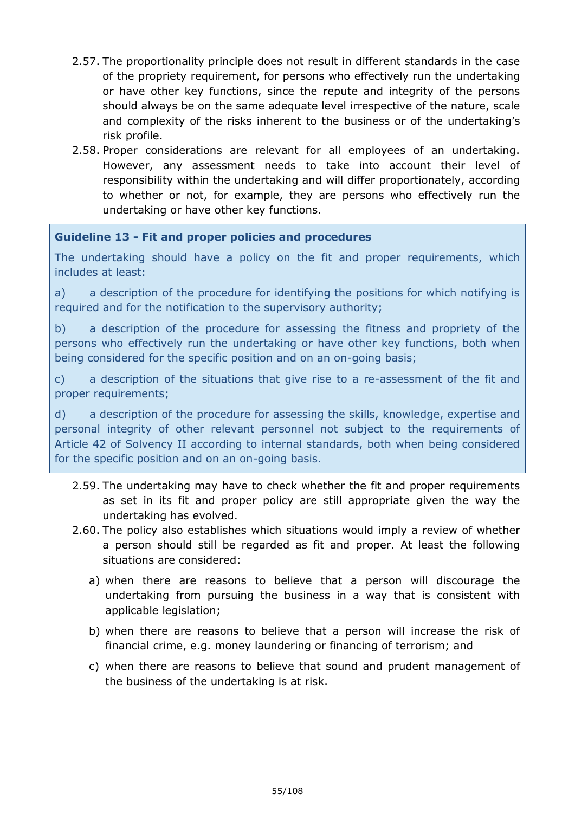- 2.57. The proportionality principle does not result in different standards in the case of the propriety requirement, for persons who effectively run the undertaking or have other key functions, since the repute and integrity of the persons should always be on the same adequate level irrespective of the nature, scale and complexity of the risks inherent to the business or of the undertaking's risk profile.
- 2.58. Proper considerations are relevant for all employees of an undertaking. However, any assessment needs to take into account their level of responsibility within the undertaking and will differ proportionately, according to whether or not, for example, they are persons who effectively run the undertaking or have other key functions.

# **Guideline 13 - Fit and proper policies and procedures**

The undertaking should have a policy on the fit and proper requirements, which includes at least:

a) a description of the procedure for identifying the positions for which notifying is required and for the notification to the supervisory authority;

b) a description of the procedure for assessing the fitness and propriety of the persons who effectively run the undertaking or have other key functions, both when being considered for the specific position and on an on-going basis;

c) a description of the situations that give rise to a re-assessment of the fit and proper requirements;

d) a description of the procedure for assessing the skills, knowledge, expertise and personal integrity of other relevant personnel not subject to the requirements of Article 42 of Solvency II according to internal standards, both when being considered for the specific position and on an on-going basis.

- 2.59. The undertaking may have to check whether the fit and proper requirements as set in its fit and proper policy are still appropriate given the way the undertaking has evolved.
- 2.60. The policy also establishes which situations would imply a review of whether a person should still be regarded as fit and proper. At least the following situations are considered:
	- a) when there are reasons to believe that a person will discourage the undertaking from pursuing the business in a way that is consistent with applicable legislation;
	- b) when there are reasons to believe that a person will increase the risk of financial crime, e.g. money laundering or financing of terrorism; and
	- c) when there are reasons to believe that sound and prudent management of the business of the undertaking is at risk.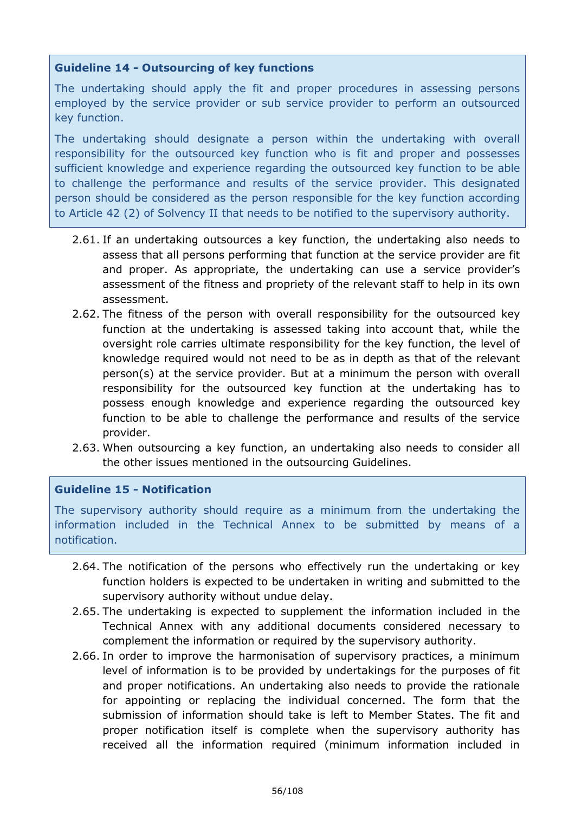# **Guideline 14 - Outsourcing of key functions**

The undertaking should apply the fit and proper procedures in assessing persons employed by the service provider or sub service provider to perform an outsourced key function.

The undertaking should designate a person within the undertaking with overall responsibility for the outsourced key function who is fit and proper and possesses sufficient knowledge and experience regarding the outsourced key function to be able to challenge the performance and results of the service provider. This designated person should be considered as the person responsible for the key function according to Article 42 (2) of Solvency II that needs to be notified to the supervisory authority.

- 2.61. If an undertaking outsources a key function, the undertaking also needs to assess that all persons performing that function at the service provider are fit and proper. As appropriate, the undertaking can use a service provider's assessment of the fitness and propriety of the relevant staff to help in its own assessment.
- 2.62. The fitness of the person with overall responsibility for the outsourced key function at the undertaking is assessed taking into account that, while the oversight role carries ultimate responsibility for the key function, the level of knowledge required would not need to be as in depth as that of the relevant person(s) at the service provider. But at a minimum the person with overall responsibility for the outsourced key function at the undertaking has to possess enough knowledge and experience regarding the outsourced key function to be able to challenge the performance and results of the service provider.
- 2.63. When outsourcing a key function, an undertaking also needs to consider all the other issues mentioned in the outsourcing Guidelines.

# **Guideline 15 - Notification**

The supervisory authority should require as a minimum from the undertaking the information included in the Technical Annex to be submitted by means of a notification.

- 2.64. The notification of the persons who effectively run the undertaking or key function holders is expected to be undertaken in writing and submitted to the supervisory authority without undue delay.
- 2.65. The undertaking is expected to supplement the information included in the Technical Annex with any additional documents considered necessary to complement the information or required by the supervisory authority.
- 2.66. In order to improve the harmonisation of supervisory practices, a minimum level of information is to be provided by undertakings for the purposes of fit and proper notifications. An undertaking also needs to provide the rationale for appointing or replacing the individual concerned. The form that the submission of information should take is left to Member States. The fit and proper notification itself is complete when the supervisory authority has received all the information required (minimum information included in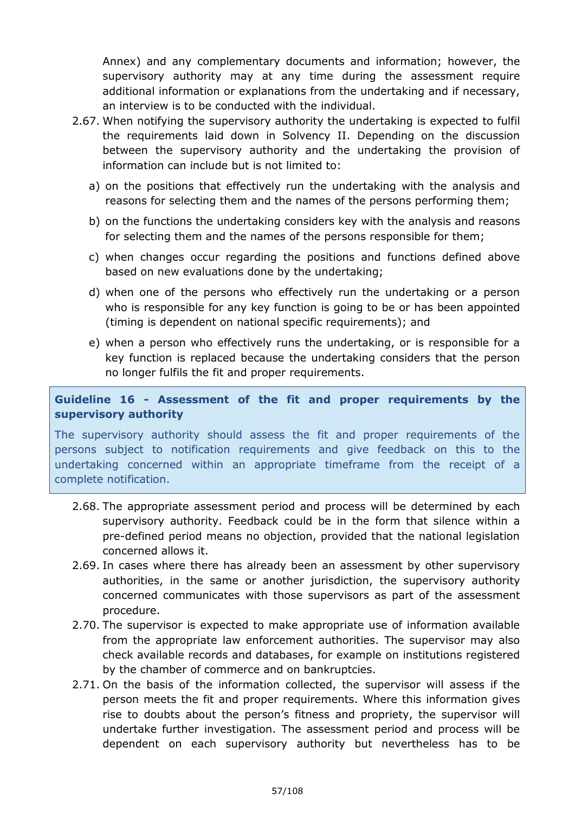Annex) and any complementary documents and information; however, the supervisory authority may at any time during the assessment require additional information or explanations from the undertaking and if necessary, an interview is to be conducted with the individual.

- 2.67. When notifying the supervisory authority the undertaking is expected to fulfil the requirements laid down in Solvency II. Depending on the discussion between the supervisory authority and the undertaking the provision of information can include but is not limited to:
	- a) on the positions that effectively run the undertaking with the analysis and reasons for selecting them and the names of the persons performing them;
	- b) on the functions the undertaking considers key with the analysis and reasons for selecting them and the names of the persons responsible for them;
	- c) when changes occur regarding the positions and functions defined above based on new evaluations done by the undertaking;
	- d) when one of the persons who effectively run the undertaking or a person who is responsible for any key function is going to be or has been appointed (timing is dependent on national specific requirements); and
	- e) when a person who effectively runs the undertaking, or is responsible for a key function is replaced because the undertaking considers that the person no longer fulfils the fit and proper requirements.

# **Guideline 16 - Assessment of the fit and proper requirements by the supervisory authority**

The supervisory authority should assess the fit and proper requirements of the persons subject to notification requirements and give feedback on this to the undertaking concerned within an appropriate timeframe from the receipt of a complete notification.

- 2.68. The appropriate assessment period and process will be determined by each supervisory authority. Feedback could be in the form that silence within a pre-defined period means no objection, provided that the national legislation concerned allows it.
- 2.69. In cases where there has already been an assessment by other supervisory authorities, in the same or another jurisdiction, the supervisory authority concerned communicates with those supervisors as part of the assessment procedure.
- 2.70. The supervisor is expected to make appropriate use of information available from the appropriate law enforcement authorities. The supervisor may also check available records and databases, for example on institutions registered by the chamber of commerce and on bankruptcies.
- 2.71. On the basis of the information collected, the supervisor will assess if the person meets the fit and proper requirements. Where this information gives rise to doubts about the person's fitness and propriety, the supervisor will undertake further investigation. The assessment period and process will be dependent on each supervisory authority but nevertheless has to be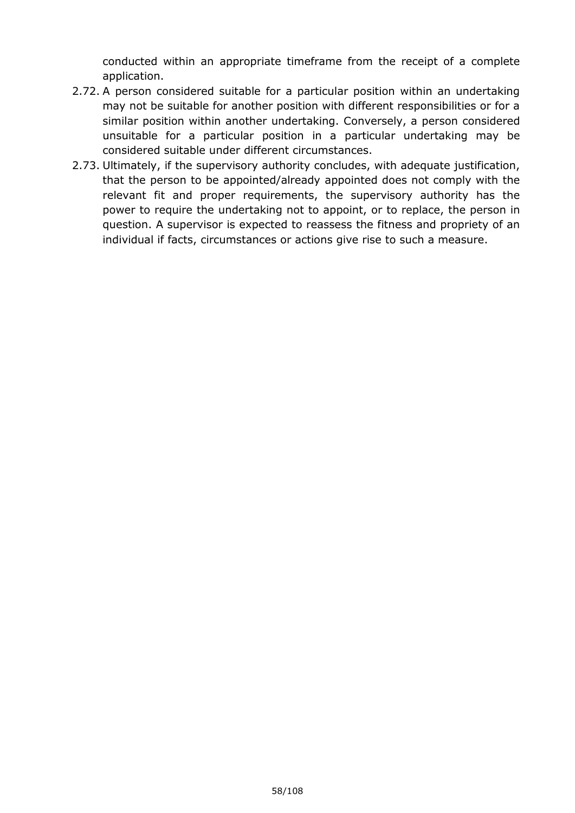conducted within an appropriate timeframe from the receipt of a complete application.

- 2.72. A person considered suitable for a particular position within an undertaking may not be suitable for another position with different responsibilities or for a similar position within another undertaking. Conversely, a person considered unsuitable for a particular position in a particular undertaking may be considered suitable under different circumstances.
- 2.73. Ultimately, if the supervisory authority concludes, with adequate justification, that the person to be appointed/already appointed does not comply with the relevant fit and proper requirements, the supervisory authority has the power to require the undertaking not to appoint, or to replace, the person in question. A supervisor is expected to reassess the fitness and propriety of an individual if facts, circumstances or actions give rise to such a measure.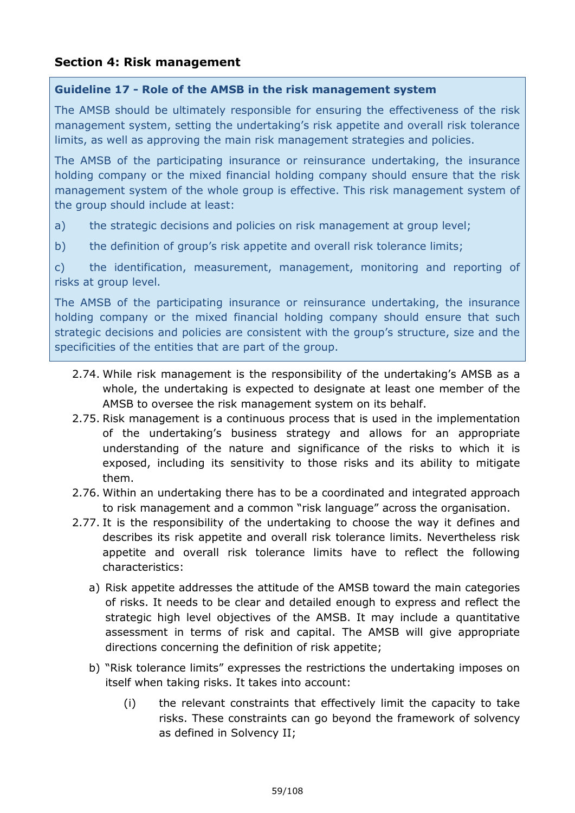# **Section 4: Risk management**

#### **Guideline 17 - Role of the AMSB in the risk management system**

The AMSB should be ultimately responsible for ensuring the effectiveness of the risk management system, setting the undertaking's risk appetite and overall risk tolerance limits, as well as approving the main risk management strategies and policies.

The AMSB of the participating insurance or reinsurance undertaking, the insurance holding company or the mixed financial holding company should ensure that the risk management system of the whole group is effective. This risk management system of the group should include at least:

a) the strategic decisions and policies on risk management at group level;

b) the definition of group's risk appetite and overall risk tolerance limits;

c) the identification, measurement, management, monitoring and reporting of risks at group level.

The AMSB of the participating insurance or reinsurance undertaking, the insurance holding company or the mixed financial holding company should ensure that such strategic decisions and policies are consistent with the group's structure, size and the specificities of the entities that are part of the group.

- 2.74. While risk management is the responsibility of the undertaking's AMSB as a whole, the undertaking is expected to designate at least one member of the AMSB to oversee the risk management system on its behalf.
- 2.75. Risk management is a continuous process that is used in the implementation of the undertaking's business strategy and allows for an appropriate understanding of the nature and significance of the risks to which it is exposed, including its sensitivity to those risks and its ability to mitigate them.
- 2.76. Within an undertaking there has to be a coordinated and integrated approach to risk management and a common "risk language" across the organisation.
- 2.77. It is the responsibility of the undertaking to choose the way it defines and describes its risk appetite and overall risk tolerance limits. Nevertheless risk appetite and overall risk tolerance limits have to reflect the following characteristics:
	- a) Risk appetite addresses the attitude of the AMSB toward the main categories of risks. It needs to be clear and detailed enough to express and reflect the strategic high level objectives of the AMSB. It may include a quantitative assessment in terms of risk and capital. The AMSB will give appropriate directions concerning the definition of risk appetite;
	- b) "Risk tolerance limits" expresses the restrictions the undertaking imposes on itself when taking risks. It takes into account:
		- (i) the relevant constraints that effectively limit the capacity to take risks. These constraints can go beyond the framework of solvency as defined in Solvency II;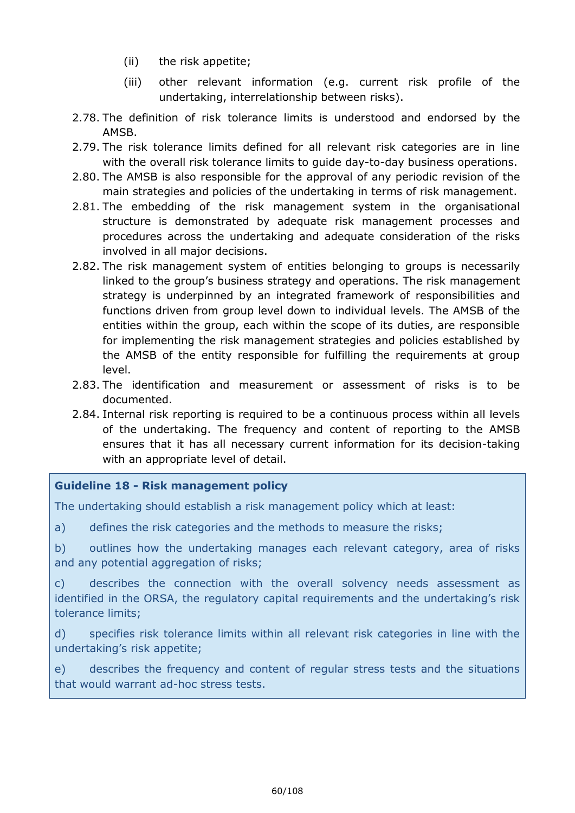- (ii) the risk appetite;
- (iii) other relevant information (e.g. current risk profile of the undertaking, interrelationship between risks).
- 2.78. The definition of risk tolerance limits is understood and endorsed by the AMSB.
- 2.79. The risk tolerance limits defined for all relevant risk categories are in line with the overall risk tolerance limits to guide day-to-day business operations.
- 2.80. The AMSB is also responsible for the approval of any periodic revision of the main strategies and policies of the undertaking in terms of risk management.
- 2.81. The embedding of the risk management system in the organisational structure is demonstrated by adequate risk management processes and procedures across the undertaking and adequate consideration of the risks involved in all major decisions.
- 2.82. The risk management system of entities belonging to groups is necessarily linked to the group's business strategy and operations. The risk management strategy is underpinned by an integrated framework of responsibilities and functions driven from group level down to individual levels. The AMSB of the entities within the group, each within the scope of its duties, are responsible for implementing the risk management strategies and policies established by the AMSB of the entity responsible for fulfilling the requirements at group level.
- 2.83. The identification and measurement or assessment of risks is to be documented.
- 2.84. Internal risk reporting is required to be a continuous process within all levels of the undertaking. The frequency and content of reporting to the AMSB ensures that it has all necessary current information for its decision-taking with an appropriate level of detail.

# **Guideline 18 - Risk management policy**

The undertaking should establish a risk management policy which at least:

a) defines the risk categories and the methods to measure the risks;

b) outlines how the undertaking manages each relevant category, area of risks and any potential aggregation of risks;

c) describes the connection with the overall solvency needs assessment as identified in the ORSA, the regulatory capital requirements and the undertaking's risk tolerance limits;

d) specifies risk tolerance limits within all relevant risk categories in line with the undertaking's risk appetite;

e) describes the frequency and content of regular stress tests and the situations that would warrant ad-hoc stress tests.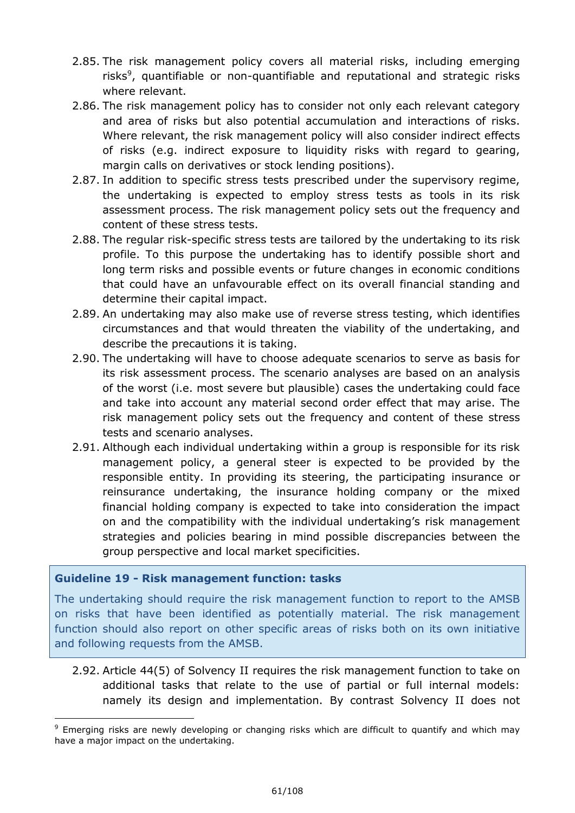- 2.85. The risk management policy covers all material risks, including emerging risks<sup>9</sup>, quantifiable or non-quantifiable and reputational and strategic risks where relevant.
- 2.86. The risk management policy has to consider not only each relevant category and area of risks but also potential accumulation and interactions of risks. Where relevant, the risk management policy will also consider indirect effects of risks (e.g. indirect exposure to liquidity risks with regard to gearing, margin calls on derivatives or stock lending positions).
- 2.87. In addition to specific stress tests prescribed under the supervisory regime, the undertaking is expected to employ stress tests as tools in its risk assessment process. The risk management policy sets out the frequency and content of these stress tests.
- 2.88. The regular risk-specific stress tests are tailored by the undertaking to its risk profile. To this purpose the undertaking has to identify possible short and long term risks and possible events or future changes in economic conditions that could have an unfavourable effect on its overall financial standing and determine their capital impact.
- 2.89. An undertaking may also make use of reverse stress testing, which identifies circumstances and that would threaten the viability of the undertaking, and describe the precautions it is taking.
- 2.90. The undertaking will have to choose adequate scenarios to serve as basis for its risk assessment process. The scenario analyses are based on an analysis of the worst (i.e. most severe but plausible) cases the undertaking could face and take into account any material second order effect that may arise. The risk management policy sets out the frequency and content of these stress tests and scenario analyses.
- 2.91. Although each individual undertaking within a group is responsible for its risk management policy, a general steer is expected to be provided by the responsible entity. In providing its steering, the participating insurance or reinsurance undertaking, the insurance holding company or the mixed financial holding company is expected to take into consideration the impact on and the compatibility with the individual undertaking's risk management strategies and policies bearing in mind possible discrepancies between the group perspective and local market specificities.

# **Guideline 19 - Risk management function: tasks**

-

The undertaking should require the risk management function to report to the AMSB on risks that have been identified as potentially material. The risk management function should also report on other specific areas of risks both on its own initiative and following requests from the AMSB.

2.92. Article 44(5) of Solvency II requires the risk management function to take on additional tasks that relate to the use of partial or full internal models: namely its design and implementation. By contrast Solvency II does not

<sup>&</sup>lt;sup>9</sup> Emerging risks are newly developing or changing risks which are difficult to quantify and which may have a major impact on the undertaking.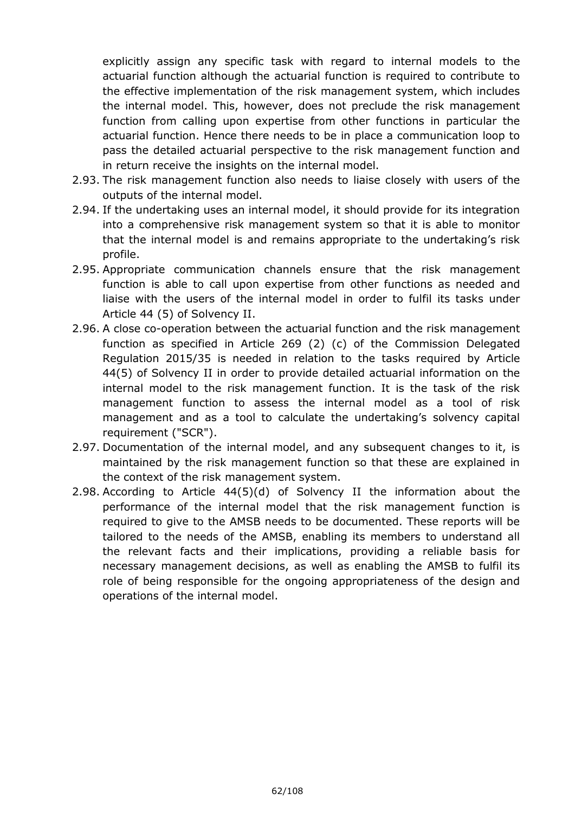explicitly assign any specific task with regard to internal models to the actuarial function although the actuarial function is required to contribute to the effective implementation of the risk management system, which includes the internal model. This, however, does not preclude the risk management function from calling upon expertise from other functions in particular the actuarial function. Hence there needs to be in place a communication loop to pass the detailed actuarial perspective to the risk management function and in return receive the insights on the internal model.

- 2.93. The risk management function also needs to liaise closely with users of the outputs of the internal model.
- 2.94. If the undertaking uses an internal model, it should provide for its integration into a comprehensive risk management system so that it is able to monitor that the internal model is and remains appropriate to the undertaking's risk profile.
- 2.95. Appropriate communication channels ensure that the risk management function is able to call upon expertise from other functions as needed and liaise with the users of the internal model in order to fulfil its tasks under Article 44 (5) of Solvency II.
- 2.96. A close co-operation between the actuarial function and the risk management function as specified in Article 269 (2) (c) of the Commission Delegated Regulation 2015/35 is needed in relation to the tasks required by Article 44(5) of Solvency II in order to provide detailed actuarial information on the internal model to the risk management function. It is the task of the risk management function to assess the internal model as a tool of risk management and as a tool to calculate the undertaking's solvency capital requirement ("SCR").
- 2.97. Documentation of the internal model, and any subsequent changes to it, is maintained by the risk management function so that these are explained in the context of the risk management system.
- 2.98. According to Article 44(5)(d) of Solvency II the information about the performance of the internal model that the risk management function is required to give to the AMSB needs to be documented. These reports will be tailored to the needs of the AMSB, enabling its members to understand all the relevant facts and their implications, providing a reliable basis for necessary management decisions, as well as enabling the AMSB to fulfil its role of being responsible for the ongoing appropriateness of the design and operations of the internal model.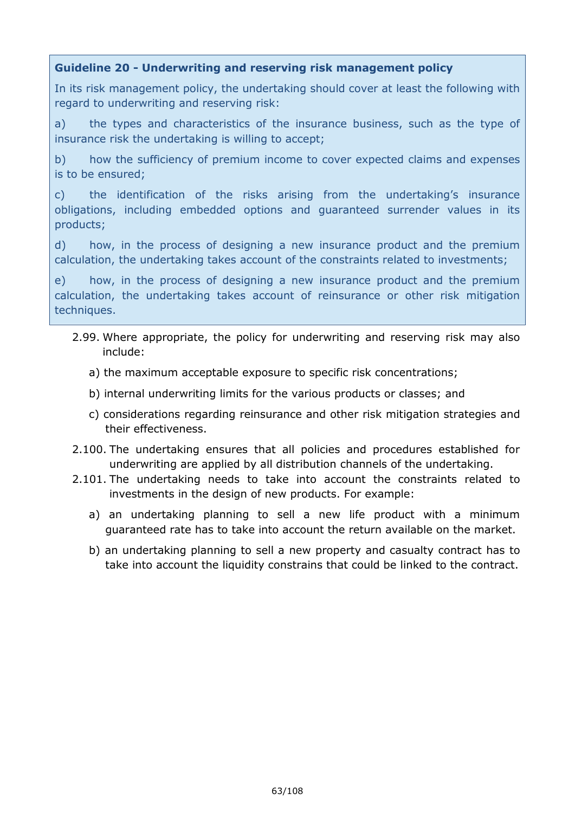# **Guideline 20 - Underwriting and reserving risk management policy**

In its risk management policy, the undertaking should cover at least the following with regard to underwriting and reserving risk:

a) the types and characteristics of the insurance business, such as the type of insurance risk the undertaking is willing to accept;

b) how the sufficiency of premium income to cover expected claims and expenses is to be ensured;

c) the identification of the risks arising from the undertaking's insurance obligations, including embedded options and guaranteed surrender values in its products;

d) how, in the process of designing a new insurance product and the premium calculation, the undertaking takes account of the constraints related to investments;

e) how, in the process of designing a new insurance product and the premium calculation, the undertaking takes account of reinsurance or other risk mitigation techniques.

- 2.99. Where appropriate, the policy for underwriting and reserving risk may also include:
	- a) the maximum acceptable exposure to specific risk concentrations;
	- b) internal underwriting limits for the various products or classes; and
	- c) considerations regarding reinsurance and other risk mitigation strategies and their effectiveness.
- 2.100. The undertaking ensures that all policies and procedures established for underwriting are applied by all distribution channels of the undertaking.
- 2.101. The undertaking needs to take into account the constraints related to investments in the design of new products. For example:
	- a) an undertaking planning to sell a new life product with a minimum guaranteed rate has to take into account the return available on the market.
	- b) an undertaking planning to sell a new property and casualty contract has to take into account the liquidity constrains that could be linked to the contract.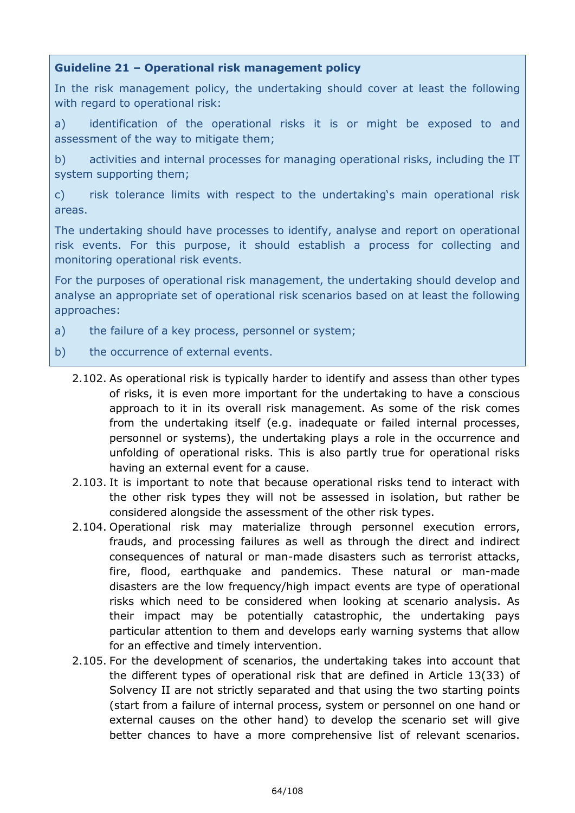# **Guideline 21 – Operational risk management policy**

In the risk management policy, the undertaking should cover at least the following with regard to operational risk:

a) identification of the operational risks it is or might be exposed to and assessment of the way to mitigate them;

b) activities and internal processes for managing operational risks, including the IT system supporting them;

c) risk tolerance limits with respect to the undertaking's main operational risk areas.

The undertaking should have processes to identify, analyse and report on operational risk events. For this purpose, it should establish a process for collecting and monitoring operational risk events.

For the purposes of operational risk management, the undertaking should develop and analyse an appropriate set of operational risk scenarios based on at least the following approaches:

- a) the failure of a key process, personnel or system;
- b) the occurrence of external events.
	- 2.102. As operational risk is typically harder to identify and assess than other types of risks, it is even more important for the undertaking to have a conscious approach to it in its overall risk management. As some of the risk comes from the undertaking itself (e.g. inadequate or failed internal processes, personnel or systems), the undertaking plays a role in the occurrence and unfolding of operational risks. This is also partly true for operational risks having an external event for a cause.
	- 2.103. It is important to note that because operational risks tend to interact with the other risk types they will not be assessed in isolation, but rather be considered alongside the assessment of the other risk types.
	- 2.104. Operational risk may materialize through personnel execution errors, frauds, and processing failures as well as through the direct and indirect consequences of natural or man-made disasters such as terrorist attacks, fire, flood, earthquake and pandemics. These natural or man-made disasters are the low frequency/high impact events are type of operational risks which need to be considered when looking at scenario analysis. As their impact may be potentially catastrophic, the undertaking pays particular attention to them and develops early warning systems that allow for an effective and timely intervention.
	- 2.105. For the development of scenarios, the undertaking takes into account that the different types of operational risk that are defined in Article 13(33) of Solvency II are not strictly separated and that using the two starting points (start from a failure of internal process, system or personnel on one hand or external causes on the other hand) to develop the scenario set will give better chances to have a more comprehensive list of relevant scenarios.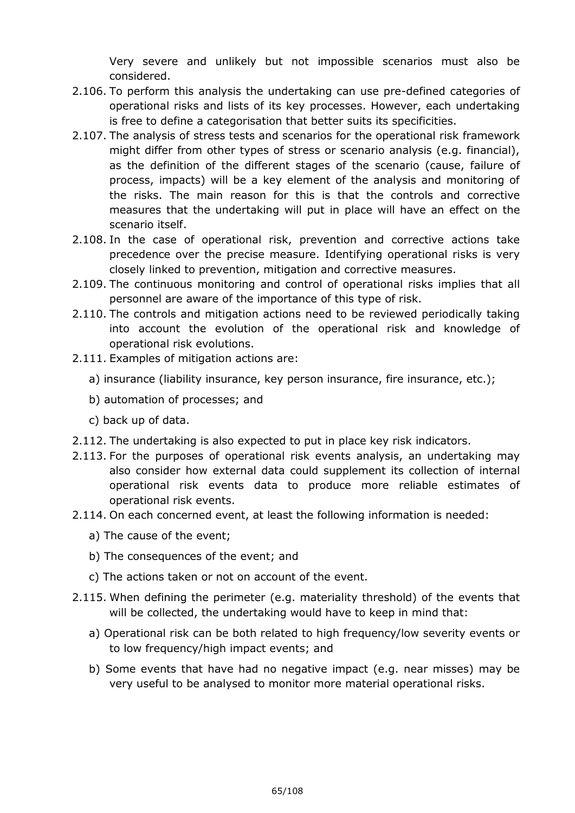Very severe and unlikely but not impossible scenarios must also be considered.

- 2.106. To perform this analysis the undertaking can use pre-defined categories of operational risks and lists of its key processes. However, each undertaking is free to define a categorisation that better suits its specificities.
- 2.107. The analysis of stress tests and scenarios for the operational risk framework might differ from other types of stress or scenario analysis (e.g. financial), as the definition of the different stages of the scenario (cause, failure of process, impacts) will be a key element of the analysis and monitoring of the risks. The main reason for this is that the controls and corrective measures that the undertaking will put in place will have an effect on the scenario itself.
- 2.108. In the case of operational risk, prevention and corrective actions take precedence over the precise measure. Identifying operational risks is very closely linked to prevention, mitigation and corrective measures.
- 2.109. The continuous monitoring and control of operational risks implies that all personnel are aware of the importance of this type of risk.
- 2.110. The controls and mitigation actions need to be reviewed periodically taking into account the evolution of the operational risk and knowledge of operational risk evolutions.
- 2.111. Examples of mitigation actions are:
	- a) insurance (liability insurance, key person insurance, fire insurance, etc.);
	- b) automation of processes; and
	- c) back up of data.
- 2.112. The undertaking is also expected to put in place key risk indicators.
- 2.113. For the purposes of operational risk events analysis, an undertaking may also consider how external data could supplement its collection of internal operational risk events data to produce more reliable estimates of operational risk events.
- 2.114. On each concerned event, at least the following information is needed:
	- a) The cause of the event;
	- b) The consequences of the event; and
	- c) The actions taken or not on account of the event.
- 2.115. When defining the perimeter (e.g. materiality threshold) of the events that will be collected, the undertaking would have to keep in mind that:
	- a) Operational risk can be both related to high frequency/low severity events or to low frequency/high impact events; and
	- b) Some events that have had no negative impact (e.g. near misses) may be very useful to be analysed to monitor more material operational risks.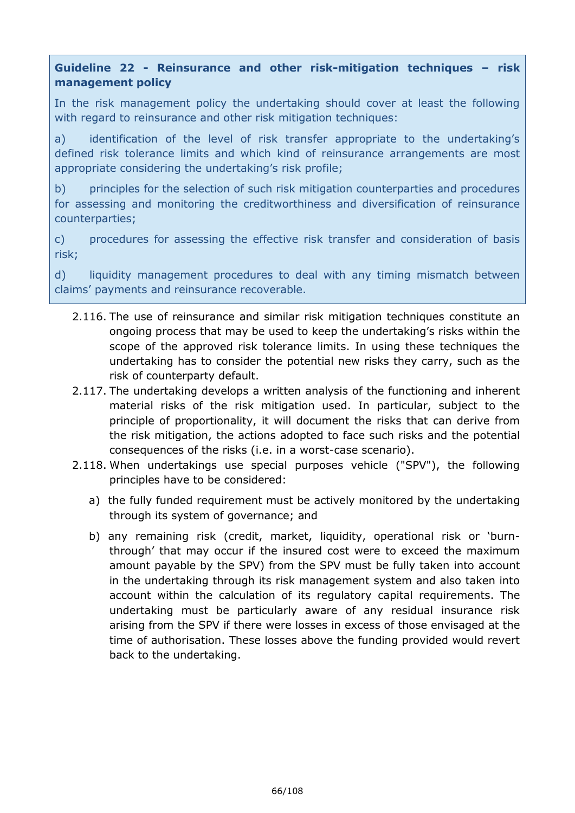# **Guideline 22 - Reinsurance and other risk-mitigation techniques – risk management policy**

In the risk management policy the undertaking should cover at least the following with regard to reinsurance and other risk mitigation techniques:

a) identification of the level of risk transfer appropriate to the undertaking's defined risk tolerance limits and which kind of reinsurance arrangements are most appropriate considering the undertaking's risk profile;

b) principles for the selection of such risk mitigation counterparties and procedures for assessing and monitoring the creditworthiness and diversification of reinsurance counterparties;

c) procedures for assessing the effective risk transfer and consideration of basis risk;

d) liquidity management procedures to deal with any timing mismatch between claims' payments and reinsurance recoverable.

- 2.116. The use of reinsurance and similar risk mitigation techniques constitute an ongoing process that may be used to keep the undertaking's risks within the scope of the approved risk tolerance limits. In using these techniques the undertaking has to consider the potential new risks they carry, such as the risk of counterparty default.
- 2.117. The undertaking develops a written analysis of the functioning and inherent material risks of the risk mitigation used. In particular, subject to the principle of proportionality, it will document the risks that can derive from the risk mitigation, the actions adopted to face such risks and the potential consequences of the risks (i.e. in a worst-case scenario).
- 2.118. When undertakings use special purposes vehicle ("SPV"), the following principles have to be considered:
	- a) the fully funded requirement must be actively monitored by the undertaking through its system of governance; and
	- b) any remaining risk (credit, market, liquidity, operational risk or 'burnthrough' that may occur if the insured cost were to exceed the maximum amount payable by the SPV) from the SPV must be fully taken into account in the undertaking through its risk management system and also taken into account within the calculation of its regulatory capital requirements. The undertaking must be particularly aware of any residual insurance risk arising from the SPV if there were losses in excess of those envisaged at the time of authorisation. These losses above the funding provided would revert back to the undertaking.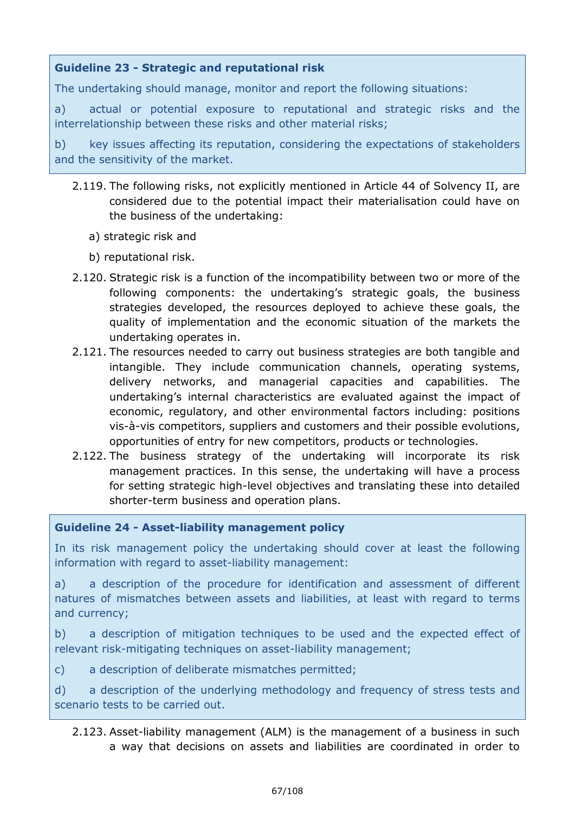# **Guideline 23 - Strategic and reputational risk**

The undertaking should manage, monitor and report the following situations:

a) actual or potential exposure to reputational and strategic risks and the interrelationship between these risks and other material risks;

b) key issues affecting its reputation, considering the expectations of stakeholders and the sensitivity of the market.

- 2.119. The following risks, not explicitly mentioned in Article 44 of Solvency II, are considered due to the potential impact their materialisation could have on the business of the undertaking:
	- a) strategic risk and
	- b) reputational risk.
- 2.120. Strategic risk is a function of the incompatibility between two or more of the following components: the undertaking's strategic goals, the business strategies developed, the resources deployed to achieve these goals, the quality of implementation and the economic situation of the markets the undertaking operates in.
- 2.121. The resources needed to carry out business strategies are both tangible and intangible. They include communication channels, operating systems, delivery networks, and managerial capacities and capabilities. The undertaking's internal characteristics are evaluated against the impact of economic, regulatory, and other environmental factors including: positions vis-à-vis competitors, suppliers and customers and their possible evolutions, opportunities of entry for new competitors, products or technologies.
- 2.122. The business strategy of the undertaking will incorporate its risk management practices. In this sense, the undertaking will have a process for setting strategic high-level objectives and translating these into detailed shorter-term business and operation plans.

# **Guideline 24 - Asset-liability management policy**

In its risk management policy the undertaking should cover at least the following information with regard to asset-liability management:

a) a description of the procedure for identification and assessment of different natures of mismatches between assets and liabilities, at least with regard to terms and currency;

b) a description of mitigation techniques to be used and the expected effect of relevant risk-mitigating techniques on asset-liability management;

c) a description of deliberate mismatches permitted;

d) a description of the underlying methodology and frequency of stress tests and scenario tests to be carried out.

2.123. Asset-liability management (ALM) is the management of a business in such a way that decisions on assets and liabilities are coordinated in order to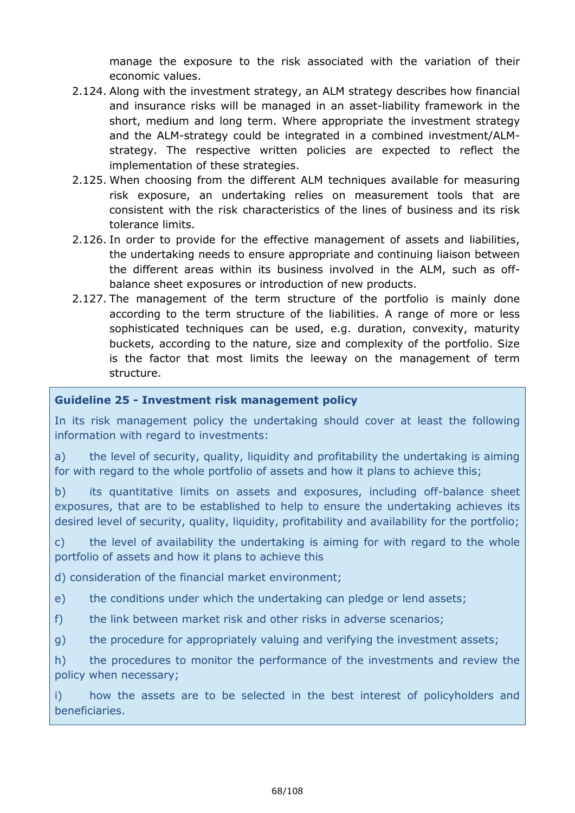manage the exposure to the risk associated with the variation of their economic values.

- 2.124. Along with the investment strategy, an ALM strategy describes how financial and insurance risks will be managed in an asset-liability framework in the short, medium and long term. Where appropriate the investment strategy and the ALM-strategy could be integrated in a combined investment/ALMstrategy. The respective written policies are expected to reflect the implementation of these strategies.
- 2.125. When choosing from the different ALM techniques available for measuring risk exposure, an undertaking relies on measurement tools that are consistent with the risk characteristics of the lines of business and its risk tolerance limits.
- 2.126. In order to provide for the effective management of assets and liabilities, the undertaking needs to ensure appropriate and continuing liaison between the different areas within its business involved in the ALM, such as offbalance sheet exposures or introduction of new products.
- 2.127. The management of the term structure of the portfolio is mainly done according to the term structure of the liabilities. A range of more or less sophisticated techniques can be used, e.g. duration, convexity, maturity buckets, according to the nature, size and complexity of the portfolio. Size is the factor that most limits the leeway on the management of term structure.

# **Guideline 25 - Investment risk management policy**

In its risk management policy the undertaking should cover at least the following information with regard to investments:

a) the level of security, quality, liquidity and profitability the undertaking is aiming for with regard to the whole portfolio of assets and how it plans to achieve this;

b) its quantitative limits on assets and exposures, including off-balance sheet exposures, that are to be established to help to ensure the undertaking achieves its desired level of security, quality, liquidity, profitability and availability for the portfolio;

c) the level of availability the undertaking is aiming for with regard to the whole portfolio of assets and how it plans to achieve this

d) consideration of the financial market environment;

e) the conditions under which the undertaking can pledge or lend assets;

f) the link between market risk and other risks in adverse scenarios;

g) the procedure for appropriately valuing and verifying the investment assets;

h) the procedures to monitor the performance of the investments and review the policy when necessary;

i) how the assets are to be selected in the best interest of policyholders and beneficiaries.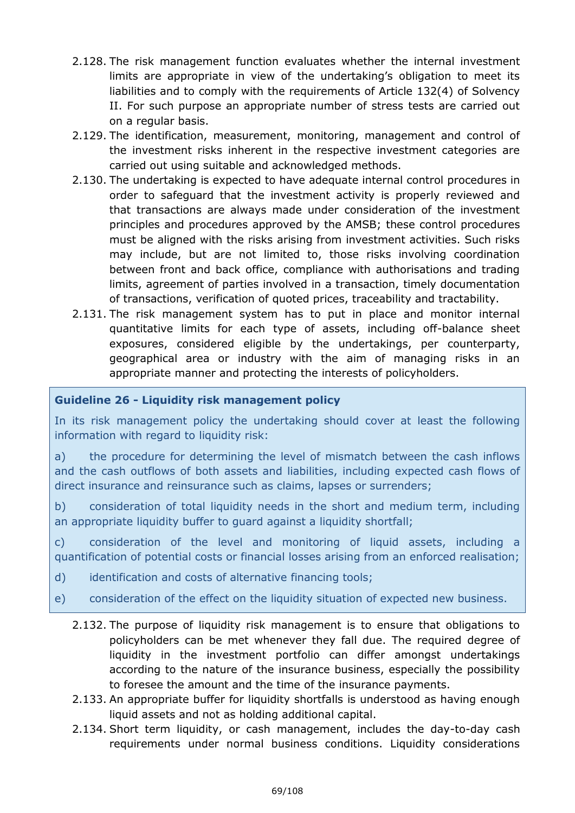- 2.128. The risk management function evaluates whether the internal investment limits are appropriate in view of the undertaking's obligation to meet its liabilities and to comply with the requirements of Article 132(4) of Solvency II. For such purpose an appropriate number of stress tests are carried out on a regular basis.
- 2.129. The identification, measurement, monitoring, management and control of the investment risks inherent in the respective investment categories are carried out using suitable and acknowledged methods.
- 2.130. The undertaking is expected to have adequate internal control procedures in order to safeguard that the investment activity is properly reviewed and that transactions are always made under consideration of the investment principles and procedures approved by the AMSB; these control procedures must be aligned with the risks arising from investment activities. Such risks may include, but are not limited to, those risks involving coordination between front and back office, compliance with authorisations and trading limits, agreement of parties involved in a transaction, timely documentation of transactions, verification of quoted prices, traceability and tractability.
- 2.131. The risk management system has to put in place and monitor internal quantitative limits for each type of assets, including off-balance sheet exposures, considered eligible by the undertakings, per counterparty, geographical area or industry with the aim of managing risks in an appropriate manner and protecting the interests of policyholders.

# **Guideline 26 - Liquidity risk management policy**

In its risk management policy the undertaking should cover at least the following information with regard to liquidity risk:

a) the procedure for determining the level of mismatch between the cash inflows and the cash outflows of both assets and liabilities, including expected cash flows of direct insurance and reinsurance such as claims, lapses or surrenders;

b) consideration of total liquidity needs in the short and medium term, including an appropriate liquidity buffer to guard against a liquidity shortfall;

c) consideration of the level and monitoring of liquid assets, including a quantification of potential costs or financial losses arising from an enforced realisation;

- d) identification and costs of alternative financing tools;
- e) consideration of the effect on the liquidity situation of expected new business.
	- 2.132. The purpose of liquidity risk management is to ensure that obligations to policyholders can be met whenever they fall due. The required degree of liquidity in the investment portfolio can differ amongst undertakings according to the nature of the insurance business, especially the possibility to foresee the amount and the time of the insurance payments.
	- 2.133. An appropriate buffer for liquidity shortfalls is understood as having enough liquid assets and not as holding additional capital.
	- 2.134. Short term liquidity, or cash management, includes the day-to-day cash requirements under normal business conditions. Liquidity considerations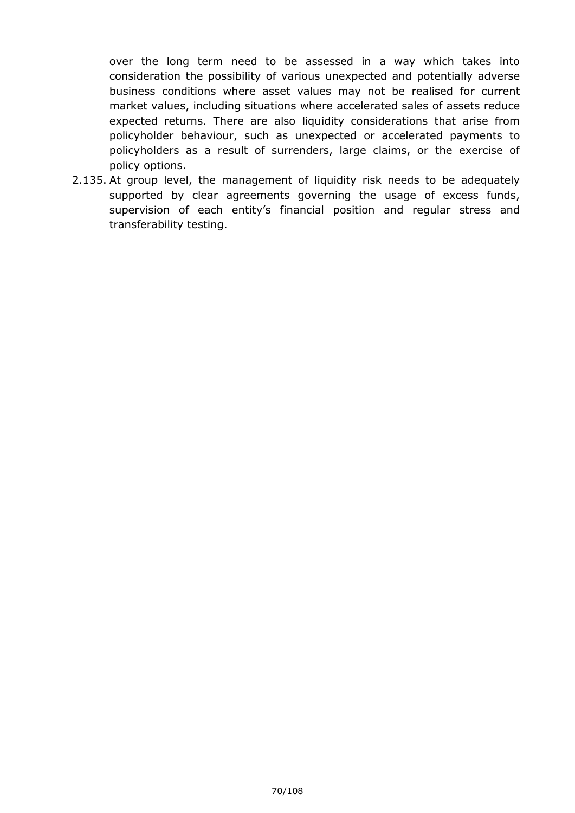over the long term need to be assessed in a way which takes into consideration the possibility of various unexpected and potentially adverse business conditions where asset values may not be realised for current market values, including situations where accelerated sales of assets reduce expected returns. There are also liquidity considerations that arise from policyholder behaviour, such as unexpected or accelerated payments to policyholders as a result of surrenders, large claims, or the exercise of policy options.

2.135. At group level, the management of liquidity risk needs to be adequately supported by clear agreements governing the usage of excess funds, supervision of each entity's financial position and regular stress and transferability testing.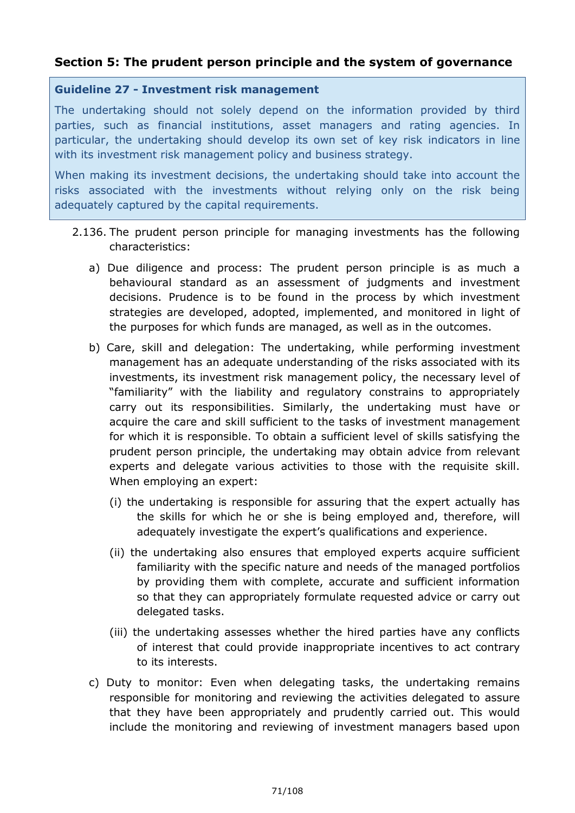# **Section 5: The prudent person principle and the system of governance**

#### **Guideline 27 - Investment risk management**

The undertaking should not solely depend on the information provided by third parties, such as financial institutions, asset managers and rating agencies. In particular, the undertaking should develop its own set of key risk indicators in line with its investment risk management policy and business strategy.

When making its investment decisions, the undertaking should take into account the risks associated with the investments without relying only on the risk being adequately captured by the capital requirements.

- 2.136. The prudent person principle for managing investments has the following characteristics:
	- a) Due diligence and process: The prudent person principle is as much a behavioural standard as an assessment of judgments and investment decisions. Prudence is to be found in the process by which investment strategies are developed, adopted, implemented, and monitored in light of the purposes for which funds are managed, as well as in the outcomes.
	- b) Care, skill and delegation: The undertaking, while performing investment management has an adequate understanding of the risks associated with its investments, its investment risk management policy, the necessary level of "familiarity" with the liability and regulatory constrains to appropriately carry out its responsibilities. Similarly, the undertaking must have or acquire the care and skill sufficient to the tasks of investment management for which it is responsible. To obtain a sufficient level of skills satisfying the prudent person principle, the undertaking may obtain advice from relevant experts and delegate various activities to those with the requisite skill. When employing an expert:
		- (i) the undertaking is responsible for assuring that the expert actually has the skills for which he or she is being employed and, therefore, will adequately investigate the expert's qualifications and experience.
		- (ii) the undertaking also ensures that employed experts acquire sufficient familiarity with the specific nature and needs of the managed portfolios by providing them with complete, accurate and sufficient information so that they can appropriately formulate requested advice or carry out delegated tasks.
		- (iii) the undertaking assesses whether the hired parties have any conflicts of interest that could provide inappropriate incentives to act contrary to its interests.
	- c) Duty to monitor: Even when delegating tasks, the undertaking remains responsible for monitoring and reviewing the activities delegated to assure that they have been appropriately and prudently carried out. This would include the monitoring and reviewing of investment managers based upon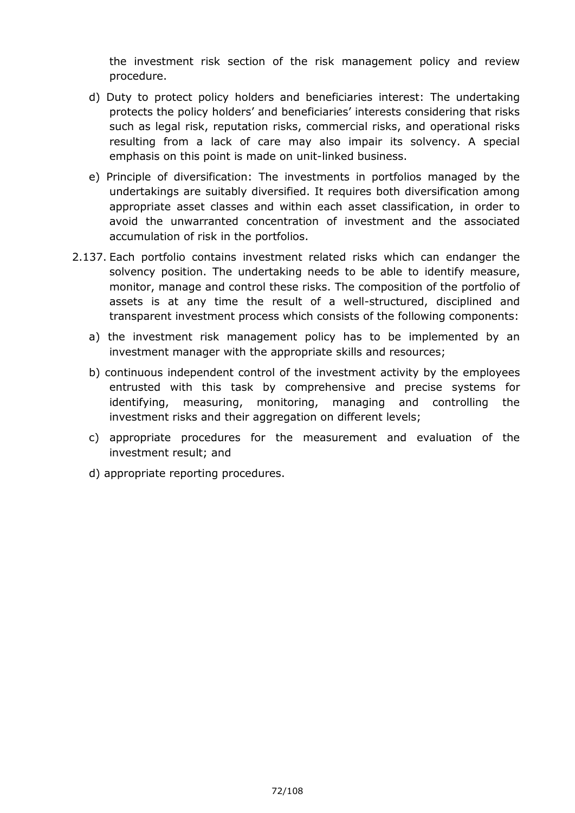the investment risk section of the risk management policy and review procedure.

- d) Duty to protect policy holders and beneficiaries interest: The undertaking protects the policy holders' and beneficiaries' interests considering that risks such as legal risk, reputation risks, commercial risks, and operational risks resulting from a lack of care may also impair its solvency. A special emphasis on this point is made on unit-linked business.
- e) Principle of diversification: The investments in portfolios managed by the undertakings are suitably diversified. It requires both diversification among appropriate asset classes and within each asset classification, in order to avoid the unwarranted concentration of investment and the associated accumulation of risk in the portfolios.
- 2.137. Each portfolio contains investment related risks which can endanger the solvency position. The undertaking needs to be able to identify measure, monitor, manage and control these risks. The composition of the portfolio of assets is at any time the result of a well-structured, disciplined and transparent investment process which consists of the following components:
	- a) the investment risk management policy has to be implemented by an investment manager with the appropriate skills and resources;
	- b) continuous independent control of the investment activity by the employees entrusted with this task by comprehensive and precise systems for identifying, measuring, monitoring, managing and controlling the investment risks and their aggregation on different levels;
	- c) appropriate procedures for the measurement and evaluation of the investment result; and
	- d) appropriate reporting procedures.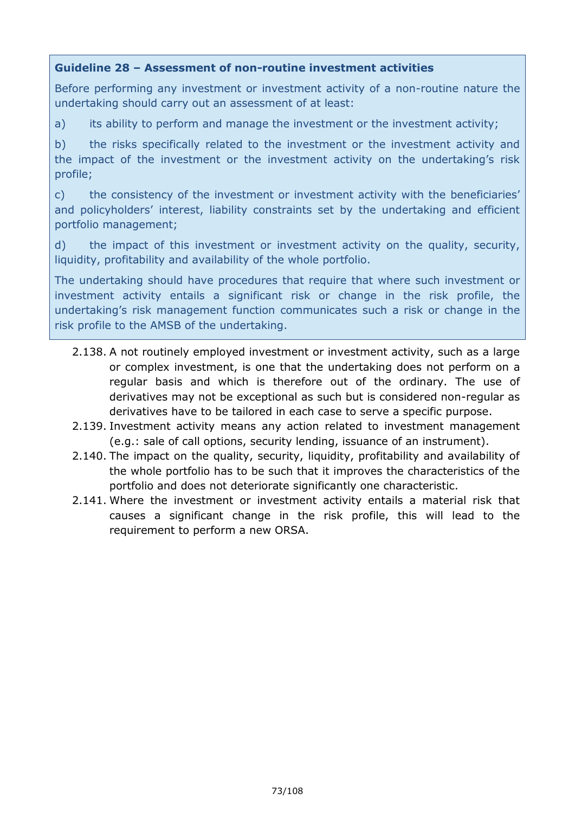## **Guideline 28 – Assessment of non-routine investment activities**

Before performing any investment or investment activity of a non-routine nature the undertaking should carry out an assessment of at least:

a) its ability to perform and manage the investment or the investment activity;

b) the risks specifically related to the investment or the investment activity and the impact of the investment or the investment activity on the undertaking's risk profile;

c) the consistency of the investment or investment activity with the beneficiaries' and policyholders' interest, liability constraints set by the undertaking and efficient portfolio management;

d) the impact of this investment or investment activity on the quality, security, liquidity, profitability and availability of the whole portfolio.

The undertaking should have procedures that require that where such investment or investment activity entails a significant risk or change in the risk profile, the undertaking's risk management function communicates such a risk or change in the risk profile to the AMSB of the undertaking.

- 2.138. A not routinely employed investment or investment activity, such as a large or complex investment, is one that the undertaking does not perform on a regular basis and which is therefore out of the ordinary. The use of derivatives may not be exceptional as such but is considered non-regular as derivatives have to be tailored in each case to serve a specific purpose.
- 2.139. Investment activity means any action related to investment management (e.g.: sale of call options, security lending, issuance of an instrument).
- 2.140. The impact on the quality, security, liquidity, profitability and availability of the whole portfolio has to be such that it improves the characteristics of the portfolio and does not deteriorate significantly one characteristic.
- 2.141. Where the investment or investment activity entails a material risk that causes a significant change in the risk profile, this will lead to the requirement to perform a new ORSA.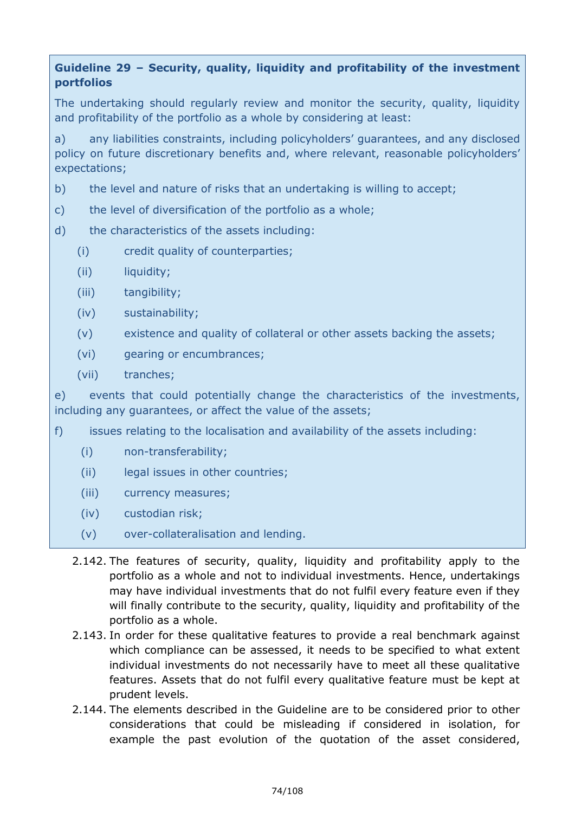# **Guideline 29 – Security, quality, liquidity and profitability of the investment portfolios**

The undertaking should regularly review and monitor the security, quality, liquidity and profitability of the portfolio as a whole by considering at least:

a) any liabilities constraints, including policyholders' guarantees, and any disclosed policy on future discretionary benefits and, where relevant, reasonable policyholders' expectations;

- b) the level and nature of risks that an undertaking is willing to accept;
- c) the level of diversification of the portfolio as a whole;
- d) the characteristics of the assets including:
	- (i) credit quality of counterparties;
	- (ii) liquidity;
	- (iii) tangibility;
	- (iv) sustainability;
	- (v) existence and quality of collateral or other assets backing the assets;
	- (vi) gearing or encumbrances;
	- (vii) tranches;

e) events that could potentially change the characteristics of the investments, including any guarantees, or affect the value of the assets;

- f) issues relating to the localisation and availability of the assets including:
	- (i) non-transferability;
	- (ii) legal issues in other countries;
	- (iii) currency measures;
	- (iv) custodian risk;
	- (v) over-collateralisation and lending.
	- 2.142. The features of security, quality, liquidity and profitability apply to the portfolio as a whole and not to individual investments. Hence, undertakings may have individual investments that do not fulfil every feature even if they will finally contribute to the security, quality, liquidity and profitability of the portfolio as a whole.
	- 2.143. In order for these qualitative features to provide a real benchmark against which compliance can be assessed, it needs to be specified to what extent individual investments do not necessarily have to meet all these qualitative features. Assets that do not fulfil every qualitative feature must be kept at prudent levels.
	- 2.144. The elements described in the Guideline are to be considered prior to other considerations that could be misleading if considered in isolation, for example the past evolution of the quotation of the asset considered,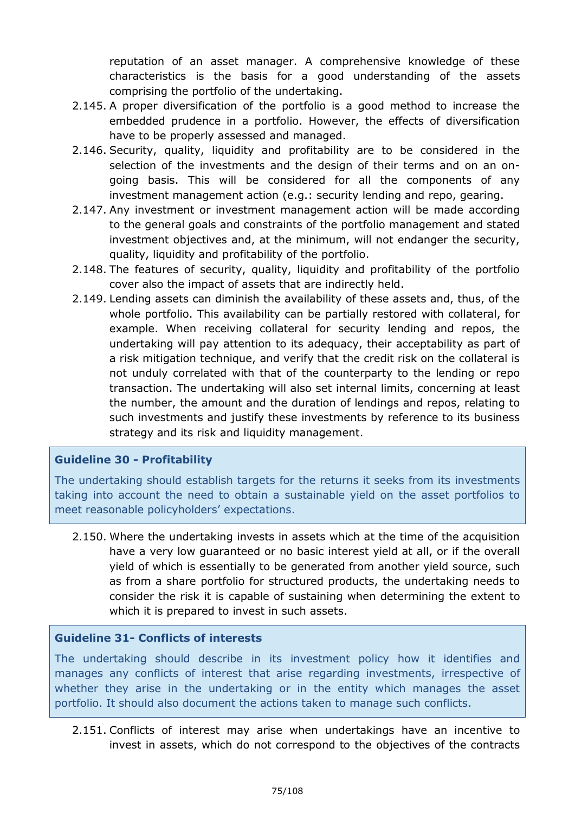reputation of an asset manager. A comprehensive knowledge of these characteristics is the basis for a good understanding of the assets comprising the portfolio of the undertaking.

- 2.145. A proper diversification of the portfolio is a good method to increase the embedded prudence in a portfolio. However, the effects of diversification have to be properly assessed and managed.
- 2.146. Security, quality, liquidity and profitability are to be considered in the selection of the investments and the design of their terms and on an ongoing basis. This will be considered for all the components of any investment management action (e.g.: security lending and repo, gearing.
- 2.147. Any investment or investment management action will be made according to the general goals and constraints of the portfolio management and stated investment objectives and, at the minimum, will not endanger the security, quality, liquidity and profitability of the portfolio.
- 2.148. The features of security, quality, liquidity and profitability of the portfolio cover also the impact of assets that are indirectly held.
- 2.149. Lending assets can diminish the availability of these assets and, thus, of the whole portfolio. This availability can be partially restored with collateral, for example. When receiving collateral for security lending and repos, the undertaking will pay attention to its adequacy, their acceptability as part of a risk mitigation technique, and verify that the credit risk on the collateral is not unduly correlated with that of the counterparty to the lending or repo transaction. The undertaking will also set internal limits, concerning at least the number, the amount and the duration of lendings and repos, relating to such investments and justify these investments by reference to its business strategy and its risk and liquidity management.

## **Guideline 30 - Profitability**

The undertaking should establish targets for the returns it seeks from its investments taking into account the need to obtain a sustainable yield on the asset portfolios to meet reasonable policyholders' expectations.

2.150. Where the undertaking invests in assets which at the time of the acquisition have a very low guaranteed or no basic interest yield at all, or if the overall yield of which is essentially to be generated from another yield source, such as from a share portfolio for structured products, the undertaking needs to consider the risk it is capable of sustaining when determining the extent to which it is prepared to invest in such assets.

## **Guideline 31- Conflicts of interests**

The undertaking should describe in its investment policy how it identifies and manages any conflicts of interest that arise regarding investments, irrespective of whether they arise in the undertaking or in the entity which manages the asset portfolio. It should also document the actions taken to manage such conflicts.

2.151. Conflicts of interest may arise when undertakings have an incentive to invest in assets, which do not correspond to the objectives of the contracts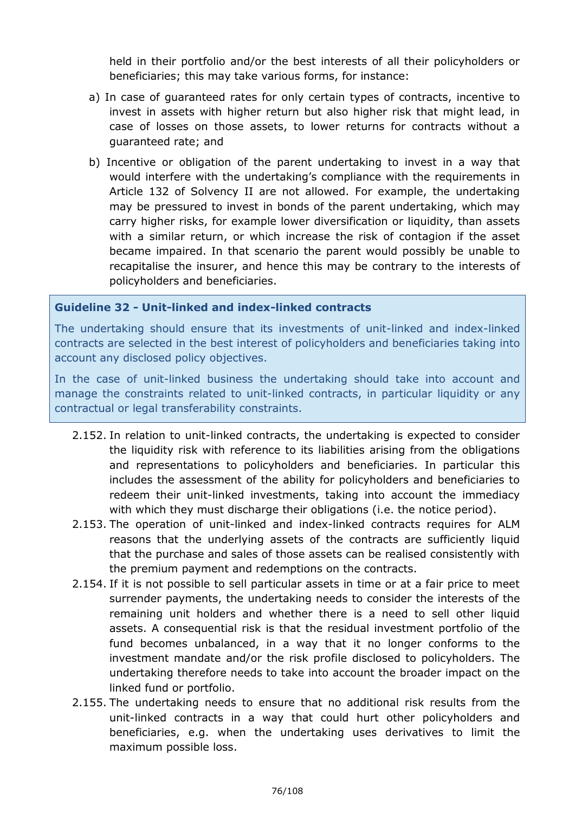held in their portfolio and/or the best interests of all their policyholders or beneficiaries; this may take various forms, for instance:

- a) In case of guaranteed rates for only certain types of contracts, incentive to invest in assets with higher return but also higher risk that might lead, in case of losses on those assets, to lower returns for contracts without a guaranteed rate; and
- b) Incentive or obligation of the parent undertaking to invest in a way that would interfere with the undertaking's compliance with the requirements in Article 132 of Solvency II are not allowed. For example, the undertaking may be pressured to invest in bonds of the parent undertaking, which may carry higher risks, for example lower diversification or liquidity, than assets with a similar return, or which increase the risk of contagion if the asset became impaired. In that scenario the parent would possibly be unable to recapitalise the insurer, and hence this may be contrary to the interests of policyholders and beneficiaries.

#### **Guideline 32 - Unit-linked and index-linked contracts**

The undertaking should ensure that its investments of unit-linked and index-linked contracts are selected in the best interest of policyholders and beneficiaries taking into account any disclosed policy objectives.

In the case of unit-linked business the undertaking should take into account and manage the constraints related to unit-linked contracts, in particular liquidity or any contractual or legal transferability constraints.

- 2.152. In relation to unit-linked contracts, the undertaking is expected to consider the liquidity risk with reference to its liabilities arising from the obligations and representations to policyholders and beneficiaries. In particular this includes the assessment of the ability for policyholders and beneficiaries to redeem their unit-linked investments, taking into account the immediacy with which they must discharge their obligations (i.e. the notice period).
- 2.153. The operation of unit-linked and index-linked contracts requires for ALM reasons that the underlying assets of the contracts are sufficiently liquid that the purchase and sales of those assets can be realised consistently with the premium payment and redemptions on the contracts.
- 2.154. If it is not possible to sell particular assets in time or at a fair price to meet surrender payments, the undertaking needs to consider the interests of the remaining unit holders and whether there is a need to sell other liquid assets. A consequential risk is that the residual investment portfolio of the fund becomes unbalanced, in a way that it no longer conforms to the investment mandate and/or the risk profile disclosed to policyholders. The undertaking therefore needs to take into account the broader impact on the linked fund or portfolio.
- 2.155. The undertaking needs to ensure that no additional risk results from the unit-linked contracts in a way that could hurt other policyholders and beneficiaries, e.g. when the undertaking uses derivatives to limit the maximum possible loss.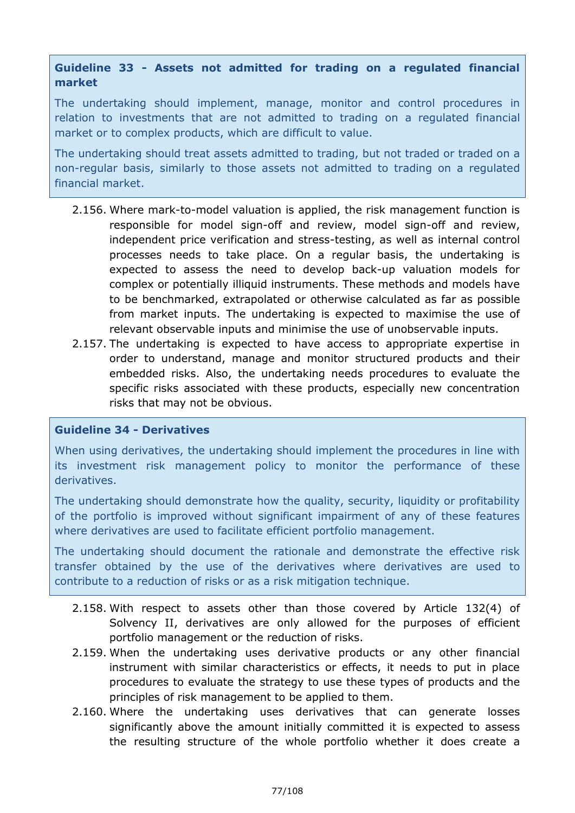## **Guideline 33 - Assets not admitted for trading on a regulated financial market**

The undertaking should implement, manage, monitor and control procedures in relation to investments that are not admitted to trading on a regulated financial market or to complex products, which are difficult to value.

The undertaking should treat assets admitted to trading, but not traded or traded on a non-regular basis, similarly to those assets not admitted to trading on a regulated financial market.

- 2.156. Where mark-to-model valuation is applied, the risk management function is responsible for model sign-off and review, model sign-off and review, independent price verification and stress-testing, as well as internal control processes needs to take place. On a regular basis, the undertaking is expected to assess the need to develop back-up valuation models for complex or potentially illiquid instruments. These methods and models have to be benchmarked, extrapolated or otherwise calculated as far as possible from market inputs. The undertaking is expected to maximise the use of relevant observable inputs and minimise the use of unobservable inputs.
- 2.157. The undertaking is expected to have access to appropriate expertise in order to understand, manage and monitor structured products and their embedded risks. Also, the undertaking needs procedures to evaluate the specific risks associated with these products, especially new concentration risks that may not be obvious.

## **Guideline 34 - Derivatives**

When using derivatives, the undertaking should implement the procedures in line with its investment risk management policy to monitor the performance of these derivatives.

The undertaking should demonstrate how the quality, security, liquidity or profitability of the portfolio is improved without significant impairment of any of these features where derivatives are used to facilitate efficient portfolio management.

The undertaking should document the rationale and demonstrate the effective risk transfer obtained by the use of the derivatives where derivatives are used to contribute to a reduction of risks or as a risk mitigation technique.

- 2.158. With respect to assets other than those covered by Article 132(4) of Solvency II, derivatives are only allowed for the purposes of efficient portfolio management or the reduction of risks.
- 2.159. When the undertaking uses derivative products or any other financial instrument with similar characteristics or effects, it needs to put in place procedures to evaluate the strategy to use these types of products and the principles of risk management to be applied to them.
- 2.160. Where the undertaking uses derivatives that can generate losses significantly above the amount initially committed it is expected to assess the resulting structure of the whole portfolio whether it does create a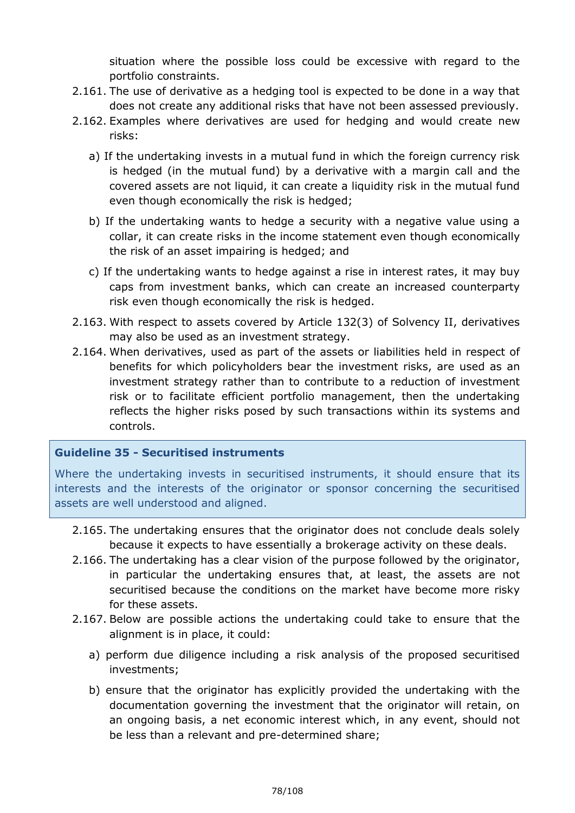situation where the possible loss could be excessive with regard to the portfolio constraints.

- 2.161. The use of derivative as a hedging tool is expected to be done in a way that does not create any additional risks that have not been assessed previously.
- 2.162. Examples where derivatives are used for hedging and would create new risks:
	- a) If the undertaking invests in a mutual fund in which the foreign currency risk is hedged (in the mutual fund) by a derivative with a margin call and the covered assets are not liquid, it can create a liquidity risk in the mutual fund even though economically the risk is hedged;
	- b) If the undertaking wants to hedge a security with a negative value using a collar, it can create risks in the income statement even though economically the risk of an asset impairing is hedged; and
	- c) If the undertaking wants to hedge against a rise in interest rates, it may buy caps from investment banks, which can create an increased counterparty risk even though economically the risk is hedged.
- 2.163. With respect to assets covered by Article 132(3) of Solvency II, derivatives may also be used as an investment strategy.
- 2.164. When derivatives, used as part of the assets or liabilities held in respect of benefits for which policyholders bear the investment risks, are used as an investment strategy rather than to contribute to a reduction of investment risk or to facilitate efficient portfolio management, then the undertaking reflects the higher risks posed by such transactions within its systems and controls.

## **Guideline 35 - Securitised instruments**

Where the undertaking invests in securitised instruments, it should ensure that its interests and the interests of the originator or sponsor concerning the securitised assets are well understood and aligned.

- 2.165. The undertaking ensures that the originator does not conclude deals solely because it expects to have essentially a brokerage activity on these deals.
- 2.166. The undertaking has a clear vision of the purpose followed by the originator, in particular the undertaking ensures that, at least, the assets are not securitised because the conditions on the market have become more risky for these assets.
- 2.167. Below are possible actions the undertaking could take to ensure that the alignment is in place, it could:
	- a) perform due diligence including a risk analysis of the proposed securitised investments;
	- b) ensure that the originator has explicitly provided the undertaking with the documentation governing the investment that the originator will retain, on an ongoing basis, a net economic interest which, in any event, should not be less than a relevant and pre-determined share;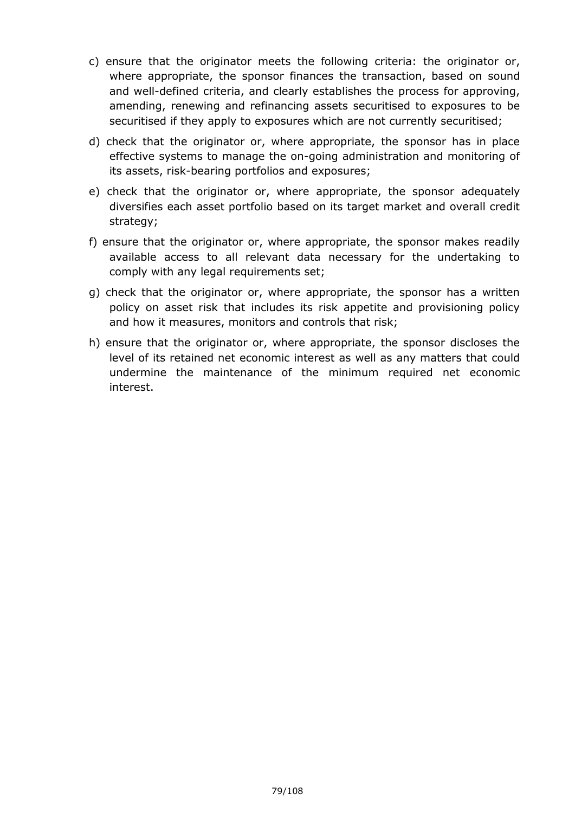- c) ensure that the originator meets the following criteria: the originator or, where appropriate, the sponsor finances the transaction, based on sound and well-defined criteria, and clearly establishes the process for approving, amending, renewing and refinancing assets securitised to exposures to be securitised if they apply to exposures which are not currently securitised;
- d) check that the originator or, where appropriate, the sponsor has in place effective systems to manage the on-going administration and monitoring of its assets, risk-bearing portfolios and exposures;
- e) check that the originator or, where appropriate, the sponsor adequately diversifies each asset portfolio based on its target market and overall credit strategy;
- f) ensure that the originator or, where appropriate, the sponsor makes readily available access to all relevant data necessary for the undertaking to comply with any legal requirements set;
- g) check that the originator or, where appropriate, the sponsor has a written policy on asset risk that includes its risk appetite and provisioning policy and how it measures, monitors and controls that risk;
- h) ensure that the originator or, where appropriate, the sponsor discloses the level of its retained net economic interest as well as any matters that could undermine the maintenance of the minimum required net economic interest.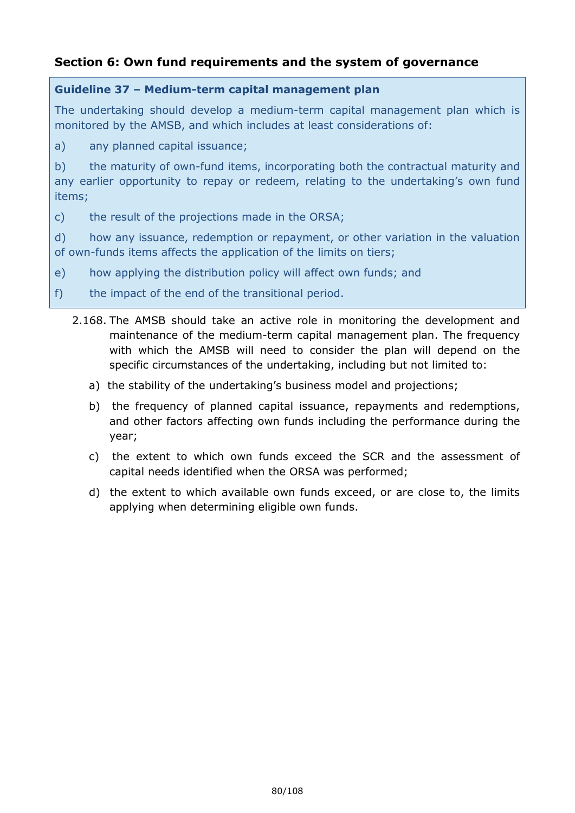# **Section 6: Own fund requirements and the system of governance**

## **Guideline 37 – Medium-term capital management plan**

The undertaking should develop a medium-term capital management plan which is monitored by the AMSB, and which includes at least considerations of:

a) any planned capital issuance;

b) the maturity of own-fund items, incorporating both the contractual maturity and any earlier opportunity to repay or redeem, relating to the undertaking's own fund items;

c) the result of the projections made in the ORSA;

d) how any issuance, redemption or repayment, or other variation in the valuation of own-funds items affects the application of the limits on tiers;

- e) how applying the distribution policy will affect own funds; and
- f) the impact of the end of the transitional period.
	- 2.168. The AMSB should take an active role in monitoring the development and maintenance of the medium-term capital management plan. The frequency with which the AMSB will need to consider the plan will depend on the specific circumstances of the undertaking, including but not limited to:
		- a) the stability of the undertaking's business model and projections;
		- b) the frequency of planned capital issuance, repayments and redemptions, and other factors affecting own funds including the performance during the year;
		- c) the extent to which own funds exceed the SCR and the assessment of capital needs identified when the ORSA was performed;
		- d) the extent to which available own funds exceed, or are close to, the limits applying when determining eligible own funds.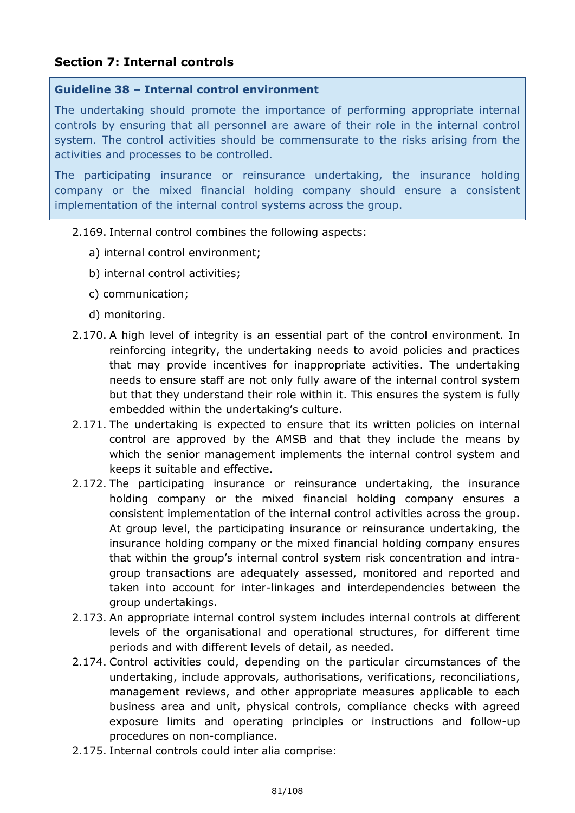# **Section 7: Internal controls**

#### **Guideline 38 – Internal control environment**

The undertaking should promote the importance of performing appropriate internal controls by ensuring that all personnel are aware of their role in the internal control system. The control activities should be commensurate to the risks arising from the activities and processes to be controlled.

The participating insurance or reinsurance undertaking, the insurance holding company or the mixed financial holding company should ensure a consistent implementation of the internal control systems across the group.

#### 2.169. Internal control combines the following aspects:

- a) internal control environment;
- b) internal control activities;
- c) communication;
- d) monitoring.
- 2.170. A high level of integrity is an essential part of the control environment. In reinforcing integrity, the undertaking needs to avoid policies and practices that may provide incentives for inappropriate activities. The undertaking needs to ensure staff are not only fully aware of the internal control system but that they understand their role within it. This ensures the system is fully embedded within the undertaking's culture.
- 2.171. The undertaking is expected to ensure that its written policies on internal control are approved by the AMSB and that they include the means by which the senior management implements the internal control system and keeps it suitable and effective.
- 2.172. The participating insurance or reinsurance undertaking, the insurance holding company or the mixed financial holding company ensures a consistent implementation of the internal control activities across the group. At group level, the participating insurance or reinsurance undertaking, the insurance holding company or the mixed financial holding company ensures that within the group's internal control system risk concentration and intragroup transactions are adequately assessed, monitored and reported and taken into account for inter-linkages and interdependencies between the group undertakings.
- 2.173. An appropriate internal control system includes internal controls at different levels of the organisational and operational structures, for different time periods and with different levels of detail, as needed.
- 2.174. Control activities could, depending on the particular circumstances of the undertaking, include approvals, authorisations, verifications, reconciliations, management reviews, and other appropriate measures applicable to each business area and unit, physical controls, compliance checks with agreed exposure limits and operating principles or instructions and follow-up procedures on non-compliance.
- 2.175. Internal controls could inter alia comprise: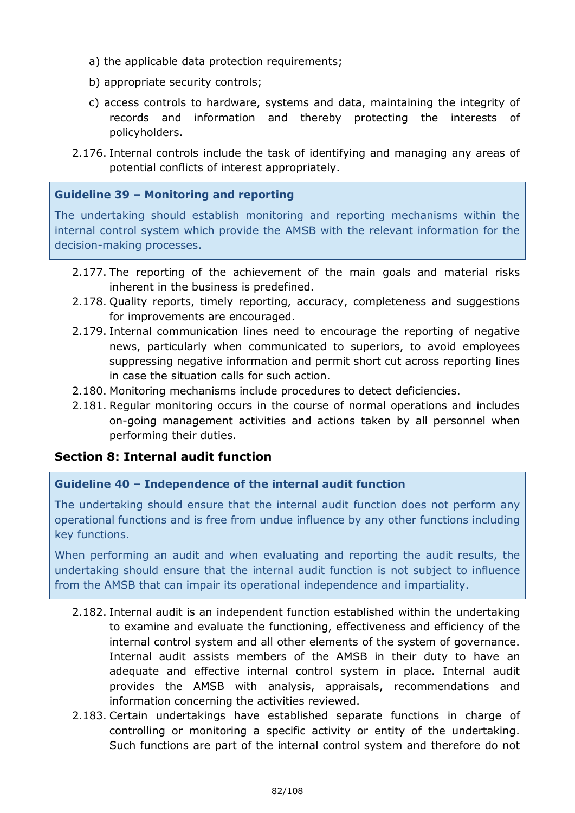- a) the applicable data protection requirements;
- b) appropriate security controls;
- c) access controls to hardware, systems and data, maintaining the integrity of records and information and thereby protecting the interests of policyholders.
- 2.176. Internal controls include the task of identifying and managing any areas of potential conflicts of interest appropriately.

### **Guideline 39 – Monitoring and reporting**

The undertaking should establish monitoring and reporting mechanisms within the internal control system which provide the AMSB with the relevant information for the decision-making processes.

- 2.177. The reporting of the achievement of the main goals and material risks inherent in the business is predefined.
- 2.178. Quality reports, timely reporting, accuracy, completeness and suggestions for improvements are encouraged.
- 2.179. Internal communication lines need to encourage the reporting of negative news, particularly when communicated to superiors, to avoid employees suppressing negative information and permit short cut across reporting lines in case the situation calls for such action.
- 2.180. Monitoring mechanisms include procedures to detect deficiencies.
- 2.181. Regular monitoring occurs in the course of normal operations and includes on-going management activities and actions taken by all personnel when performing their duties.

## **Section 8: Internal audit function**

## **Guideline 40 – Independence of the internal audit function**

The undertaking should ensure that the internal audit function does not perform any operational functions and is free from undue influence by any other functions including key functions.

When performing an audit and when evaluating and reporting the audit results, the undertaking should ensure that the internal audit function is not subject to influence from the AMSB that can impair its operational independence and impartiality.

- 2.182. Internal audit is an independent function established within the undertaking to examine and evaluate the functioning, effectiveness and efficiency of the internal control system and all other elements of the system of governance. Internal audit assists members of the AMSB in their duty to have an adequate and effective internal control system in place. Internal audit provides the AMSB with analysis, appraisals, recommendations and information concerning the activities reviewed.
- 2.183. Certain undertakings have established separate functions in charge of controlling or monitoring a specific activity or entity of the undertaking. Such functions are part of the internal control system and therefore do not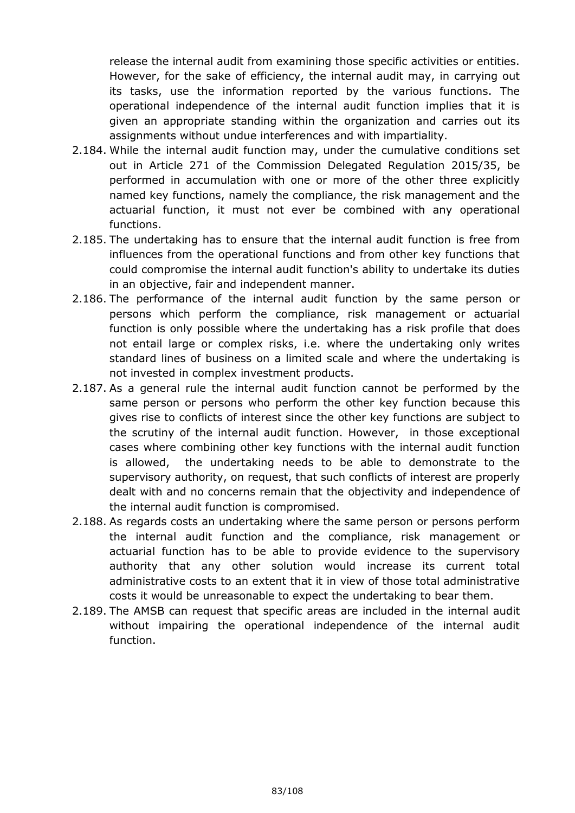release the internal audit from examining those specific activities or entities. However, for the sake of efficiency, the internal audit may, in carrying out its tasks, use the information reported by the various functions. The operational independence of the internal audit function implies that it is given an appropriate standing within the organization and carries out its assignments without undue interferences and with impartiality.

- 2.184. While the internal audit function may, under the cumulative conditions set out in Article 271 of the Commission Delegated Regulation 2015/35, be performed in accumulation with one or more of the other three explicitly named key functions, namely the compliance, the risk management and the actuarial function, it must not ever be combined with any operational functions.
- 2.185. The undertaking has to ensure that the internal audit function is free from influences from the operational functions and from other key functions that could compromise the internal audit function's ability to undertake its duties in an objective, fair and independent manner.
- 2.186. The performance of the internal audit function by the same person or persons which perform the compliance, risk management or actuarial function is only possible where the undertaking has a risk profile that does not entail large or complex risks, i.e. where the undertaking only writes standard lines of business on a limited scale and where the undertaking is not invested in complex investment products.
- 2.187. As a general rule the internal audit function cannot be performed by the same person or persons who perform the other key function because this gives rise to conflicts of interest since the other key functions are subject to the scrutiny of the internal audit function. However, in those exceptional cases where combining other key functions with the internal audit function is allowed, the undertaking needs to be able to demonstrate to the supervisory authority, on request, that such conflicts of interest are properly dealt with and no concerns remain that the objectivity and independence of the internal audit function is compromised.
- 2.188. As regards costs an undertaking where the same person or persons perform the internal audit function and the compliance, risk management or actuarial function has to be able to provide evidence to the supervisory authority that any other solution would increase its current total administrative costs to an extent that it in view of those total administrative costs it would be unreasonable to expect the undertaking to bear them.
- 2.189. The AMSB can request that specific areas are included in the internal audit without impairing the operational independence of the internal audit function.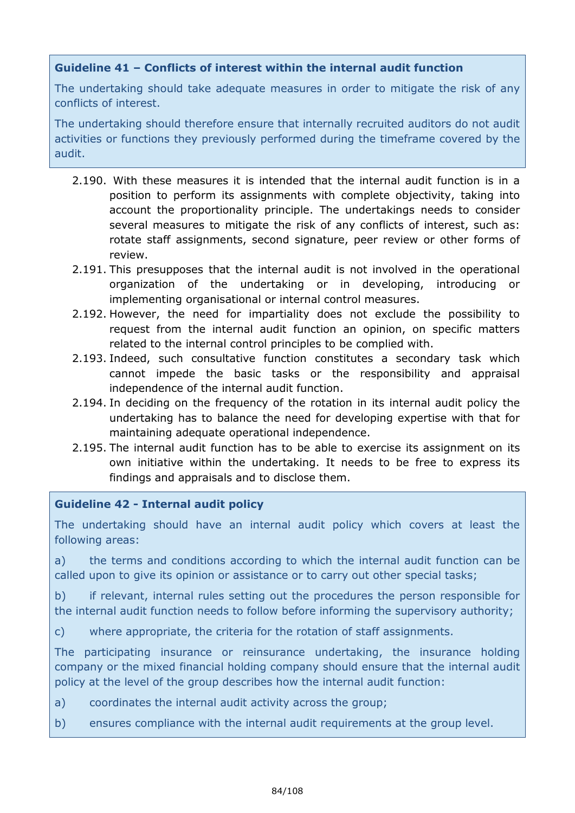## **Guideline 41 – Conflicts of interest within the internal audit function**

The undertaking should take adequate measures in order to mitigate the risk of any conflicts of interest.

The undertaking should therefore ensure that internally recruited auditors do not audit activities or functions they previously performed during the timeframe covered by the audit.

- 2.190. With these measures it is intended that the internal audit function is in a position to perform its assignments with complete objectivity, taking into account the proportionality principle. The undertakings needs to consider several measures to mitigate the risk of any conflicts of interest, such as: rotate staff assignments, second signature, peer review or other forms of review.
- 2.191. This presupposes that the internal audit is not involved in the operational organization of the undertaking or in developing, introducing or implementing organisational or internal control measures.
- 2.192. However, the need for impartiality does not exclude the possibility to request from the internal audit function an opinion, on specific matters related to the internal control principles to be complied with.
- 2.193. Indeed, such consultative function constitutes a secondary task which cannot impede the basic tasks or the responsibility and appraisal independence of the internal audit function.
- 2.194. In deciding on the frequency of the rotation in its internal audit policy the undertaking has to balance the need for developing expertise with that for maintaining adequate operational independence.
- 2.195. The internal audit function has to be able to exercise its assignment on its own initiative within the undertaking. It needs to be free to express its findings and appraisals and to disclose them.

## **Guideline 42 - Internal audit policy**

The undertaking should have an internal audit policy which covers at least the following areas:

a) the terms and conditions according to which the internal audit function can be called upon to give its opinion or assistance or to carry out other special tasks;

b) if relevant, internal rules setting out the procedures the person responsible for the internal audit function needs to follow before informing the supervisory authority;

c) where appropriate, the criteria for the rotation of staff assignments.

The participating insurance or reinsurance undertaking, the insurance holding company or the mixed financial holding company should ensure that the internal audit policy at the level of the group describes how the internal audit function:

a) coordinates the internal audit activity across the group;

b) ensures compliance with the internal audit requirements at the group level.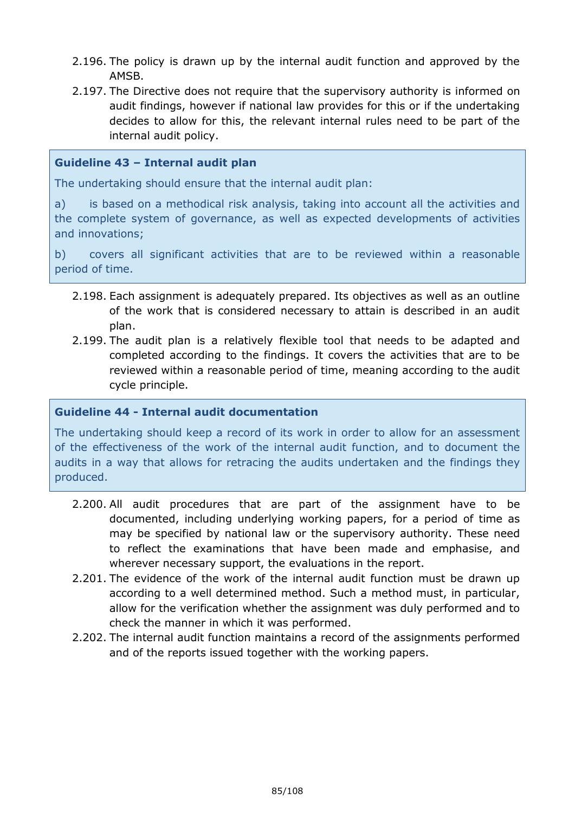- 2.196. The policy is drawn up by the internal audit function and approved by the AMSB.
- 2.197. The Directive does not require that the supervisory authority is informed on audit findings, however if national law provides for this or if the undertaking decides to allow for this, the relevant internal rules need to be part of the internal audit policy.

## **Guideline 43 – Internal audit plan**

The undertaking should ensure that the internal audit plan:

a) is based on a methodical risk analysis, taking into account all the activities and the complete system of governance, as well as expected developments of activities and innovations;

b) covers all significant activities that are to be reviewed within a reasonable period of time.

- 2.198. Each assignment is adequately prepared. Its objectives as well as an outline of the work that is considered necessary to attain is described in an audit plan.
- 2.199. The audit plan is a relatively flexible tool that needs to be adapted and completed according to the findings. It covers the activities that are to be reviewed within a reasonable period of time, meaning according to the audit cycle principle.

#### **Guideline 44 - Internal audit documentation**

The undertaking should keep a record of its work in order to allow for an assessment of the effectiveness of the work of the internal audit function, and to document the audits in a way that allows for retracing the audits undertaken and the findings they produced.

- 2.200. All audit procedures that are part of the assignment have to be documented, including underlying working papers, for a period of time as may be specified by national law or the supervisory authority. These need to reflect the examinations that have been made and emphasise, and wherever necessary support, the evaluations in the report.
- 2.201. The evidence of the work of the internal audit function must be drawn up according to a well determined method. Such a method must, in particular, allow for the verification whether the assignment was duly performed and to check the manner in which it was performed.
- 2.202. The internal audit function maintains a record of the assignments performed and of the reports issued together with the working papers.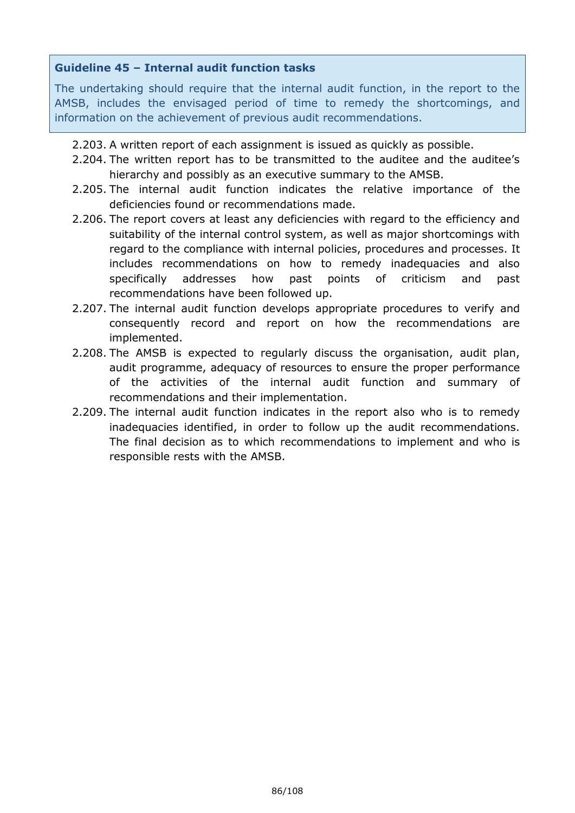## **Guideline 45 – Internal audit function tasks**

The undertaking should require that the internal audit function, in the report to the AMSB, includes the envisaged period of time to remedy the shortcomings, and information on the achievement of previous audit recommendations.

- 2.203. A written report of each assignment is issued as quickly as possible.
- 2.204. The written report has to be transmitted to the auditee and the auditee's hierarchy and possibly as an executive summary to the AMSB.
- 2.205. The internal audit function indicates the relative importance of the deficiencies found or recommendations made.
- 2.206. The report covers at least any deficiencies with regard to the efficiency and suitability of the internal control system, as well as major shortcomings with regard to the compliance with internal policies, procedures and processes. It includes recommendations on how to remedy inadequacies and also specifically addresses how past points of criticism and past recommendations have been followed up.
- 2.207. The internal audit function develops appropriate procedures to verify and consequently record and report on how the recommendations are implemented.
- 2.208. The AMSB is expected to regularly discuss the organisation, audit plan, audit programme, adequacy of resources to ensure the proper performance of the activities of the internal audit function and summary of recommendations and their implementation.
- 2.209. The internal audit function indicates in the report also who is to remedy inadequacies identified, in order to follow up the audit recommendations. The final decision as to which recommendations to implement and who is responsible rests with the AMSB.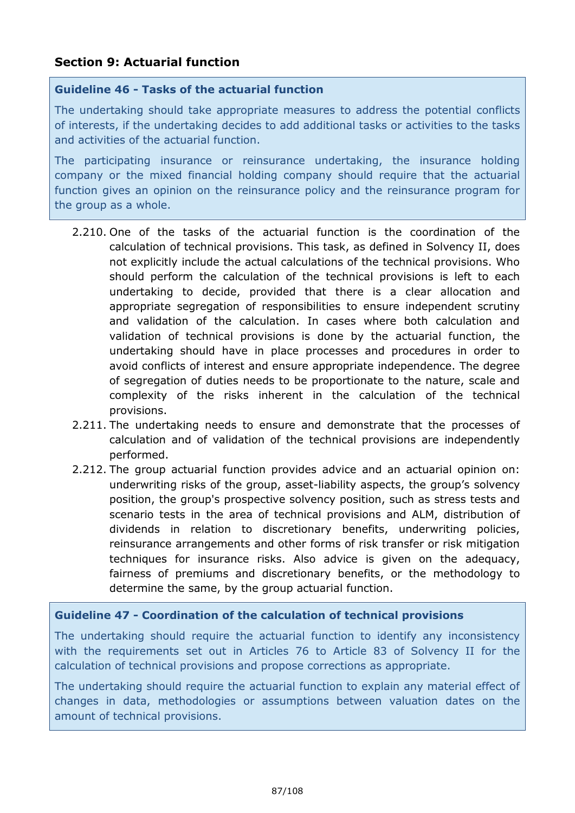## **Section 9: Actuarial function**

### **Guideline 46 - Tasks of the actuarial function**

The undertaking should take appropriate measures to address the potential conflicts of interests, if the undertaking decides to add additional tasks or activities to the tasks and activities of the actuarial function.

The participating insurance or reinsurance undertaking, the insurance holding company or the mixed financial holding company should require that the actuarial function gives an opinion on the reinsurance policy and the reinsurance program for the group as a whole.

- 2.210. One of the tasks of the actuarial function is the coordination of the calculation of technical provisions. This task, as defined in Solvency II, does not explicitly include the actual calculations of the technical provisions. Who should perform the calculation of the technical provisions is left to each undertaking to decide, provided that there is a clear allocation and appropriate segregation of responsibilities to ensure independent scrutiny and validation of the calculation. In cases where both calculation and validation of technical provisions is done by the actuarial function, the undertaking should have in place processes and procedures in order to avoid conflicts of interest and ensure appropriate independence. The degree of segregation of duties needs to be proportionate to the nature, scale and complexity of the risks inherent in the calculation of the technical provisions.
- 2.211. The undertaking needs to ensure and demonstrate that the processes of calculation and of validation of the technical provisions are independently performed.
- 2.212. The group actuarial function provides advice and an actuarial opinion on: underwriting risks of the group, asset-liability aspects, the group's solvency position, the group's prospective solvency position, such as stress tests and scenario tests in the area of technical provisions and ALM, distribution of dividends in relation to discretionary benefits, underwriting policies, reinsurance arrangements and other forms of risk transfer or risk mitigation techniques for insurance risks. Also advice is given on the adequacy, fairness of premiums and discretionary benefits, or the methodology to determine the same, by the group actuarial function.

## **Guideline 47 - Coordination of the calculation of technical provisions**

The undertaking should require the actuarial function to identify any inconsistency with the requirements set out in Articles 76 to Article 83 of Solvency II for the calculation of technical provisions and propose corrections as appropriate.

The undertaking should require the actuarial function to explain any material effect of changes in data, methodologies or assumptions between valuation dates on the amount of technical provisions.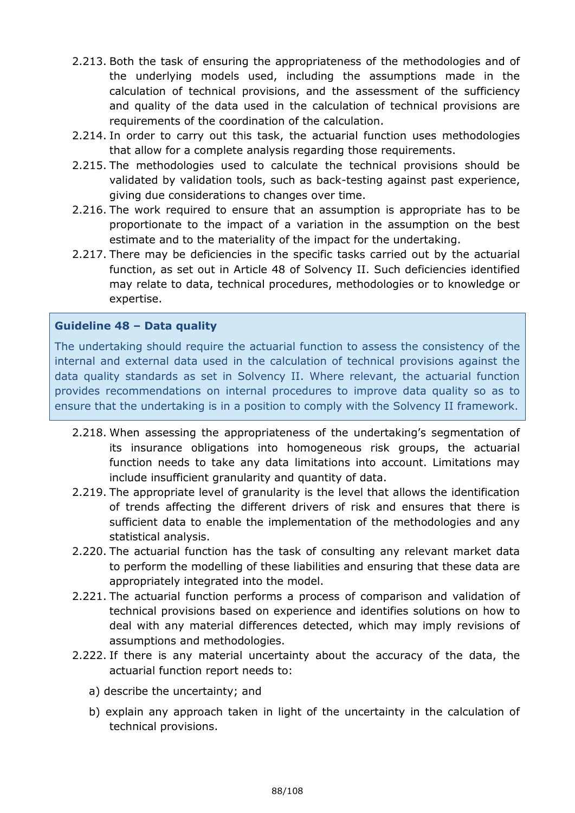- 2.213. Both the task of ensuring the appropriateness of the methodologies and of the underlying models used, including the assumptions made in the calculation of technical provisions, and the assessment of the sufficiency and quality of the data used in the calculation of technical provisions are requirements of the coordination of the calculation.
- 2.214. In order to carry out this task, the actuarial function uses methodologies that allow for a complete analysis regarding those requirements.
- 2.215. The methodologies used to calculate the technical provisions should be validated by validation tools, such as back-testing against past experience, giving due considerations to changes over time.
- 2.216. The work required to ensure that an assumption is appropriate has to be proportionate to the impact of a variation in the assumption on the best estimate and to the materiality of the impact for the undertaking.
- 2.217. There may be deficiencies in the specific tasks carried out by the actuarial function, as set out in Article 48 of Solvency II. Such deficiencies identified may relate to data, technical procedures, methodologies or to knowledge or expertise.

## **Guideline 48 – Data quality**

The undertaking should require the actuarial function to assess the consistency of the internal and external data used in the calculation of technical provisions against the data quality standards as set in Solvency II. Where relevant, the actuarial function provides recommendations on internal procedures to improve data quality so as to ensure that the undertaking is in a position to comply with the Solvency II framework.

- 2.218. When assessing the appropriateness of the undertaking's segmentation of its insurance obligations into homogeneous risk groups, the actuarial function needs to take any data limitations into account. Limitations may include insufficient granularity and quantity of data.
- 2.219. The appropriate level of granularity is the level that allows the identification of trends affecting the different drivers of risk and ensures that there is sufficient data to enable the implementation of the methodologies and any statistical analysis.
- 2.220. The actuarial function has the task of consulting any relevant market data to perform the modelling of these liabilities and ensuring that these data are appropriately integrated into the model.
- 2.221. The actuarial function performs a process of comparison and validation of technical provisions based on experience and identifies solutions on how to deal with any material differences detected, which may imply revisions of assumptions and methodologies.
- 2.222. If there is any material uncertainty about the accuracy of the data, the actuarial function report needs to:
	- a) describe the uncertainty; and
	- b) explain any approach taken in light of the uncertainty in the calculation of technical provisions.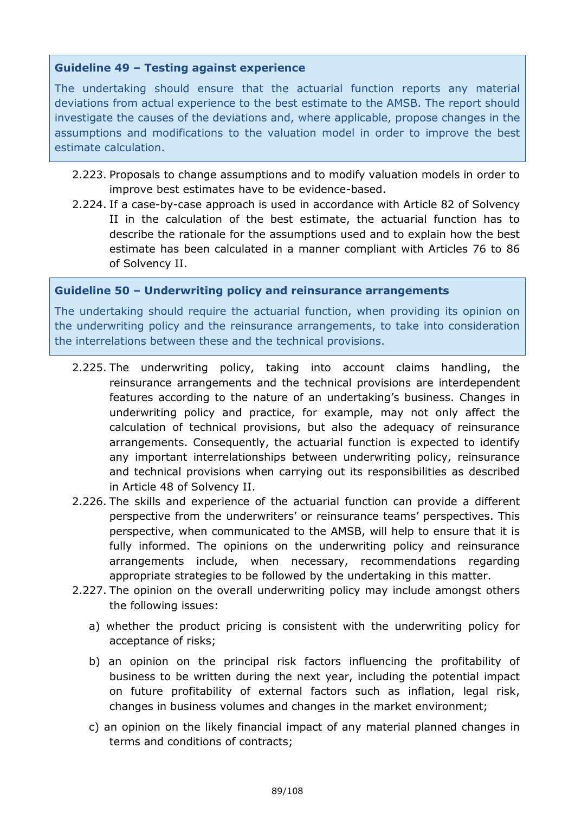### **Guideline 49 – Testing against experience**

The undertaking should ensure that the actuarial function reports any material deviations from actual experience to the best estimate to the AMSB. The report should investigate the causes of the deviations and, where applicable, propose changes in the assumptions and modifications to the valuation model in order to improve the best estimate calculation.

- 2.223. Proposals to change assumptions and to modify valuation models in order to improve best estimates have to be evidence-based.
- 2.224. If a case-by-case approach is used in accordance with Article 82 of Solvency II in the calculation of the best estimate, the actuarial function has to describe the rationale for the assumptions used and to explain how the best estimate has been calculated in a manner compliant with Articles 76 to 86 of Solvency II.

#### **Guideline 50 – Underwriting policy and reinsurance arrangements**

The undertaking should require the actuarial function, when providing its opinion on the underwriting policy and the reinsurance arrangements, to take into consideration the interrelations between these and the technical provisions.

- 2.225. The underwriting policy, taking into account claims handling, the reinsurance arrangements and the technical provisions are interdependent features according to the nature of an undertaking's business. Changes in underwriting policy and practice, for example, may not only affect the calculation of technical provisions, but also the adequacy of reinsurance arrangements. Consequently, the actuarial function is expected to identify any important interrelationships between underwriting policy, reinsurance and technical provisions when carrying out its responsibilities as described in Article 48 of Solvency II.
- 2.226. The skills and experience of the actuarial function can provide a different perspective from the underwriters' or reinsurance teams' perspectives. This perspective, when communicated to the AMSB, will help to ensure that it is fully informed. The opinions on the underwriting policy and reinsurance arrangements include, when necessary, recommendations regarding appropriate strategies to be followed by the undertaking in this matter.
- 2.227. The opinion on the overall underwriting policy may include amongst others the following issues:
	- a) whether the product pricing is consistent with the underwriting policy for acceptance of risks;
	- b) an opinion on the principal risk factors influencing the profitability of business to be written during the next year, including the potential impact on future profitability of external factors such as inflation, legal risk, changes in business volumes and changes in the market environment;
	- c) an opinion on the likely financial impact of any material planned changes in terms and conditions of contracts;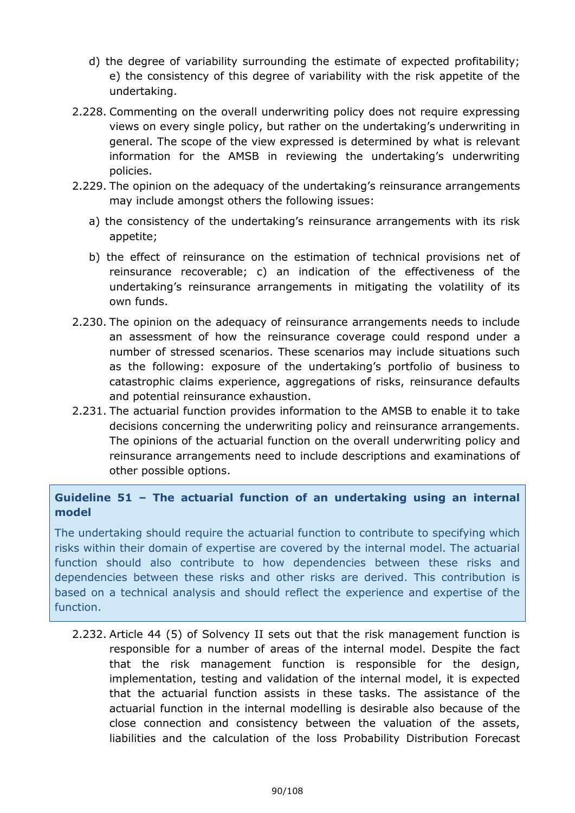- d) the degree of variability surrounding the estimate of expected profitability; e) the consistency of this degree of variability with the risk appetite of the undertaking.
- 2.228. Commenting on the overall underwriting policy does not require expressing views on every single policy, but rather on the undertaking's underwriting in general. The scope of the view expressed is determined by what is relevant information for the AMSB in reviewing the undertaking's underwriting policies.
- 2.229. The opinion on the adequacy of the undertaking's reinsurance arrangements may include amongst others the following issues:
	- a) the consistency of the undertaking's reinsurance arrangements with its risk appetite;
	- b) the effect of reinsurance on the estimation of technical provisions net of reinsurance recoverable; c) an indication of the effectiveness of the undertaking's reinsurance arrangements in mitigating the volatility of its own funds.
- 2.230. The opinion on the adequacy of reinsurance arrangements needs to include an assessment of how the reinsurance coverage could respond under a number of stressed scenarios. These scenarios may include situations such as the following: exposure of the undertaking's portfolio of business to catastrophic claims experience, aggregations of risks, reinsurance defaults and potential reinsurance exhaustion.
- 2.231. The actuarial function provides information to the AMSB to enable it to take decisions concerning the underwriting policy and reinsurance arrangements. The opinions of the actuarial function on the overall underwriting policy and reinsurance arrangements need to include descriptions and examinations of other possible options.

## **Guideline 51 – The actuarial function of an undertaking using an internal model**

The undertaking should require the actuarial function to contribute to specifying which risks within their domain of expertise are covered by the internal model. The actuarial function should also contribute to how dependencies between these risks and dependencies between these risks and other risks are derived. This contribution is based on a technical analysis and should reflect the experience and expertise of the function.

2.232. Article 44 (5) of Solvency II sets out that the risk management function is responsible for a number of areas of the internal model. Despite the fact that the risk management function is responsible for the design, implementation, testing and validation of the internal model, it is expected that the actuarial function assists in these tasks. The assistance of the actuarial function in the internal modelling is desirable also because of the close connection and consistency between the valuation of the assets, liabilities and the calculation of the loss Probability Distribution Forecast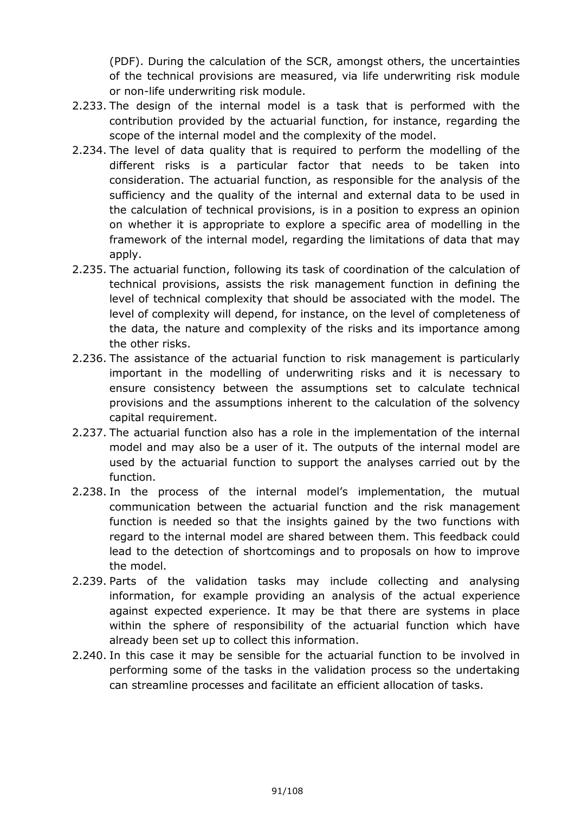(PDF). During the calculation of the SCR, amongst others, the uncertainties of the technical provisions are measured, via life underwriting risk module or non-life underwriting risk module.

- 2.233. The design of the internal model is a task that is performed with the contribution provided by the actuarial function, for instance, regarding the scope of the internal model and the complexity of the model.
- 2.234. The level of data quality that is required to perform the modelling of the different risks is a particular factor that needs to be taken into consideration. The actuarial function, as responsible for the analysis of the sufficiency and the quality of the internal and external data to be used in the calculation of technical provisions, is in a position to express an opinion on whether it is appropriate to explore a specific area of modelling in the framework of the internal model, regarding the limitations of data that may apply.
- 2.235. The actuarial function, following its task of coordination of the calculation of technical provisions, assists the risk management function in defining the level of technical complexity that should be associated with the model. The level of complexity will depend, for instance, on the level of completeness of the data, the nature and complexity of the risks and its importance among the other risks.
- 2.236. The assistance of the actuarial function to risk management is particularly important in the modelling of underwriting risks and it is necessary to ensure consistency between the assumptions set to calculate technical provisions and the assumptions inherent to the calculation of the solvency capital requirement.
- 2.237. The actuarial function also has a role in the implementation of the internal model and may also be a user of it. The outputs of the internal model are used by the actuarial function to support the analyses carried out by the function.
- 2.238. In the process of the internal model's implementation, the mutual communication between the actuarial function and the risk management function is needed so that the insights gained by the two functions with regard to the internal model are shared between them. This feedback could lead to the detection of shortcomings and to proposals on how to improve the model.
- 2.239. Parts of the validation tasks may include collecting and analysing information, for example providing an analysis of the actual experience against expected experience. It may be that there are systems in place within the sphere of responsibility of the actuarial function which have already been set up to collect this information.
- 2.240. In this case it may be sensible for the actuarial function to be involved in performing some of the tasks in the validation process so the undertaking can streamline processes and facilitate an efficient allocation of tasks.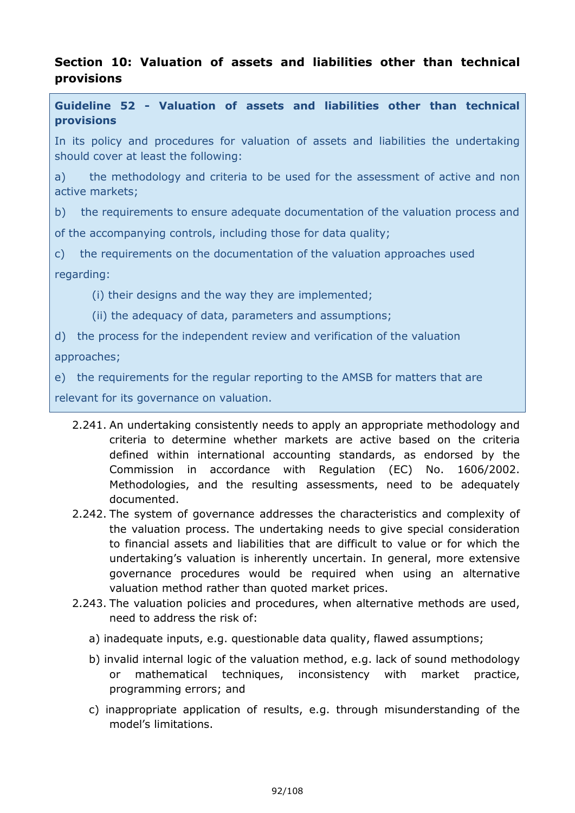# **Section 10: Valuation of assets and liabilities other than technical provisions**

**Guideline 52 - Valuation of assets and liabilities other than technical provisions**

In its policy and procedures for valuation of assets and liabilities the undertaking should cover at least the following:

a) the methodology and criteria to be used for the assessment of active and non active markets;

b) the requirements to ensure adequate documentation of the valuation process and of the accompanying controls, including those for data quality;

c) the requirements on the documentation of the valuation approaches used regarding:

(i) their designs and the way they are implemented;

(ii) the adequacy of data, parameters and assumptions;

d) the process for the independent review and verification of the valuation

approaches;

e) the requirements for the regular reporting to the AMSB for matters that are

relevant for its governance on valuation.

- 2.241. An undertaking consistently needs to apply an appropriate methodology and criteria to determine whether markets are active based on the criteria defined within international accounting standards, as endorsed by the Commission in accordance with Regulation (EC) No. 1606/2002. Methodologies, and the resulting assessments, need to be adequately documented.
- 2.242. The system of governance addresses the characteristics and complexity of the valuation process. The undertaking needs to give special consideration to financial assets and liabilities that are difficult to value or for which the undertaking's valuation is inherently uncertain. In general, more extensive governance procedures would be required when using an alternative valuation method rather than quoted market prices.
- 2.243. The valuation policies and procedures, when alternative methods are used, need to address the risk of:
	- a) inadequate inputs, e.g. questionable data quality, flawed assumptions;
	- b) invalid internal logic of the valuation method, e.g. lack of sound methodology or mathematical techniques, inconsistency with market practice, programming errors; and
	- c) inappropriate application of results, e.g. through misunderstanding of the model's limitations.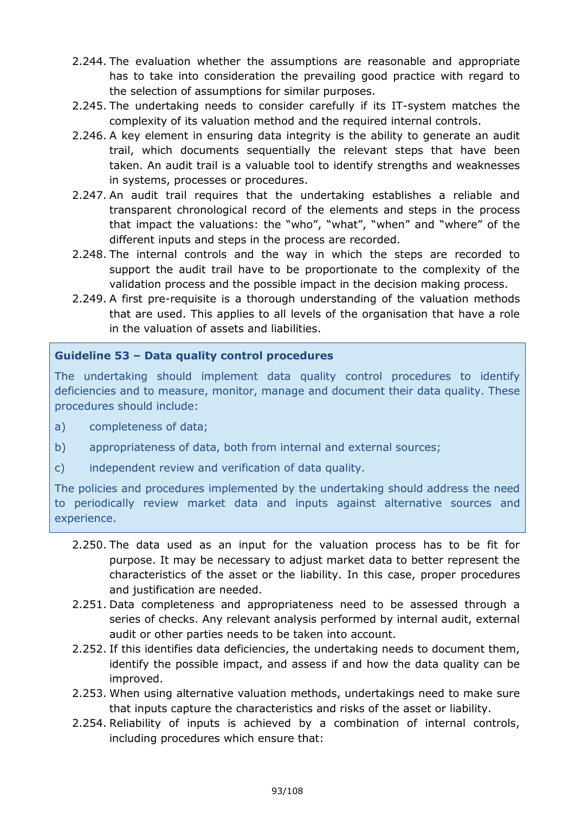- 2.244. The evaluation whether the assumptions are reasonable and appropriate has to take into consideration the prevailing good practice with regard to the selection of assumptions for similar purposes.
- 2.245. The undertaking needs to consider carefully if its IT-system matches the complexity of its valuation method and the required internal controls.
- 2.246. A key element in ensuring data integrity is the ability to generate an audit trail, which documents sequentially the relevant steps that have been taken. An audit trail is a valuable tool to identify strengths and weaknesses in systems, processes or procedures.
- 2.247. An audit trail requires that the undertaking establishes a reliable and transparent chronological record of the elements and steps in the process that impact the valuations: the "who", "what", "when" and "where" of the different inputs and steps in the process are recorded.
- 2.248. The internal controls and the way in which the steps are recorded to support the audit trail have to be proportionate to the complexity of the validation process and the possible impact in the decision making process.
- 2.249. A first pre-requisite is a thorough understanding of the valuation methods that are used. This applies to all levels of the organisation that have a role in the valuation of assets and liabilities.

## **Guideline 53 – Data quality control procedures**

The undertaking should implement data quality control procedures to identify deficiencies and to measure, monitor, manage and document their data quality. These procedures should include:

- a) completeness of data;
- b) appropriateness of data, both from internal and external sources;
- c) independent review and verification of data quality.

The policies and procedures implemented by the undertaking should address the need to periodically review market data and inputs against alternative sources and experience.

- 2.250. The data used as an input for the valuation process has to be fit for purpose. It may be necessary to adjust market data to better represent the characteristics of the asset or the liability. In this case, proper procedures and justification are needed.
- 2.251. Data completeness and appropriateness need to be assessed through a series of checks. Any relevant analysis performed by internal audit, external audit or other parties needs to be taken into account.
- 2.252. If this identifies data deficiencies, the undertaking needs to document them, identify the possible impact, and assess if and how the data quality can be improved.
- 2.253. When using alternative valuation methods, undertakings need to make sure that inputs capture the characteristics and risks of the asset or liability.
- 2.254. Reliability of inputs is achieved by a combination of internal controls, including procedures which ensure that: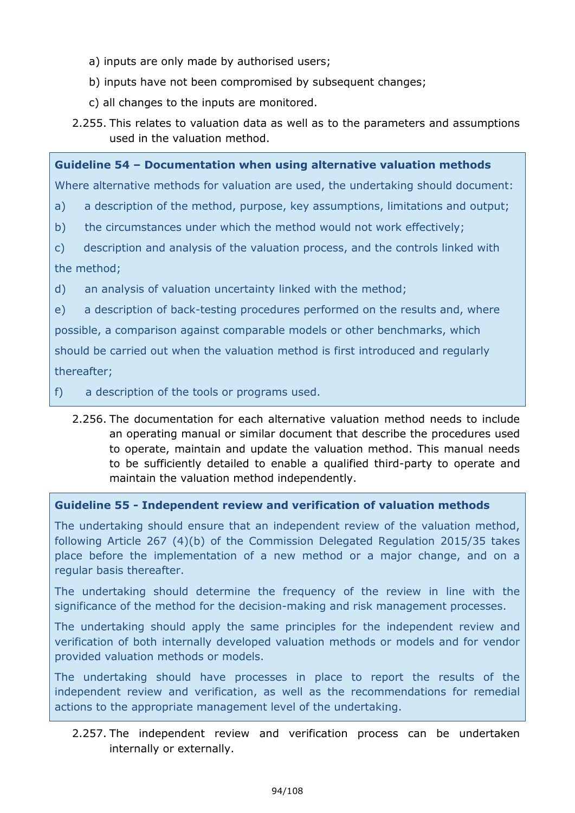- a) inputs are only made by authorised users;
- b) inputs have not been compromised by subsequent changes;
- c) all changes to the inputs are monitored.
- 2.255. This relates to valuation data as well as to the parameters and assumptions used in the valuation method.

**Guideline 54 – Documentation when using alternative valuation methods**

Where alternative methods for valuation are used, the undertaking should document:

- a) a description of the method, purpose, key assumptions, limitations and output;
- b) the circumstances under which the method would not work effectively;
- c) description and analysis of the valuation process, and the controls linked with the method;

d) an analysis of valuation uncertainty linked with the method;

e) a description of back-testing procedures performed on the results and, where

possible, a comparison against comparable models or other benchmarks, which

should be carried out when the valuation method is first introduced and regularly thereafter;

f) a description of the tools or programs used.

2.256. The documentation for each alternative valuation method needs to include an operating manual or similar document that describe the procedures used to operate, maintain and update the valuation method. This manual needs to be sufficiently detailed to enable a qualified third-party to operate and maintain the valuation method independently.

**Guideline 55 - Independent review and verification of valuation methods**

The undertaking should ensure that an independent review of the valuation method, following Article 267 (4)(b) of the Commission Delegated Regulation 2015/35 takes place before the implementation of a new method or a major change, and on a regular basis thereafter.

The undertaking should determine the frequency of the review in line with the significance of the method for the decision-making and risk management processes.

The undertaking should apply the same principles for the independent review and verification of both internally developed valuation methods or models and for vendor provided valuation methods or models.

The undertaking should have processes in place to report the results of the independent review and verification, as well as the recommendations for remedial actions to the appropriate management level of the undertaking.

2.257. The independent review and verification process can be undertaken internally or externally.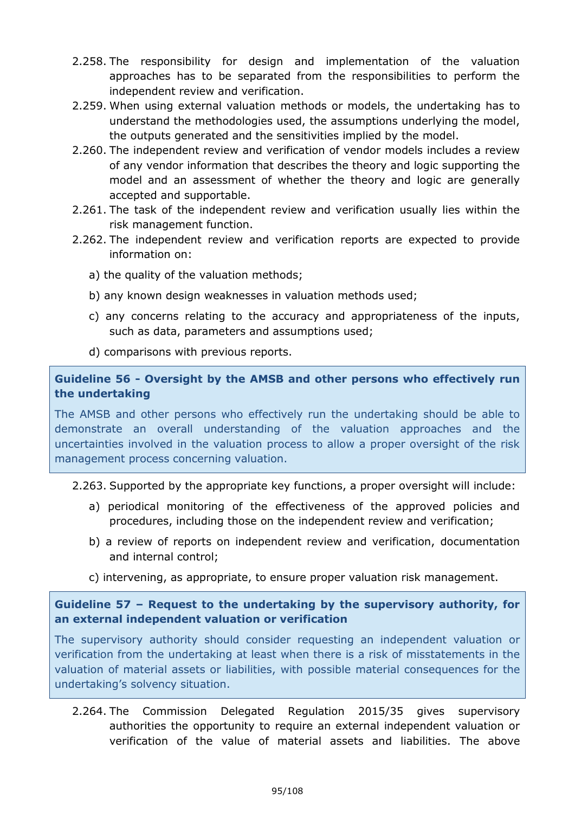- 2.258. The responsibility for design and implementation of the valuation approaches has to be separated from the responsibilities to perform the independent review and verification.
- 2.259. When using external valuation methods or models, the undertaking has to understand the methodologies used, the assumptions underlying the model, the outputs generated and the sensitivities implied by the model.
- 2.260. The independent review and verification of vendor models includes a review of any vendor information that describes the theory and logic supporting the model and an assessment of whether the theory and logic are generally accepted and supportable.
- 2.261. The task of the independent review and verification usually lies within the risk management function.
- 2.262. The independent review and verification reports are expected to provide information on:
	- a) the quality of the valuation methods;
	- b) any known design weaknesses in valuation methods used;
	- c) any concerns relating to the accuracy and appropriateness of the inputs, such as data, parameters and assumptions used;
	- d) comparisons with previous reports.

## **Guideline 56 - Oversight by the AMSB and other persons who effectively run the undertaking**

The AMSB and other persons who effectively run the undertaking should be able to demonstrate an overall understanding of the valuation approaches and the uncertainties involved in the valuation process to allow a proper oversight of the risk management process concerning valuation.

## 2.263. Supported by the appropriate key functions, a proper oversight will include:

- a) periodical monitoring of the effectiveness of the approved policies and procedures, including those on the independent review and verification;
- b) a review of reports on independent review and verification, documentation and internal control;
- c) intervening, as appropriate, to ensure proper valuation risk management.

## **Guideline 57 – Request to the undertaking by the supervisory authority, for an external independent valuation or verification**

The supervisory authority should consider requesting an independent valuation or verification from the undertaking at least when there is a risk of misstatements in the valuation of material assets or liabilities, with possible material consequences for the undertaking's solvency situation.

2.264. The Commission Delegated Regulation 2015/35 gives supervisory authorities the opportunity to require an external independent valuation or verification of the value of material assets and liabilities. The above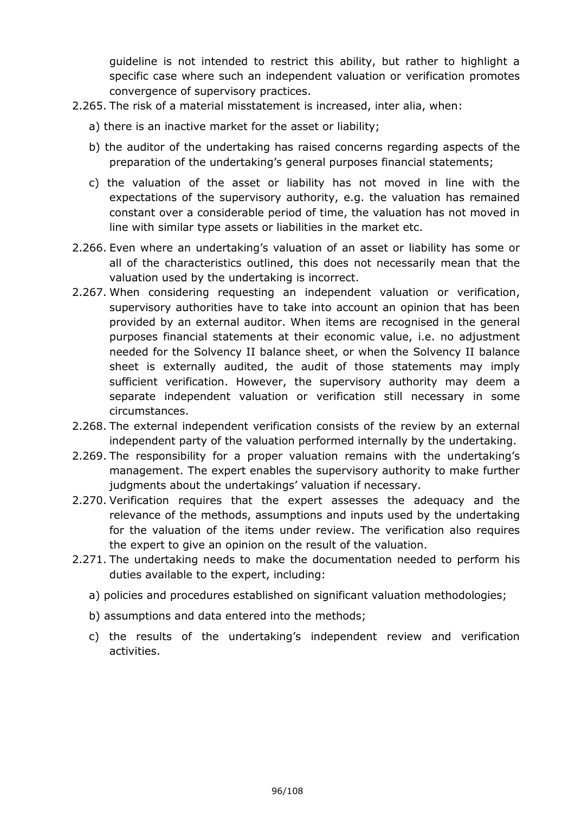guideline is not intended to restrict this ability, but rather to highlight a specific case where such an independent valuation or verification promotes convergence of supervisory practices.

- 2.265. The risk of a material misstatement is increased, inter alia, when:
	- a) there is an inactive market for the asset or liability;
	- b) the auditor of the undertaking has raised concerns regarding aspects of the preparation of the undertaking's general purposes financial statements;
	- c) the valuation of the asset or liability has not moved in line with the expectations of the supervisory authority, e.g. the valuation has remained constant over a considerable period of time, the valuation has not moved in line with similar type assets or liabilities in the market etc.
- 2.266. Even where an undertaking's valuation of an asset or liability has some or all of the characteristics outlined, this does not necessarily mean that the valuation used by the undertaking is incorrect.
- 2.267. When considering requesting an independent valuation or verification, supervisory authorities have to take into account an opinion that has been provided by an external auditor. When items are recognised in the general purposes financial statements at their economic value, i.e. no adjustment needed for the Solvency II balance sheet, or when the Solvency II balance sheet is externally audited, the audit of those statements may imply sufficient verification. However, the supervisory authority may deem a separate independent valuation or verification still necessary in some circumstances.
- 2.268. The external independent verification consists of the review by an external independent party of the valuation performed internally by the undertaking.
- 2.269. The responsibility for a proper valuation remains with the undertaking's management. The expert enables the supervisory authority to make further judgments about the undertakings' valuation if necessary.
- 2.270. Verification requires that the expert assesses the adequacy and the relevance of the methods, assumptions and inputs used by the undertaking for the valuation of the items under review. The verification also requires the expert to give an opinion on the result of the valuation.
- 2.271. The undertaking needs to make the documentation needed to perform his duties available to the expert, including:
	- a) policies and procedures established on significant valuation methodologies;
	- b) assumptions and data entered into the methods;
	- c) the results of the undertaking's independent review and verification activities.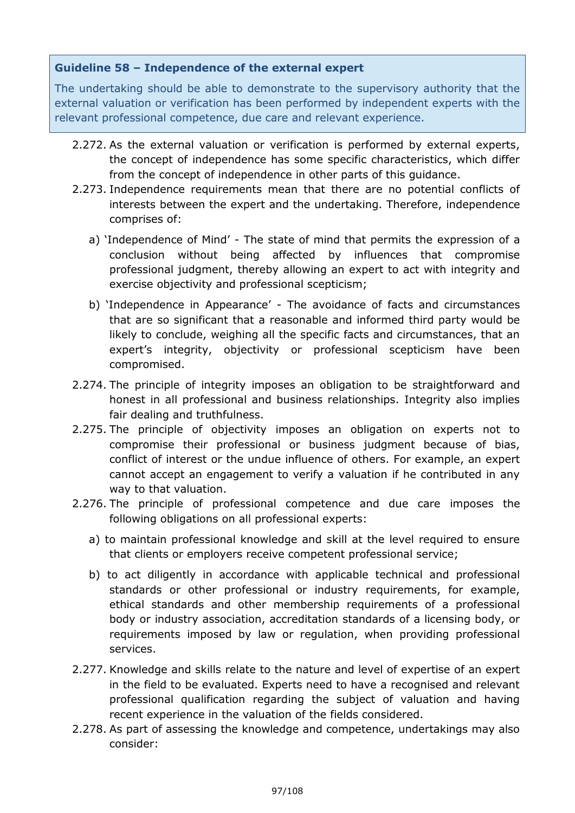## **Guideline 58 – Independence of the external expert**

The undertaking should be able to demonstrate to the supervisory authority that the external valuation or verification has been performed by independent experts with the relevant professional competence, due care and relevant experience.

- 2.272. As the external valuation or verification is performed by external experts, the concept of independence has some specific characteristics, which differ from the concept of independence in other parts of this guidance.
- 2.273. Independence requirements mean that there are no potential conflicts of interests between the expert and the undertaking. Therefore, independence comprises of:
	- a) 'Independence of Mind' The state of mind that permits the expression of a conclusion without being affected by influences that compromise professional judgment, thereby allowing an expert to act with integrity and exercise objectivity and professional scepticism;
	- b) 'Independence in Appearance' The avoidance of facts and circumstances that are so significant that a reasonable and informed third party would be likely to conclude, weighing all the specific facts and circumstances, that an expert's integrity, objectivity or professional scepticism have been compromised.
- 2.274. The principle of integrity imposes an obligation to be straightforward and honest in all professional and business relationships. Integrity also implies fair dealing and truthfulness.
- 2.275. The principle of objectivity imposes an obligation on experts not to compromise their professional or business judgment because of bias, conflict of interest or the undue influence of others. For example, an expert cannot accept an engagement to verify a valuation if he contributed in any way to that valuation.
- 2.276. The principle of professional competence and due care imposes the following obligations on all professional experts:
	- a) to maintain professional knowledge and skill at the level required to ensure that clients or employers receive competent professional service;
	- b) to act diligently in accordance with applicable technical and professional standards or other professional or industry requirements, for example, ethical standards and other membership requirements of a professional body or industry association, accreditation standards of a licensing body, or requirements imposed by law or regulation, when providing professional services.
- 2.277. Knowledge and skills relate to the nature and level of expertise of an expert in the field to be evaluated. Experts need to have a recognised and relevant professional qualification regarding the subject of valuation and having recent experience in the valuation of the fields considered.
- 2.278. As part of assessing the knowledge and competence, undertakings may also consider: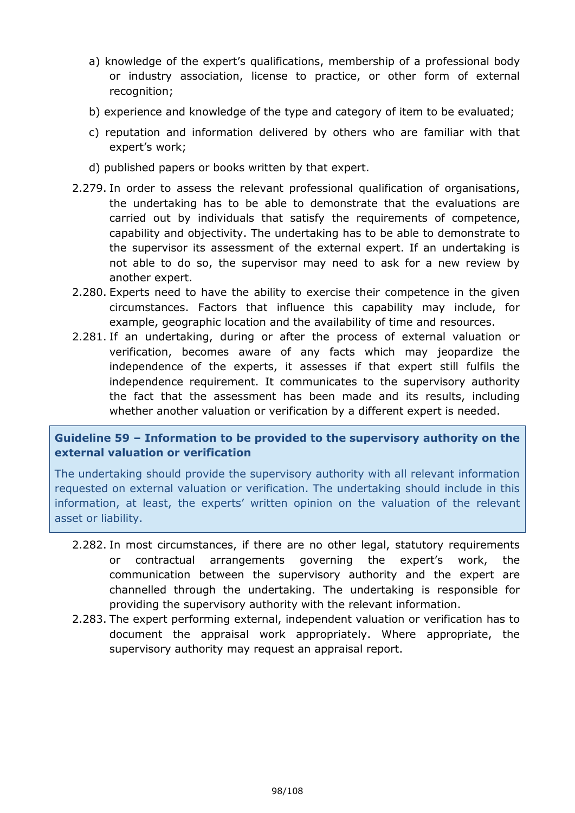- a) knowledge of the expert's qualifications, membership of a professional body or industry association, license to practice, or other form of external recognition;
- b) experience and knowledge of the type and category of item to be evaluated;
- c) reputation and information delivered by others who are familiar with that expert's work;
- d) published papers or books written by that expert.
- 2.279. In order to assess the relevant professional qualification of organisations, the undertaking has to be able to demonstrate that the evaluations are carried out by individuals that satisfy the requirements of competence, capability and objectivity. The undertaking has to be able to demonstrate to the supervisor its assessment of the external expert. If an undertaking is not able to do so, the supervisor may need to ask for a new review by another expert.
- 2.280. Experts need to have the ability to exercise their competence in the given circumstances. Factors that influence this capability may include, for example, geographic location and the availability of time and resources.
- 2.281. If an undertaking, during or after the process of external valuation or verification, becomes aware of any facts which may jeopardize the independence of the experts, it assesses if that expert still fulfils the independence requirement. It communicates to the supervisory authority the fact that the assessment has been made and its results, including whether another valuation or verification by a different expert is needed.

## **Guideline 59 – Information to be provided to the supervisory authority on the external valuation or verification**

The undertaking should provide the supervisory authority with all relevant information requested on external valuation or verification. The undertaking should include in this information, at least, the experts' written opinion on the valuation of the relevant asset or liability.

- 2.282. In most circumstances, if there are no other legal, statutory requirements or contractual arrangements governing the expert's work, the communication between the supervisory authority and the expert are channelled through the undertaking. The undertaking is responsible for providing the supervisory authority with the relevant information.
- 2.283. The expert performing external, independent valuation or verification has to document the appraisal work appropriately. Where appropriate, the supervisory authority may request an appraisal report.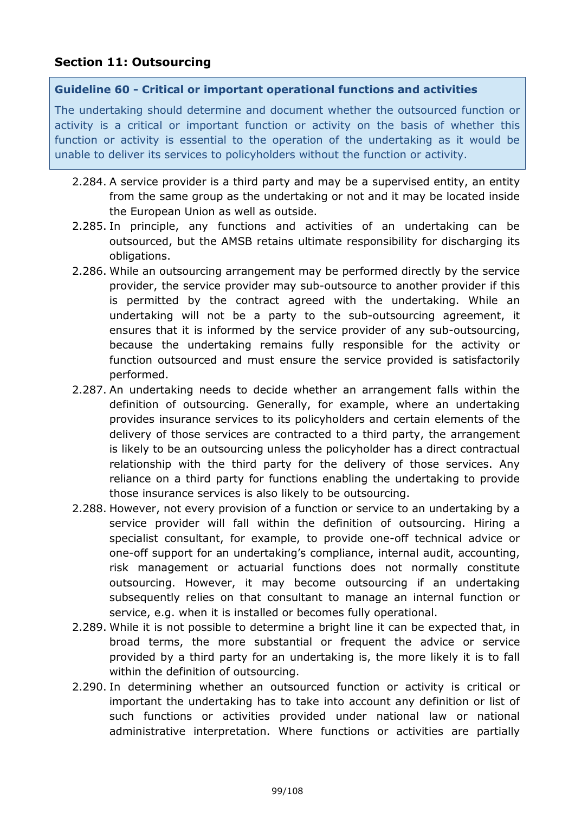## **Section 11: Outsourcing**

#### **Guideline 60 - Critical or important operational functions and activities**

The undertaking should determine and document whether the outsourced function or activity is a critical or important function or activity on the basis of whether this function or activity is essential to the operation of the undertaking as it would be unable to deliver its services to policyholders without the function or activity.

- 2.284. A service provider is a third party and may be a supervised entity, an entity from the same group as the undertaking or not and it may be located inside the European Union as well as outside.
- 2.285. In principle, any functions and activities of an undertaking can be outsourced, but the AMSB retains ultimate responsibility for discharging its obligations.
- 2.286. While an outsourcing arrangement may be performed directly by the service provider, the service provider may sub-outsource to another provider if this is permitted by the contract agreed with the undertaking. While an undertaking will not be a party to the sub-outsourcing agreement, it ensures that it is informed by the service provider of any sub-outsourcing, because the undertaking remains fully responsible for the activity or function outsourced and must ensure the service provided is satisfactorily performed.
- 2.287. An undertaking needs to decide whether an arrangement falls within the definition of outsourcing. Generally, for example, where an undertaking provides insurance services to its policyholders and certain elements of the delivery of those services are contracted to a third party, the arrangement is likely to be an outsourcing unless the policyholder has a direct contractual relationship with the third party for the delivery of those services. Any reliance on a third party for functions enabling the undertaking to provide those insurance services is also likely to be outsourcing.
- 2.288. However, not every provision of a function or service to an undertaking by a service provider will fall within the definition of outsourcing. Hiring a specialist consultant, for example, to provide one-off technical advice or one-off support for an undertaking's compliance, internal audit, accounting, risk management or actuarial functions does not normally constitute outsourcing. However, it may become outsourcing if an undertaking subsequently relies on that consultant to manage an internal function or service, e.g. when it is installed or becomes fully operational.
- 2.289. While it is not possible to determine a bright line it can be expected that, in broad terms, the more substantial or frequent the advice or service provided by a third party for an undertaking is, the more likely it is to fall within the definition of outsourcing.
- 2.290. In determining whether an outsourced function or activity is critical or important the undertaking has to take into account any definition or list of such functions or activities provided under national law or national administrative interpretation. Where functions or activities are partially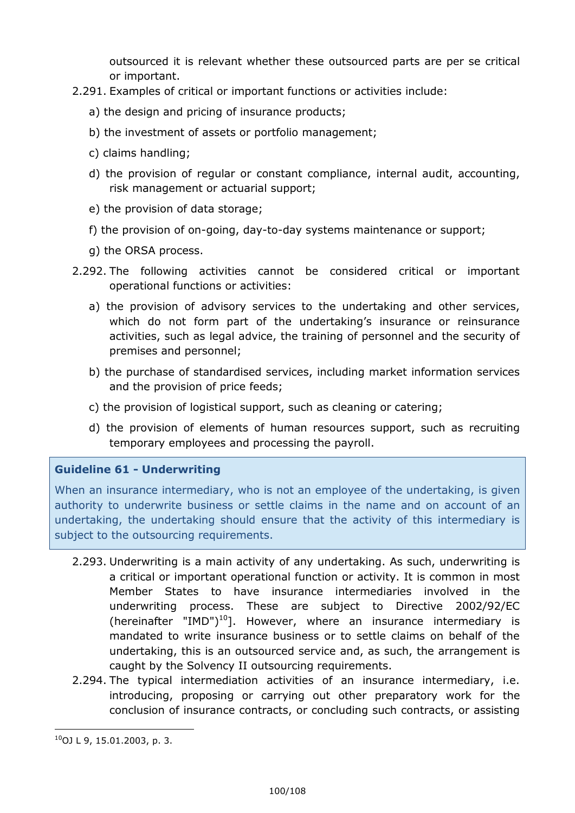outsourced it is relevant whether these outsourced parts are per se critical or important.

- 2.291. Examples of critical or important functions or activities include:
	- a) the design and pricing of insurance products;
	- b) the investment of assets or portfolio management;
	- c) claims handling;
	- d) the provision of regular or constant compliance, internal audit, accounting, risk management or actuarial support;
	- e) the provision of data storage;
	- f) the provision of on-going, day-to-day systems maintenance or support;
	- g) the ORSA process.
- 2.292. The following activities cannot be considered critical or important operational functions or activities:
	- a) the provision of advisory services to the undertaking and other services, which do not form part of the undertaking's insurance or reinsurance activities, such as legal advice, the training of personnel and the security of premises and personnel;
	- b) the purchase of standardised services, including market information services and the provision of price feeds;
	- c) the provision of logistical support, such as cleaning or catering;
	- d) the provision of elements of human resources support, such as recruiting temporary employees and processing the payroll.

## **Guideline 61 - Underwriting**

When an insurance intermediary, who is not an employee of the undertaking, is given authority to underwrite business or settle claims in the name and on account of an undertaking, the undertaking should ensure that the activity of this intermediary is subject to the outsourcing requirements.

- 2.293. Underwriting is a main activity of any undertaking. As such, underwriting is a critical or important operational function or activity. It is common in most Member States to have insurance intermediaries involved in the underwriting process. These are subject to Directive 2002/92/EC (hereinafter "IMD")<sup>10</sup>]. However, where an insurance intermediary is mandated to write insurance business or to settle claims on behalf of the undertaking, this is an outsourced service and, as such, the arrangement is caught by the Solvency II outsourcing requirements.
- 2.294. The typical intermediation activities of an insurance intermediary, i.e. introducing, proposing or carrying out other preparatory work for the conclusion of insurance contracts, or concluding such contracts, or assisting

<sup>-</sup> $10$ OJ L 9, 15.01.2003, p. 3.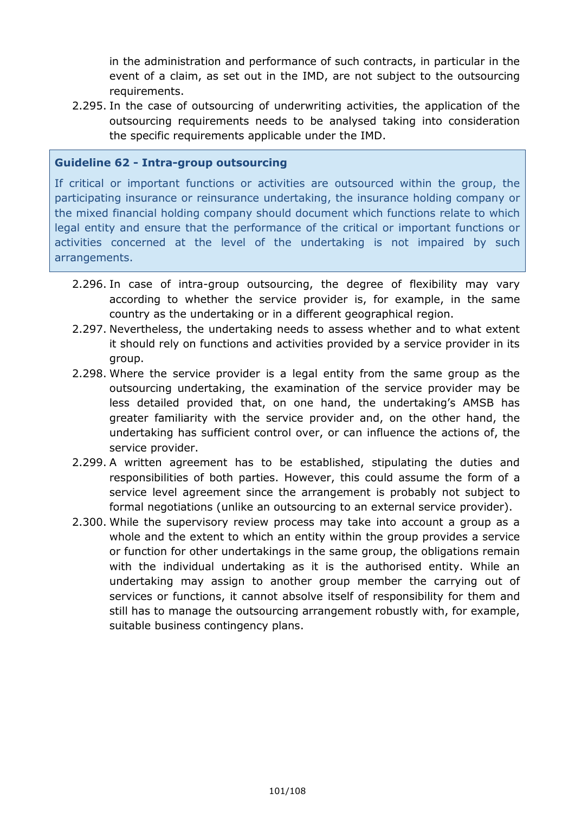in the administration and performance of such contracts, in particular in the event of a claim, as set out in the IMD, are not subject to the outsourcing requirements.

2.295. In the case of outsourcing of underwriting activities, the application of the outsourcing requirements needs to be analysed taking into consideration the specific requirements applicable under the IMD.

### **Guideline 62 - Intra-group outsourcing**

If critical or important functions or activities are outsourced within the group, the participating insurance or reinsurance undertaking, the insurance holding company or the mixed financial holding company should document which functions relate to which legal entity and ensure that the performance of the critical or important functions or activities concerned at the level of the undertaking is not impaired by such arrangements.

- 2.296. In case of intra-group outsourcing, the degree of flexibility may vary according to whether the service provider is, for example, in the same country as the undertaking or in a different geographical region.
- 2.297. Nevertheless, the undertaking needs to assess whether and to what extent it should rely on functions and activities provided by a service provider in its group.
- 2.298. Where the service provider is a legal entity from the same group as the outsourcing undertaking, the examination of the service provider may be less detailed provided that, on one hand, the undertaking's AMSB has greater familiarity with the service provider and, on the other hand, the undertaking has sufficient control over, or can influence the actions of, the service provider.
- 2.299. A written agreement has to be established, stipulating the duties and responsibilities of both parties. However, this could assume the form of a service level agreement since the arrangement is probably not subject to formal negotiations (unlike an outsourcing to an external service provider).
- 2.300. While the supervisory review process may take into account a group as a whole and the extent to which an entity within the group provides a service or function for other undertakings in the same group, the obligations remain with the individual undertaking as it is the authorised entity. While an undertaking may assign to another group member the carrying out of services or functions, it cannot absolve itself of responsibility for them and still has to manage the outsourcing arrangement robustly with, for example, suitable business contingency plans.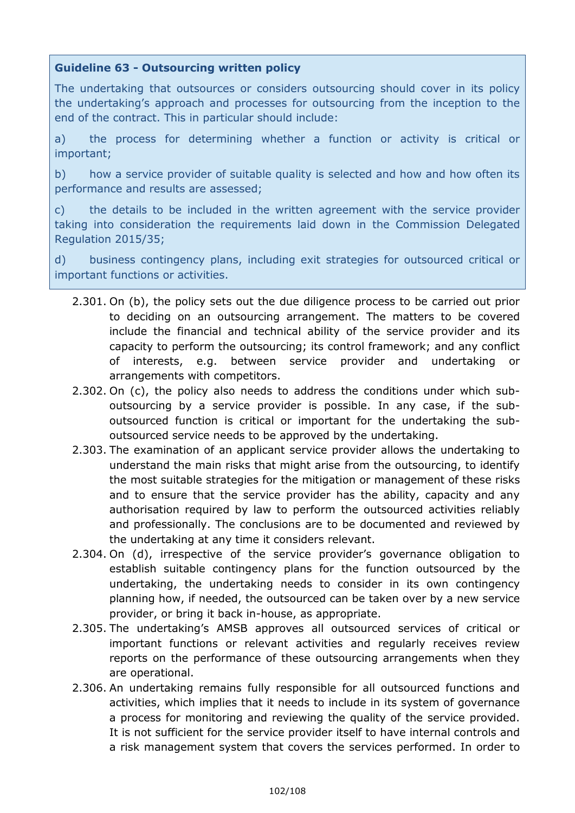## **Guideline 63 - Outsourcing written policy**

The undertaking that outsources or considers outsourcing should cover in its policy the undertaking's approach and processes for outsourcing from the inception to the end of the contract. This in particular should include:

a) the process for determining whether a function or activity is critical or important;

b) how a service provider of suitable quality is selected and how and how often its performance and results are assessed;

c) the details to be included in the written agreement with the service provider taking into consideration the requirements laid down in the Commission Delegated Regulation 2015/35;

d) business contingency plans, including exit strategies for outsourced critical or important functions or activities.

- 2.301. On (b), the policy sets out the due diligence process to be carried out prior to deciding on an outsourcing arrangement. The matters to be covered include the financial and technical ability of the service provider and its capacity to perform the outsourcing; its control framework; and any conflict of interests, e.g. between service provider and undertaking or arrangements with competitors.
- 2.302. On (c), the policy also needs to address the conditions under which suboutsourcing by a service provider is possible. In any case, if the suboutsourced function is critical or important for the undertaking the suboutsourced service needs to be approved by the undertaking.
- 2.303. The examination of an applicant service provider allows the undertaking to understand the main risks that might arise from the outsourcing, to identify the most suitable strategies for the mitigation or management of these risks and to ensure that the service provider has the ability, capacity and any authorisation required by law to perform the outsourced activities reliably and professionally. The conclusions are to be documented and reviewed by the undertaking at any time it considers relevant.
- 2.304. On (d), irrespective of the service provider's governance obligation to establish suitable contingency plans for the function outsourced by the undertaking, the undertaking needs to consider in its own contingency planning how, if needed, the outsourced can be taken over by a new service provider, or bring it back in-house, as appropriate.
- 2.305. The undertaking's AMSB approves all outsourced services of critical or important functions or relevant activities and regularly receives review reports on the performance of these outsourcing arrangements when they are operational.
- 2.306. An undertaking remains fully responsible for all outsourced functions and activities, which implies that it needs to include in its system of governance a process for monitoring and reviewing the quality of the service provided. It is not sufficient for the service provider itself to have internal controls and a risk management system that covers the services performed. In order to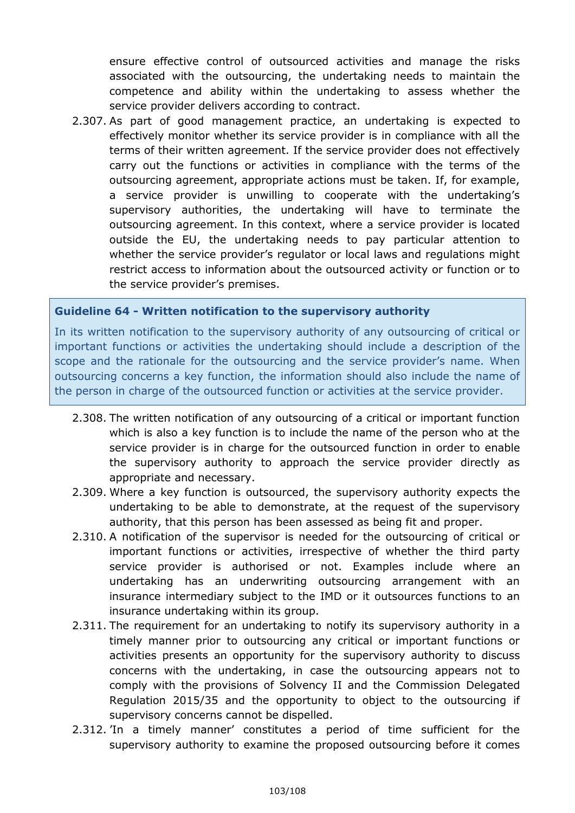ensure effective control of outsourced activities and manage the risks associated with the outsourcing, the undertaking needs to maintain the competence and ability within the undertaking to assess whether the service provider delivers according to contract.

2.307. As part of good management practice, an undertaking is expected to effectively monitor whether its service provider is in compliance with all the terms of their written agreement. If the service provider does not effectively carry out the functions or activities in compliance with the terms of the outsourcing agreement, appropriate actions must be taken. If, for example, a service provider is unwilling to cooperate with the undertaking's supervisory authorities, the undertaking will have to terminate the outsourcing agreement. In this context, where a service provider is located outside the EU, the undertaking needs to pay particular attention to whether the service provider's regulator or local laws and regulations might restrict access to information about the outsourced activity or function or to the service provider's premises.

#### **Guideline 64 - Written notification to the supervisory authority**

In its written notification to the supervisory authority of any outsourcing of critical or important functions or activities the undertaking should include a description of the scope and the rationale for the outsourcing and the service provider's name. When outsourcing concerns a key function, the information should also include the name of the person in charge of the outsourced function or activities at the service provider.

- 2.308. The written notification of any outsourcing of a critical or important function which is also a key function is to include the name of the person who at the service provider is in charge for the outsourced function in order to enable the supervisory authority to approach the service provider directly as appropriate and necessary.
- 2.309. Where a key function is outsourced, the supervisory authority expects the undertaking to be able to demonstrate, at the request of the supervisory authority, that this person has been assessed as being fit and proper.
- 2.310. A notification of the supervisor is needed for the outsourcing of critical or important functions or activities, irrespective of whether the third party service provider is authorised or not. Examples include where an undertaking has an underwriting outsourcing arrangement with an insurance intermediary subject to the IMD or it outsources functions to an insurance undertaking within its group.
- 2.311. The requirement for an undertaking to notify its supervisory authority in a timely manner prior to outsourcing any critical or important functions or activities presents an opportunity for the supervisory authority to discuss concerns with the undertaking, in case the outsourcing appears not to comply with the provisions of Solvency II and the Commission Delegated Regulation 2015/35 and the opportunity to object to the outsourcing if supervisory concerns cannot be dispelled.
- 2.312. 'In a timely manner' constitutes a period of time sufficient for the supervisory authority to examine the proposed outsourcing before it comes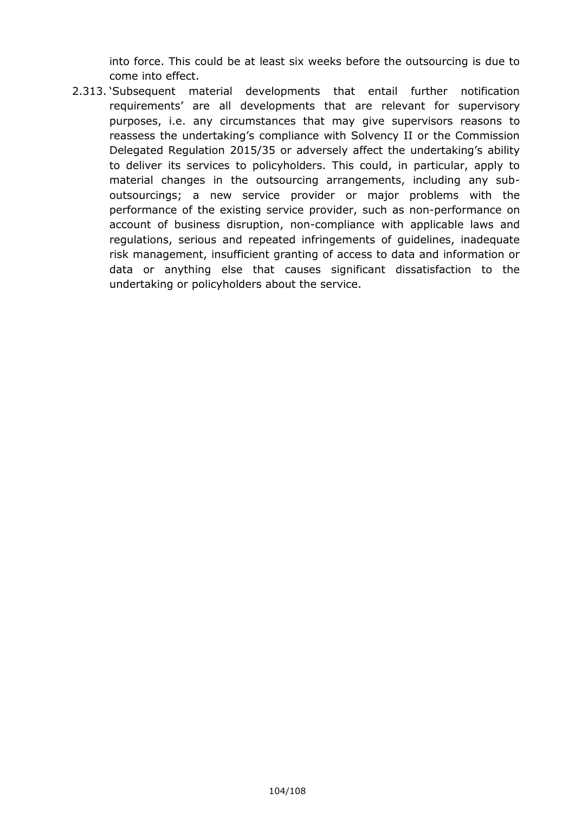into force. This could be at least six weeks before the outsourcing is due to come into effect.

2.313. 'Subsequent material developments that entail further notification requirements' are all developments that are relevant for supervisory purposes, i.e. any circumstances that may give supervisors reasons to reassess the undertaking's compliance with Solvency II or the Commission Delegated Regulation 2015/35 or adversely affect the undertaking's ability to deliver its services to policyholders. This could, in particular, apply to material changes in the outsourcing arrangements, including any suboutsourcings; a new service provider or major problems with the performance of the existing service provider, such as non-performance on account of business disruption, non-compliance with applicable laws and regulations, serious and repeated infringements of guidelines, inadequate risk management, insufficient granting of access to data and information or data or anything else that causes significant dissatisfaction to the undertaking or policyholders about the service.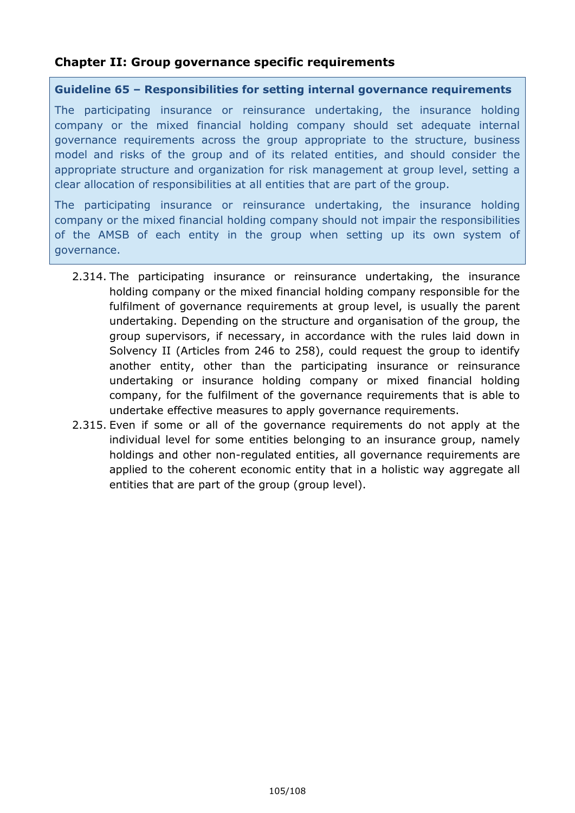## **Chapter II: Group governance specific requirements**

#### **Guideline 65 – Responsibilities for setting internal governance requirements**

The participating insurance or reinsurance undertaking, the insurance holding company or the mixed financial holding company should set adequate internal governance requirements across the group appropriate to the structure, business model and risks of the group and of its related entities, and should consider the appropriate structure and organization for risk management at group level, setting a clear allocation of responsibilities at all entities that are part of the group.

The participating insurance or reinsurance undertaking, the insurance holding company or the mixed financial holding company should not impair the responsibilities of the AMSB of each entity in the group when setting up its own system of governance.

- 2.314. The participating insurance or reinsurance undertaking, the insurance holding company or the mixed financial holding company responsible for the fulfilment of governance requirements at group level, is usually the parent undertaking. Depending on the structure and organisation of the group, the group supervisors, if necessary, in accordance with the rules laid down in Solvency II (Articles from 246 to 258), could request the group to identify another entity, other than the participating insurance or reinsurance undertaking or insurance holding company or mixed financial holding company, for the fulfilment of the governance requirements that is able to undertake effective measures to apply governance requirements.
- 2.315. Even if some or all of the governance requirements do not apply at the individual level for some entities belonging to an insurance group, namely holdings and other non-regulated entities, all governance requirements are applied to the coherent economic entity that in a holistic way aggregate all entities that are part of the group (group level).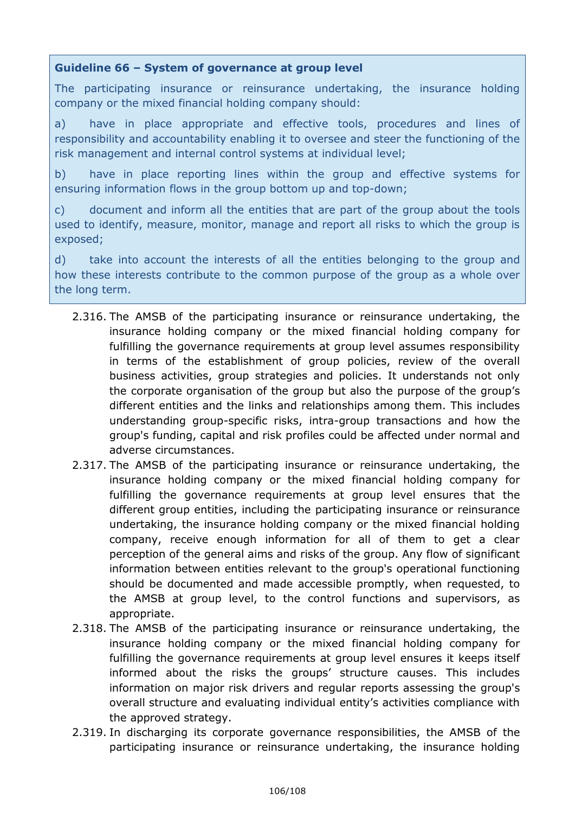## **Guideline 66 – System of governance at group level**

The participating insurance or reinsurance undertaking, the insurance holding company or the mixed financial holding company should:

a) have in place appropriate and effective tools, procedures and lines of responsibility and accountability enabling it to oversee and steer the functioning of the risk management and internal control systems at individual level;

b) have in place reporting lines within the group and effective systems for ensuring information flows in the group bottom up and top-down;

c) document and inform all the entities that are part of the group about the tools used to identify, measure, monitor, manage and report all risks to which the group is exposed;

d) take into account the interests of all the entities belonging to the group and how these interests contribute to the common purpose of the group as a whole over the long term.

- 2.316. The AMSB of the participating insurance or reinsurance undertaking, the insurance holding company or the mixed financial holding company for fulfilling the governance requirements at group level assumes responsibility in terms of the establishment of group policies, review of the overall business activities, group strategies and policies. It understands not only the corporate organisation of the group but also the purpose of the group's different entities and the links and relationships among them. This includes understanding group-specific risks, intra-group transactions and how the group's funding, capital and risk profiles could be affected under normal and adverse circumstances.
- 2.317. The AMSB of the participating insurance or reinsurance undertaking, the insurance holding company or the mixed financial holding company for fulfilling the governance requirements at group level ensures that the different group entities, including the participating insurance or reinsurance undertaking, the insurance holding company or the mixed financial holding company, receive enough information for all of them to get a clear perception of the general aims and risks of the group. Any flow of significant information between entities relevant to the group's operational functioning should be documented and made accessible promptly, when requested, to the AMSB at group level, to the control functions and supervisors, as appropriate.
- 2.318. The AMSB of the participating insurance or reinsurance undertaking, the insurance holding company or the mixed financial holding company for fulfilling the governance requirements at group level ensures it keeps itself informed about the risks the groups' structure causes. This includes information on major risk drivers and regular reports assessing the group's overall structure and evaluating individual entity's activities compliance with the approved strategy.
- 2.319. In discharging its corporate governance responsibilities, the AMSB of the participating insurance or reinsurance undertaking, the insurance holding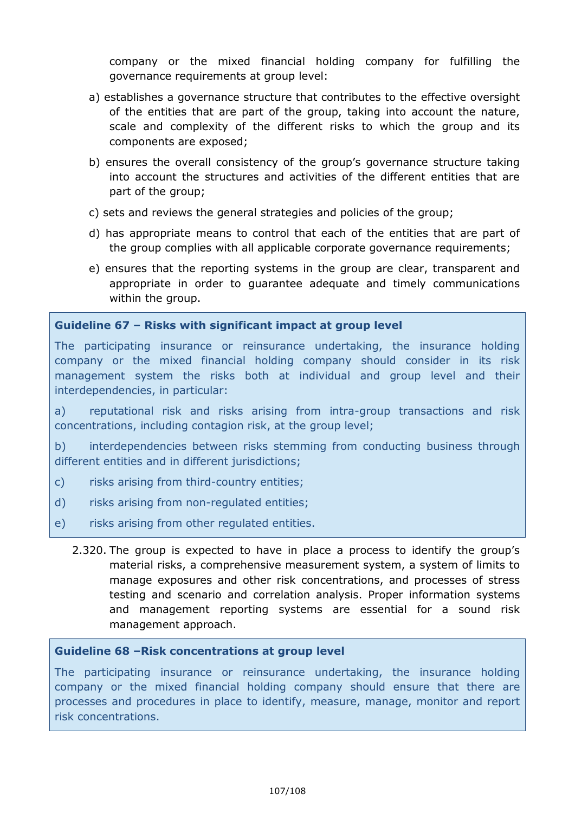company or the mixed financial holding company for fulfilling the governance requirements at group level:

- a) establishes a governance structure that contributes to the effective oversight of the entities that are part of the group, taking into account the nature, scale and complexity of the different risks to which the group and its components are exposed;
- b) ensures the overall consistency of the group's governance structure taking into account the structures and activities of the different entities that are part of the group;
- c) sets and reviews the general strategies and policies of the group;
- d) has appropriate means to control that each of the entities that are part of the group complies with all applicable corporate governance requirements;
- e) ensures that the reporting systems in the group are clear, transparent and appropriate in order to guarantee adequate and timely communications within the group.

## **Guideline 67 – Risks with significant impact at group level**

The participating insurance or reinsurance undertaking, the insurance holding company or the mixed financial holding company should consider in its risk management system the risks both at individual and group level and their interdependencies, in particular:

a) reputational risk and risks arising from intra-group transactions and risk concentrations, including contagion risk, at the group level;

b) interdependencies between risks stemming from conducting business through different entities and in different jurisdictions;

- c) risks arising from third-country entities;
- d) risks arising from non-regulated entities;
- e) risks arising from other regulated entities.
	- 2.320. The group is expected to have in place a process to identify the group's material risks, a comprehensive measurement system, a system of limits to manage exposures and other risk concentrations, and processes of stress testing and scenario and correlation analysis. Proper information systems and management reporting systems are essential for a sound risk management approach.

#### **Guideline 68 –Risk concentrations at group level**

The participating insurance or reinsurance undertaking, the insurance holding company or the mixed financial holding company should ensure that there are processes and procedures in place to identify, measure, manage, monitor and report risk concentrations.